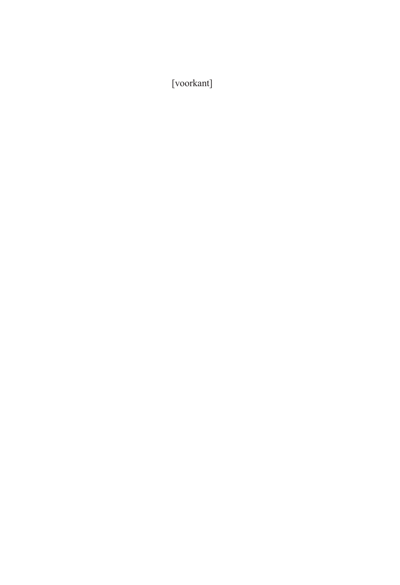[voorkant]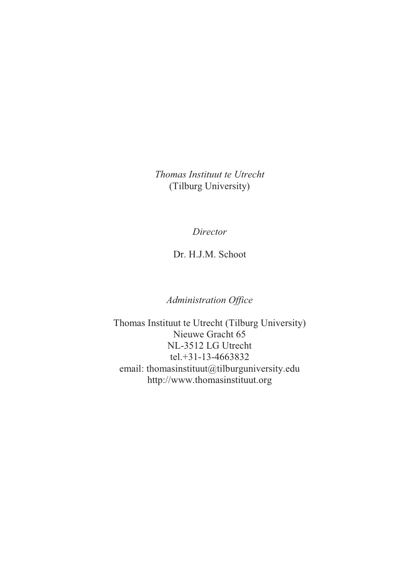*Thomas Instituut te Utrecht*  (Tilburg University)

*Director*

Dr. H.J.M. Schoot

*Administration Office*

Thomas Instituut te Utrecht (Tilburg University) Nieuwe Gracht 65 NL-3512 LG Utrecht tel.+31-13-4663832 email: thomasinstituut@tilburguniversity.edu http://www.thomasinstituut.org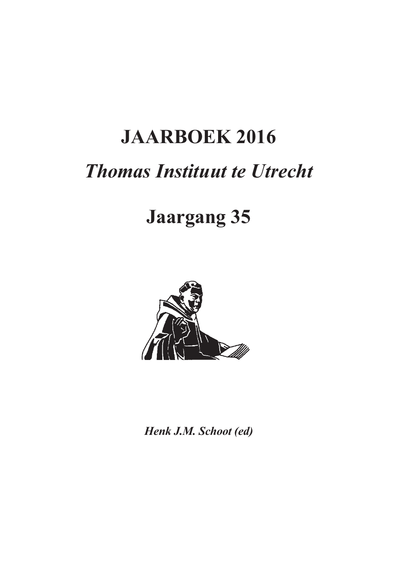# **JAARBOEK 2016**

## *Thomas Instituut te Utrecht*

## **Jaargang 35**



*Henk J.M. Schoot (ed)*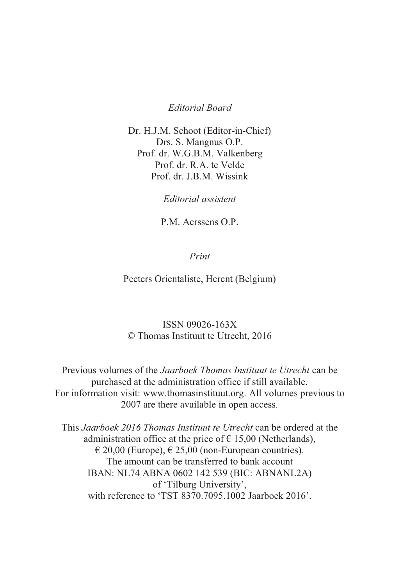#### *Editorial Board*

Dr. H.J.M. Schoot (Editor-in-Chief) Drs. S. Mangnus O.P. Prof. dr. W.G.B.M. Valkenberg Prof. dr. R.A. te Velde Prof. dr. J.B.M. Wissink

*Editorial assistent* 

P.M. Aerssens O.P.

*Print*

Peeters Orientaliste, Herent (Belgium)

### ISSN 09026-163X © Thomas Instituut te Utrecht, 2016

Previous volumes of the *Jaarboek Thomas Instituut te Utrecht* can be purchased at the administration office if still available. For information visit: www.thomasinstituut.org. All volumes previous to 2007 are there available in open access.

This *Jaarboek 2016 Thomas Instituut te Utrecht* can be ordered at the administration office at the price of  $\epsilon$  15,00 (Netherlands),  $\in$  20,00 (Europe),  $\in$  25,00 (non-European countries). The amount can be transferred to bank account IBAN: NL74 ABNA 0602 142 539 (BIC: ABNANL2A) of 'Tilburg University', with reference to 'TST 8370.7095.1002 Jaarboek 2016'.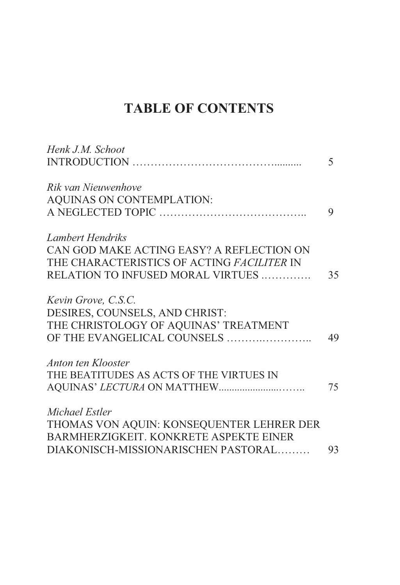## **TABLE OF CONTENTS**

| Henk J.M. Schoot                           |                          |
|--------------------------------------------|--------------------------|
|                                            | $\overline{\mathcal{L}}$ |
| Rik van Nieuwenhove                        |                          |
| AQUINAS ON CONTEMPLATION:                  |                          |
|                                            | 9                        |
| Lambert Hendriks                           |                          |
| CAN GOD MAKE ACTING EASY? A REFLECTION ON  |                          |
| THE CHARACTERISTICS OF ACTING FACILITER IN |                          |
| RELATION TO INFUSED MORAL VIRTUES          | 35                       |
| Kevin Grove, C.S.C.                        |                          |
| DESIRES, COUNSELS, AND CHRIST:             |                          |
| THE CHRISTOLOGY OF AQUINAS' TREATMENT      |                          |
| OF THE EVANGELICAL COUNSELS                | 49                       |
| Anton ten Klooster                         |                          |
| THE BEATITUDES AS ACTS OF THE VIRTUES IN   |                          |
|                                            | 75                       |
| Michael Estler                             |                          |
| THOMAS VON AQUIN: KONSEQUENTER LEHRER DER  |                          |
| BARMHERZIGKEIT. KONKRETE ASPEKTE EINER     |                          |
| DIAKONISCH-MISSIONARISCHEN PASTORAL        | 93                       |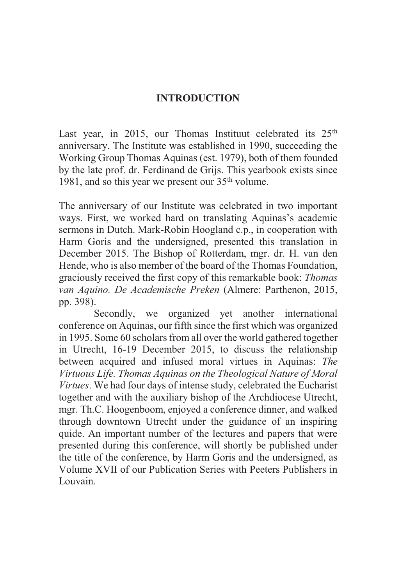## **INTRODUCTION**

Last year, in 2015, our Thomas Instituut celebrated its 25<sup>th</sup> anniversary. The Institute was established in 1990, succeeding the Working Group Thomas Aquinas (est. 1979), both of them founded by the late prof. dr. Ferdinand de Grijs. This yearbook exists since 1981, and so this year we present our  $35<sup>th</sup>$  volume.

The anniversary of our Institute was celebrated in two important ways. First, we worked hard on translating Aquinas's academic sermons in Dutch. Mark-Robin Hoogland c.p., in cooperation with Harm Goris and the undersigned, presented this translation in December 2015. The Bishop of Rotterdam, mgr. dr. H. van den Hende, who is also member of the board of the Thomas Foundation, graciously received the first copy of this remarkable book: *Thomas van Aquino. De Academische Preken* (Almere: Parthenon, 2015, pp. 398).

 Secondly, we organized yet another international conference on Aquinas, our fifth since the first which was organized in 1995. Some 60 scholars from all over the world gathered together in Utrecht, 16-19 December 2015, to discuss the relationship between acquired and infused moral virtues in Aquinas: *The Virtuous Life. Thomas Aquinas on the Theological Nature of Moral Virtues*. We had four days of intense study, celebrated the Eucharist together and with the auxiliary bishop of the Archdiocese Utrecht, mgr. Th.C. Hoogenboom, enjoyed a conference dinner, and walked through downtown Utrecht under the guidance of an inspiring quide. An important number of the lectures and papers that were presented during this conference, will shortly be published under the title of the conference, by Harm Goris and the undersigned, as Volume XVII of our Publication Series with Peeters Publishers in Louvain.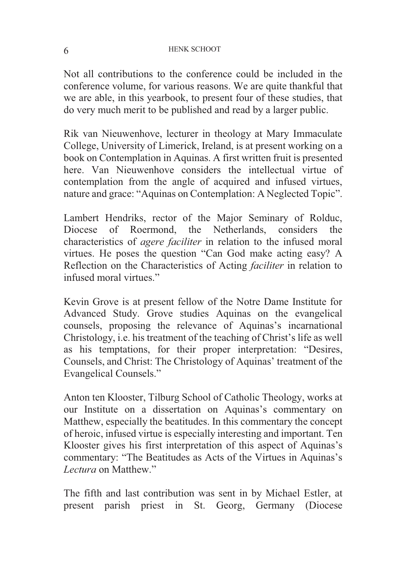#### 6 HENK SCHOOT

Not all contributions to the conference could be included in the conference volume, for various reasons. We are quite thankful that we are able, in this yearbook, to present four of these studies, that do very much merit to be published and read by a larger public.

Rik van Nieuwenhove, lecturer in theology at Mary Immaculate College, University of Limerick, Ireland, is at present working on a book on Contemplation in Aquinas. A first written fruit is presented here. Van Nieuwenhove considers the intellectual virtue of contemplation from the angle of acquired and infused virtues, nature and grace: "Aquinas on Contemplation: A Neglected Topic".

Lambert Hendriks, rector of the Major Seminary of Rolduc, Diocese of Roermond, the Netherlands, considers the characteristics of *agere faciliter* in relation to the infused moral virtues. He poses the question "Can God make acting easy? A Reflection on the Characteristics of Acting *faciliter* in relation to infused moral virtues."

Kevin Grove is at present fellow of the Notre Dame Institute for Advanced Study. Grove studies Aquinas on the evangelical counsels, proposing the relevance of Aquinas's incarnational Christology, i.e. his treatment of the teaching of Christ's life as well as his temptations, for their proper interpretation: "Desires, Counsels, and Christ: The Christology of Aquinas' treatment of the Evangelical Counsels."

Anton ten Klooster, Tilburg School of Catholic Theology, works at our Institute on a dissertation on Aquinas's commentary on Matthew, especially the beatitudes. In this commentary the concept of heroic, infused virtue is especially interesting and important. Ten Klooster gives his first interpretation of this aspect of Aquinas's commentary: "The Beatitudes as Acts of the Virtues in Aquinas's *Lectura* on Matthew."

The fifth and last contribution was sent in by Michael Estler, at present parish priest in St. Georg, Germany (Diocese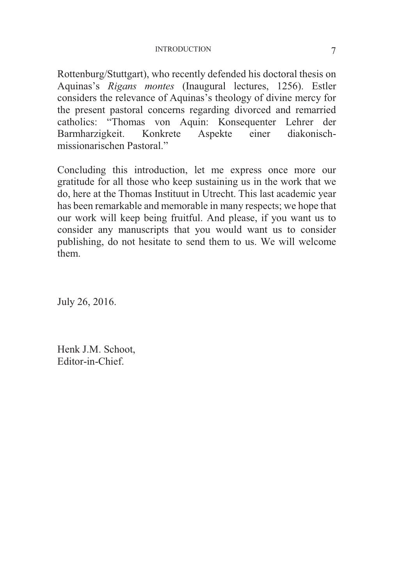#### INTRODUCTION 7

Rottenburg/Stuttgart), who recently defended his doctoral thesis on Aquinas's *Rigans montes* (Inaugural lectures, 1256). Estler considers the relevance of Aquinas's theology of divine mercy for the present pastoral concerns regarding divorced and remarried catholics: "Thomas von Aquin: Konsequenter Lehrer der Barmharzigkeit. Konkrete Aspekte einer diakonischmissionarischen Pastoral."

Concluding this introduction, let me express once more our gratitude for all those who keep sustaining us in the work that we do, here at the Thomas Instituut in Utrecht. This last academic year has been remarkable and memorable in many respects; we hope that our work will keep being fruitful. And please, if you want us to consider any manuscripts that you would want us to consider publishing, do not hesitate to send them to us. We will welcome them.

July 26, 2016.

Henk J.M. Schoot, Editor-in-Chief.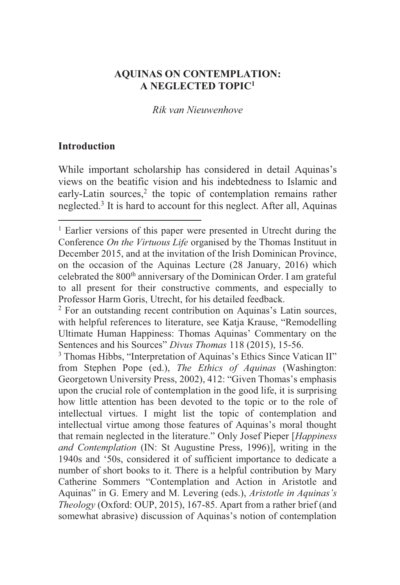## **AQUINAS ON CONTEMPLATION: A NEGLECTED TOPIC1**

### *Rik van Nieuwenhove*

## **Introduction**

 $\overline{a}$ 

While important scholarship has considered in detail Aquinas's views on the beatific vision and his indebtedness to Islamic and early-Latin sources,<sup>2</sup> the topic of contemplation remains rather neglected.3 It is hard to account for this neglect. After all, Aquinas

<sup>&</sup>lt;sup>1</sup> Earlier versions of this paper were presented in Utrecht during the Conference *On the Virtuous Life* organised by the Thomas Instituut in December 2015, and at the invitation of the Irish Dominican Province, on the occasion of the Aquinas Lecture (28 January, 2016) which celebrated the 800<sup>th</sup> anniversary of the Dominican Order. I am grateful to all present for their constructive comments, and especially to Professor Harm Goris, Utrecht, for his detailed feedback.

<sup>&</sup>lt;sup>2</sup> For an outstanding recent contribution on Aquinas's Latin sources, with helpful references to literature, see Katja Krause, "Remodelling Ultimate Human Happiness: Thomas Aquinas' Commentary on the Sentences and his Sources" *Divus Thomas* 118 (2015), 15-56. 3

<sup>&</sup>lt;sup>3</sup> Thomas Hibbs, "Interpretation of Aquinas's Ethics Since Vatican II" from Stephen Pope (ed.), *The Ethics of Aquinas* (Washington: Georgetown University Press, 2002), 412: "Given Thomas's emphasis upon the crucial role of contemplation in the good life, it is surprising how little attention has been devoted to the topic or to the role of intellectual virtues. I might list the topic of contemplation and intellectual virtue among those features of Aquinas's moral thought that remain neglected in the literature." Only Josef Pieper [*Happiness and Contemplation* (IN: St Augustine Press, 1996)], writing in the 1940s and '50s, considered it of sufficient importance to dedicate a number of short books to it. There is a helpful contribution by Mary Catherine Sommers "Contemplation and Action in Aristotle and Aquinas" in G. Emery and M. Levering (eds.), *Aristotle in Aquinas's Theology* (Oxford: OUP, 2015), 167-85. Apart from a rather brief (and somewhat abrasive) discussion of Aquinas's notion of contemplation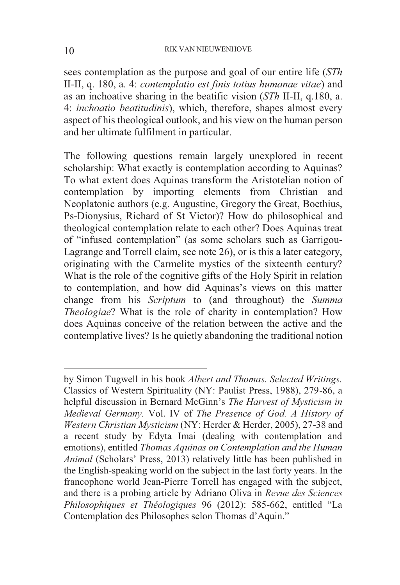sees contemplation as the purpose and goal of our entire life (*STh* II-II, q. 180, a. 4: *contemplatio est finis totius humanae vitae*) and as an inchoative sharing in the beatific vision (*STh* II-II, q.180, a. 4: *inchoatio beatitudinis*), which, therefore, shapes almost every aspect of his theological outlook, and his view on the human person and her ultimate fulfilment in particular.

The following questions remain largely unexplored in recent scholarship: What exactly is contemplation according to Aquinas? To what extent does Aquinas transform the Aristotelian notion of contemplation by importing elements from Christian and Neoplatonic authors (e.g. Augustine, Gregory the Great, Boethius, Ps-Dionysius, Richard of St Victor)? How do philosophical and theological contemplation relate to each other? Does Aquinas treat of "infused contemplation" (as some scholars such as Garrigou-Lagrange and Torrell claim, see note 26), or is this a later category, originating with the Carmelite mystics of the sixteenth century? What is the role of the cognitive gifts of the Holy Spirit in relation to contemplation, and how did Aquinas's views on this matter change from his *Scriptum* to (and throughout) the *Summa Theologiae*? What is the role of charity in contemplation? How does Aquinas conceive of the relation between the active and the contemplative lives? Is he quietly abandoning the traditional notion

by Simon Tugwell in his book *Albert and Thomas. Selected Writings.*  Classics of Western Spirituality (NY: Paulist Press, 1988), 279-86, a helpful discussion in Bernard McGinn's *The Harvest of Mysticism in Medieval Germany.* Vol. IV of *The Presence of God. A History of Western Christian Mysticism* (NY: Herder & Herder, 2005), 27-38 and a recent study by Edyta Imai (dealing with contemplation and emotions), entitled *Thomas Aquinas on Contemplation and the Human Animal* (Scholars' Press, 2013) relatively little has been published in the English-speaking world on the subject in the last forty years. In the francophone world Jean-Pierre Torrell has engaged with the subject, and there is a probing article by Adriano Oliva in *Revue des Sciences Philosophiques et Théologiques* 96 (2012): 585-662, entitled "La Contemplation des Philosophes selon Thomas d'Aquin."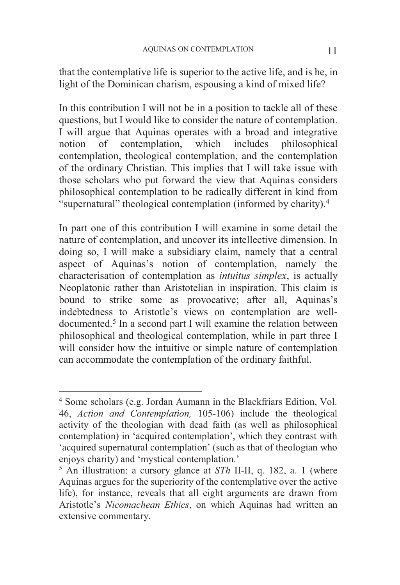that the contemplative life is superior to the active life, and is he, in light of the Dominican charism, espousing a kind of mixed life?

In this contribution I will not be in a position to tackle all of these questions, but I would like to consider the nature of contemplation. I will argue that Aquinas operates with a broad and integrative notion of contemplation, which includes philosophical contemplation, theological contemplation, and the contemplation of the ordinary Christian. This implies that I will take issue with those scholars who put forward the view that Aquinas considers philosophical contemplation to be radically different in kind from "supernatural" theological contemplation (informed by charity).4

In part one of this contribution I will examine in some detail the nature of contemplation, and uncover its intellective dimension. In doing so, I will make a subsidiary claim, namely that a central aspect of Aquinas's notion of contemplation, namely the characterisation of contemplation as *intuitus simplex*, is actually Neoplatonic rather than Aristotelian in inspiration. This claim is bound to strike some as provocative; after all, Aquinas's indebtedness to Aristotle's views on contemplation are welldocumented.<sup>5</sup> In a second part I will examine the relation between philosophical and theological contemplation, while in part three I will consider how the intuitive or simple nature of contemplation can accommodate the contemplation of the ordinary faithful.

<sup>4</sup> Some scholars (e.g. Jordan Aumann in the Blackfriars Edition, Vol. 46, *Action and Contemplation,* 105-106) include the theological activity of the theologian with dead faith (as well as philosophical contemplation) in 'acquired contemplation', which they contrast with 'acquired supernatural contemplation' (such as that of theologian who enjoys charity) and 'mystical contemplation.'

<sup>5</sup> An illustration: a cursory glance at *STh* II-II, q. 182, a. 1 (where Aquinas argues for the superiority of the contemplative over the active life), for instance, reveals that all eight arguments are drawn from Aristotle's *Nicomachean Ethics*, on which Aquinas had written an extensive commentary.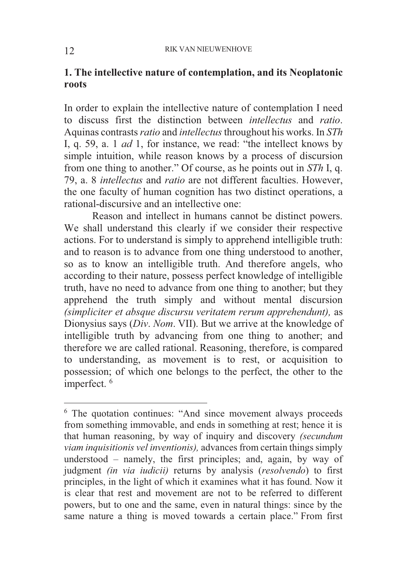## **1. The intellective nature of contemplation, and its Neoplatonic roots**

In order to explain the intellective nature of contemplation I need to discuss first the distinction between *intellectus* and *ratio*. Aquinas contrasts *ratio* and *intellectus* throughout his works. In *STh* I, q. 59, a. 1 *ad* 1, for instance, we read: "the intellect knows by simple intuition, while reason knows by a process of discursion from one thing to another." Of course, as he points out in *STh* I, q. 79, a. 8 *intellectus* and *ratio* are not different faculties. However, the one faculty of human cognition has two distinct operations, a rational-discursive and an intellective one:

 Reason and intellect in humans cannot be distinct powers. We shall understand this clearly if we consider their respective actions. For to understand is simply to apprehend intelligible truth: and to reason is to advance from one thing understood to another, so as to know an intelligible truth. And therefore angels, who according to their nature, possess perfect knowledge of intelligible truth, have no need to advance from one thing to another; but they apprehend the truth simply and without mental discursion *(simpliciter et absque discursu veritatem rerum apprehendunt),* as Dionysius says (*Div*. *Nom*. VII). But we arrive at the knowledge of intelligible truth by advancing from one thing to another; and therefore we are called rational. Reasoning, therefore, is compared to understanding, as movement is to rest, or acquisition to possession; of which one belongs to the perfect, the other to the imperfect.<sup>6</sup>

<sup>&</sup>lt;sup>6</sup> The quotation continues: "And since movement always proceeds from something immovable, and ends in something at rest; hence it is that human reasoning, by way of inquiry and discovery *(secundum viam inquisitionis vel inventionis),* advances from certain things simply understood – namely, the first principles; and, again, by way of judgment *(in via iudicii)* returns by analysis (*resolvendo*) to first principles, in the light of which it examines what it has found. Now it is clear that rest and movement are not to be referred to different powers, but to one and the same, even in natural things: since by the same nature a thing is moved towards a certain place." From first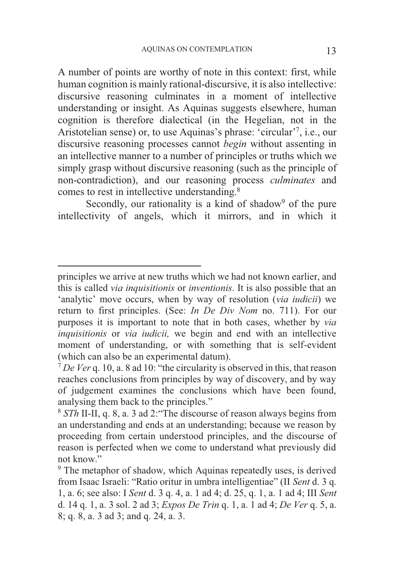A number of points are worthy of note in this context: first, while human cognition is mainly rational-discursive, it is also intellective: discursive reasoning culminates in a moment of intellective understanding or insight. As Aquinas suggests elsewhere, human cognition is therefore dialectical (in the Hegelian, not in the Aristotelian sense) or, to use Aquinas's phrase: 'circular'<sup>7</sup> , i.e., our discursive reasoning processes cannot *begin* without assenting in an intellective manner to a number of principles or truths which we simply grasp without discursive reasoning (such as the principle of non-contradiction), and our reasoning process *culminates* and comes to rest in intellective understanding.8

Secondly, our rationality is a kind of shadow<sup>9</sup> of the pure intellectivity of angels, which it mirrors, and in which it

principles we arrive at new truths which we had not known earlier, and this is called *via inquisitionis* or *inventionis*. It is also possible that an 'analytic' move occurs, when by way of resolution (*via iudicii*) we return to first principles. (See: *In De Div Nom* no. 711). For our purposes it is important to note that in both cases, whether by *via inquisitionis* or *via iudicii,* we begin and end with an intellective moment of understanding, or with something that is self-evident (which can also be an experimental datum). 7 *De Ver* q. 10, a. 8 ad 10: "the circularity is observed in this, that reason

reaches conclusions from principles by way of discovery, and by way of judgement examines the conclusions which have been found, analysing them back to the principles."

<sup>8</sup> *STh* II-II, q. 8, a. 3 ad 2:"The discourse of reason always begins from an understanding and ends at an understanding; because we reason by proceeding from certain understood principles, and the discourse of reason is perfected when we come to understand what previously did not know."

<sup>&</sup>lt;sup>9</sup> The metaphor of shadow, which Aquinas repeatedly uses, is derived from Isaac Israeli: "Ratio oritur in umbra intelligentiae" (II *Sent* d. 3 q. 1, a. 6; see also: I *Sent* d. 3 q. 4, a. 1 ad 4; d. 25, q. 1, a. 1 ad 4; III *Sent* d. 14 q. 1, a. 3 sol. 2 ad 3; *Expos De Trin* q. 1, a. 1 ad 4; *De Ver* q. 5, a. 8; q. 8, a. 3 ad 3; and q. 24, a. 3.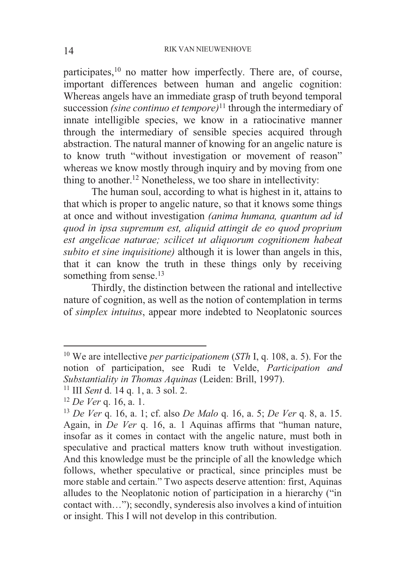participates,<sup>10</sup> no matter how imperfectly. There are, of course, important differences between human and angelic cognition: Whereas angels have an immediate grasp of truth beyond temporal succession *(sine continuo et tempore)*<sup>11</sup> through the intermediary of innate intelligible species, we know in a ratiocinative manner through the intermediary of sensible species acquired through abstraction. The natural manner of knowing for an angelic nature is to know truth "without investigation or movement of reason" whereas we know mostly through inquiry and by moving from one thing to another.12 Nonetheless, we too share in intellectivity:

 The human soul, according to what is highest in it, attains to that which is proper to angelic nature, so that it knows some things at once and without investigation *(anima humana, quantum ad id quod in ipsa supremum est, aliquid attingit de eo quod proprium est angelicae naturae; scilicet ut aliquorum cognitionem habeat subito et sine inquisitione)* although it is lower than angels in this, that it can know the truth in these things only by receiving something from sense.<sup>13</sup>

 Thirdly, the distinction between the rational and intellective nature of cognition, as well as the notion of contemplation in terms of *simplex intuitus*, appear more indebted to Neoplatonic sources

<sup>10</sup> We are intellective *per participationem* (*STh* I, q. 108, a. 5). For the notion of participation, see Rudi te Velde, *Participation and* 

<sup>&</sup>lt;sup>11</sup> III *Sent* d. 14 q. 1, a. 3 sol. 2.<br><sup>12</sup> *De Ver* q. 16, a. 1.<br><sup>13</sup> *De Ver* q. 16, a. 1; cf. also *De Malo* q. 16, a. 5; *De Ver* q. 8, a. 15. Again, in *De Ver* q. 16, a. 1 Aquinas affirms that "human nature, insofar as it comes in contact with the angelic nature, must both in speculative and practical matters know truth without investigation. And this knowledge must be the principle of all the knowledge which follows, whether speculative or practical, since principles must be more stable and certain." Two aspects deserve attention: first, Aquinas alludes to the Neoplatonic notion of participation in a hierarchy ("in contact with…"); secondly, synderesis also involves a kind of intuition or insight. This I will not develop in this contribution.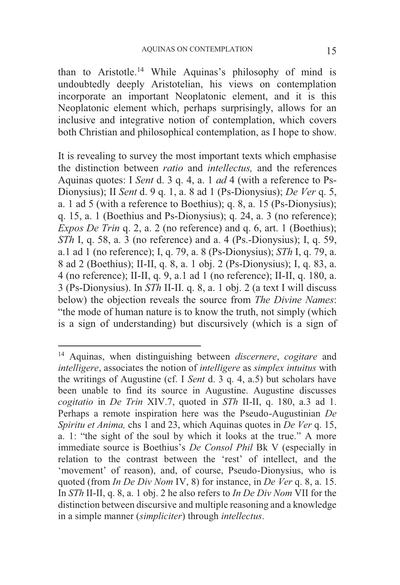than to Aristotle.14 While Aquinas's philosophy of mind is undoubtedly deeply Aristotelian, his views on contemplation incorporate an important Neoplatonic element, and it is this Neoplatonic element which, perhaps surprisingly, allows for an inclusive and integrative notion of contemplation, which covers both Christian and philosophical contemplation, as I hope to show.

It is revealing to survey the most important texts which emphasise the distinction between *ratio* and *intellectus,* and the references Aquinas quotes: I *Sent* d. 3 q. 4, a. 1 *ad* 4 (with a reference to Ps-Dionysius); II *Sent* d. 9 q. 1, a. 8 ad 1 (Ps-Dionysius); *De Ver* q. 5, a. 1 ad 5 (with a reference to Boethius); q. 8, a. 15 (Ps-Dionysius); q. 15, a. 1 (Boethius and Ps-Dionysius); q. 24, a. 3 (no reference); *Expos De Trin* q. 2, a. 2 (no reference) and q. 6, art. 1 (Boethius); *STh* I, q. 58, a. 3 (no reference) and a. 4 (Ps.-Dionysius); I, q. 59, a.1 ad 1 (no reference); I, q. 79, a. 8 (Ps-Dionysius); *STh* I, q. 79, a. 8 ad 2 (Boethius); II-II, q. 8, a. 1 obj. 2 (Ps-Dionysius); I, q. 83, a. 4 (no reference); II-II, q. 9, a.1 ad 1 (no reference); II-II, q. 180, a. 3 (Ps-Dionysius). In *STh* II-II. q. 8, a. 1 obj. 2 (a text I will discuss below) the objection reveals the source from *The Divine Names*: "the mode of human nature is to know the truth, not simply (which is a sign of understanding) but discursively (which is a sign of

<sup>14</sup> Aquinas, when distinguishing between *discernere*, *cogitare* and *intelligere*, associates the notion of *intelligere* as *simplex intuitus* with the writings of Augustine (cf. I *Sent* d. 3 q. 4, a.5) but scholars have been unable to find its source in Augustine. Augustine discusses *cogitatio* in *De Trin* XIV.7, quoted in *STh* II-II, q. 180, a.3 ad 1. Perhaps a remote inspiration here was the Pseudo-Augustinian *De Spiritu et Anima,* chs 1 and 23, which Aquinas quotes in *De Ver* q. 15, a. 1: "the sight of the soul by which it looks at the true." A more immediate source is Boethius's *De Consol Phil* Bk V (especially in relation to the contrast between the 'rest' of intellect, and the 'movement' of reason), and, of course, Pseudo-Dionysius, who is quoted (from *In De Div Nom* IV, 8) for instance, in *De Ver* q. 8, a. 15. In *STh* II-II, q. 8, a. 1 obj. 2 he also refers to *In De Div Nom* VII for the distinction between discursive and multiple reasoning and a knowledge in a simple manner (*simpliciter*) through *intellectus*.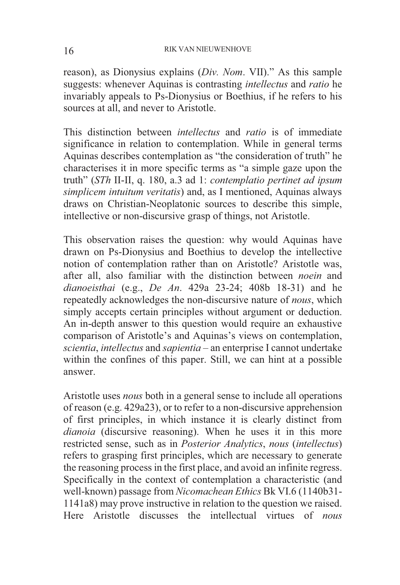reason), as Dionysius explains (*Div. Nom*. VII)." As this sample suggests: whenever Aquinas is contrasting *intellectus* and *ratio* he invariably appeals to Ps-Dionysius or Boethius, if he refers to his sources at all, and never to Aristotle.

This distinction between *intellectus* and *ratio* is of immediate significance in relation to contemplation. While in general terms Aquinas describes contemplation as "the consideration of truth" he characterises it in more specific terms as "a simple gaze upon the truth" (*STh* II-II, q. 180, a.3 ad 1: *contemplatio pertinet ad ipsum simplicem intuitum veritatis*) and, as I mentioned, Aquinas always draws on Christian-Neoplatonic sources to describe this simple, intellective or non-discursive grasp of things, not Aristotle.

This observation raises the question: why would Aquinas have drawn on Ps-Dionysius and Boethius to develop the intellective notion of contemplation rather than on Aristotle? Aristotle was, after all, also familiar with the distinction between *noein* and *dianoeisthai* (e.g., *De An*. 429a 23-24; 408b 18-31) and he repeatedly acknowledges the non-discursive nature of *nous*, which simply accepts certain principles without argument or deduction. An in-depth answer to this question would require an exhaustive comparison of Aristotle's and Aquinas's views on contemplation, *scientia*, *intellectus* and *sapientia* – an enterprise I cannot undertake within the confines of this paper. Still, we can hint at a possible answer.

Aristotle uses *nous* both in a general sense to include all operations of reason (e.g. 429a23), or to refer to a non-discursive apprehension of first principles, in which instance it is clearly distinct from *dianoia* (discursive reasoning). When he uses it in this more restricted sense, such as in *Posterior Analytics*, *nous* (*intellectus*) refers to grasping first principles, which are necessary to generate the reasoning process in the first place, and avoid an infinite regress. Specifically in the context of contemplation a characteristic (and well-known) passage from *Nicomachean Ethics* Bk VI.6 (1140b31- 1141a8) may prove instructive in relation to the question we raised. Here Aristotle discusses the intellectual virtues of *nous*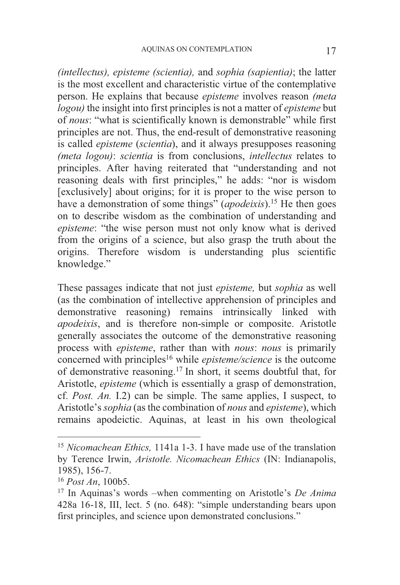*(intellectus), episteme (scientia),* and *sophia (sapientia)*; the latter is the most excellent and characteristic virtue of the contemplative person. He explains that because *episteme* involves reason *(meta logou)* the insight into first principles is not a matter of *episteme* but of *nous*: "what is scientifically known is demonstrable" while first principles are not. Thus, the end-result of demonstrative reasoning is called *episteme* (*scientia*), and it always presupposes reasoning *(meta logou)*: *scientia* is from conclusions, *intellectus* relates to principles. After having reiterated that "understanding and not reasoning deals with first principles," he adds: "nor is wisdom [exclusively] about origins; for it is proper to the wise person to have a demonstration of some things" (*apodeixis*).<sup>15</sup> He then goes on to describe wisdom as the combination of understanding and *episteme*: "the wise person must not only know what is derived from the origins of a science, but also grasp the truth about the origins. Therefore wisdom is understanding plus scientific knowledge."

These passages indicate that not just *episteme,* but *sophia* as well (as the combination of intellective apprehension of principles and demonstrative reasoning) remains intrinsically linked with *apodeixis*, and is therefore non-simple or composite. Aristotle generally associates the outcome of the demonstrative reasoning process with *episteme*, rather than with *nous*: *nous* is primarily concerned with principles16 while *episteme/science* is the outcome of demonstrative reasoning.17 In short, it seems doubtful that, for Aristotle, *episteme* (which is essentially a grasp of demonstration, cf. *Post. An.* I.2) can be simple. The same applies, I suspect, to Aristotle's *sophia* (as the combination of *nous* and *episteme*), which remains apodeictic. Aquinas, at least in his own theological

<sup>15</sup> *Nicomachean Ethics,* 1141a 1-3. I have made use of the translation by Terence Irwin, *Aristotle. Nicomachean Ethics* (IN: Indianapolis, 1985), 156-7.

<sup>&</sup>lt;sup>16</sup> *Post An*, 100b5.<br><sup>17</sup> In Aquinas's words –when commenting on Aristotle's *De Anima* 428a 16-18, III, lect. 5 (no. 648): "simple understanding bears upon first principles, and science upon demonstrated conclusions."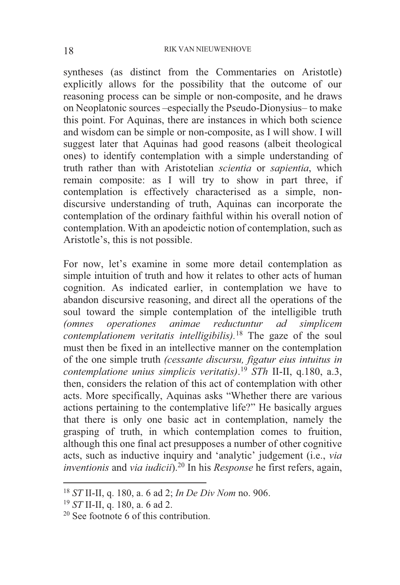syntheses (as distinct from the Commentaries on Aristotle) explicitly allows for the possibility that the outcome of our reasoning process can be simple or non-composite, and he draws on Neoplatonic sources –especially the Pseudo-Dionysius– to make this point. For Aquinas, there are instances in which both science and wisdom can be simple or non-composite, as I will show. I will suggest later that Aquinas had good reasons (albeit theological ones) to identify contemplation with a simple understanding of truth rather than with Aristotelian *scientia* or *sapientia*, which remain composite: as I will try to show in part three, if contemplation is effectively characterised as a simple, nondiscursive understanding of truth, Aquinas can incorporate the contemplation of the ordinary faithful within his overall notion of contemplation. With an apodeictic notion of contemplation, such as Aristotle's, this is not possible.

For now, let's examine in some more detail contemplation as simple intuition of truth and how it relates to other acts of human cognition. As indicated earlier, in contemplation we have to abandon discursive reasoning, and direct all the operations of the soul toward the simple contemplation of the intelligible truth *(omnes operationes animae reductuntur ad simplicem contemplationem veritatis intelligibilis).*<sup>18</sup> The gaze of the soul must then be fixed in an intellective manner on the contemplation of the one simple truth *(cessante discursu, figatur eius intuitus in contemplatione unius simplicis veritatis)*. <sup>19</sup> *STh* II-II, q.180, a.3, then, considers the relation of this act of contemplation with other acts. More specifically, Aquinas asks "Whether there are various actions pertaining to the contemplative life?" He basically argues that there is only one basic act in contemplation, namely the grasping of truth, in which contemplation comes to fruition, although this one final act presupposes a number of other cognitive acts, such as inductive inquiry and 'analytic' judgement (i.e., *via inventionis* and *via iudicii*).20 In his *Response* he first refers, again,

-

<sup>&</sup>lt;sup>18</sup> *ST* II-II, q. 180, a. 6 ad 2; *In De Div Nom* no. 906.<br><sup>19</sup> *ST* II-II, q. 180, a. 6 ad 2.<br><sup>20</sup> See footnote 6 of this contribution.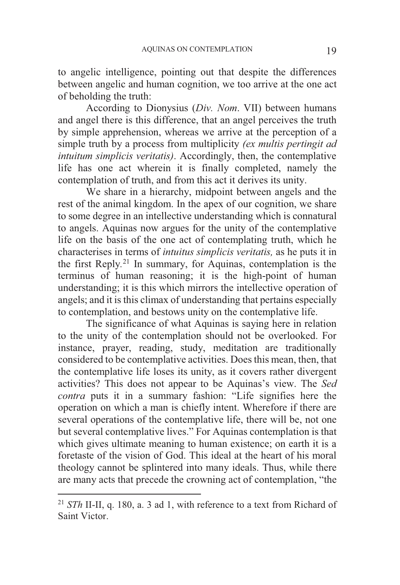to angelic intelligence, pointing out that despite the differences between angelic and human cognition, we too arrive at the one act of beholding the truth:

 According to Dionysius (*Div. Nom*. VII) between humans and angel there is this difference, that an angel perceives the truth by simple apprehension, whereas we arrive at the perception of a simple truth by a process from multiplicity *(ex multis pertingit ad intuitum simplicis veritatis)*. Accordingly, then, the contemplative life has one act wherein it is finally completed, namely the contemplation of truth, and from this act it derives its unity.

 We share in a hierarchy, midpoint between angels and the rest of the animal kingdom. In the apex of our cognition, we share to some degree in an intellective understanding which is connatural to angels. Aquinas now argues for the unity of the contemplative life on the basis of the one act of contemplating truth, which he characterises in terms of *intuitus simplicis veritatis,* as he puts it in the first Reply*.* 21 In summary, for Aquinas, contemplation is the terminus of human reasoning; it is the high-point of human understanding; it is this which mirrors the intellective operation of angels; and it is this climax of understanding that pertains especially to contemplation, and bestows unity on the contemplative life.

 The significance of what Aquinas is saying here in relation to the unity of the contemplation should not be overlooked. For instance, prayer, reading, study, meditation are traditionally considered to be contemplative activities. Does this mean, then, that the contemplative life loses its unity, as it covers rather divergent activities? This does not appear to be Aquinas's view. The *Sed contra* puts it in a summary fashion: "Life signifies here the operation on which a man is chiefly intent. Wherefore if there are several operations of the contemplative life, there will be, not one but several contemplative lives." For Aquinas contemplation is that which gives ultimate meaning to human existence; on earth it is a foretaste of the vision of God. This ideal at the heart of his moral theology cannot be splintered into many ideals. Thus, while there are many acts that precede the crowning act of contemplation, "the

1

<sup>21</sup> *STh* II-II, q. 180, a. 3 ad 1, with reference to a text from Richard of Saint Victor.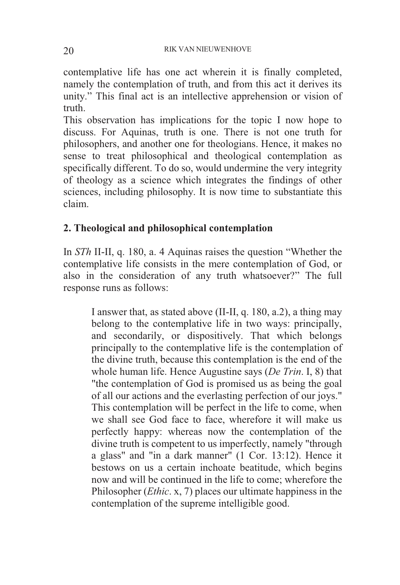contemplative life has one act wherein it is finally completed, namely the contemplation of truth, and from this act it derives its unity." This final act is an intellective apprehension or vision of truth.

This observation has implications for the topic I now hope to discuss. For Aquinas, truth is one. There is not one truth for philosophers, and another one for theologians. Hence, it makes no sense to treat philosophical and theological contemplation as specifically different. To do so, would undermine the very integrity of theology as a science which integrates the findings of other sciences, including philosophy. It is now time to substantiate this claim.

## **2. Theological and philosophical contemplation**

In *STh* II-II, q. 180, a. 4 Aquinas raises the question "Whether the contemplative life consists in the mere contemplation of God, or also in the consideration of any truth whatsoever?" The full response runs as follows:

I answer that, as stated above (II-II, q. 180, a.2), a thing may belong to the contemplative life in two ways: principally, and secondarily, or dispositively. That which belongs principally to the contemplative life is the contemplation of the divine truth, because this contemplation is the end of the whole human life. Hence Augustine says (*De Trin*. I, 8) that "the contemplation of God is promised us as being the goal of all our actions and the everlasting perfection of our joys." This contemplation will be perfect in the life to come, when we shall see God face to face, wherefore it will make us perfectly happy: whereas now the contemplation of the divine truth is competent to us imperfectly, namely "through a glass" and "in a dark manner" (1 Cor. 13:12). Hence it bestows on us a certain inchoate beatitude, which begins now and will be continued in the life to come; wherefore the Philosopher (*Ethic*. x, 7) places our ultimate happiness in the contemplation of the supreme intelligible good.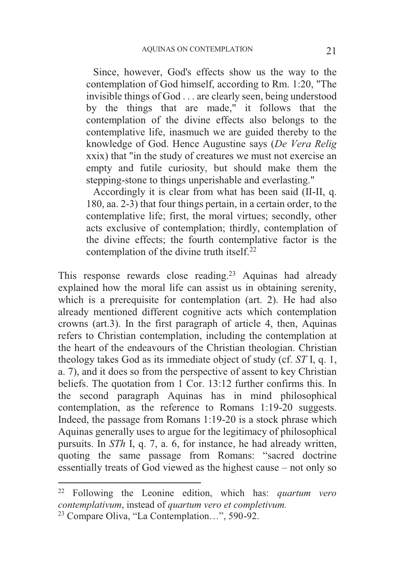Since, however, God's effects show us the way to the contemplation of God himself, according to Rm. 1:20, "The invisible things of God . . . are clearly seen, being understood by the things that are made," it follows that the contemplation of the divine effects also belongs to the contemplative life, inasmuch we are guided thereby to the knowledge of God. Hence Augustine says (*De Vera Relig* xxix) that "in the study of creatures we must not exercise an empty and futile curiosity, but should make them the stepping-stone to things unperishable and everlasting."

 Accordingly it is clear from what has been said (II-II, q. 180, aa. 2-3) that four things pertain, in a certain order, to the contemplative life; first, the moral virtues; secondly, other acts exclusive of contemplation; thirdly, contemplation of the divine effects; the fourth contemplative factor is the contemplation of the divine truth itself. $^{22}$ 

This response rewards close reading.<sup>23</sup> Aquinas had already explained how the moral life can assist us in obtaining serenity, which is a prerequisite for contemplation (art. 2). He had also already mentioned different cognitive acts which contemplation crowns (art.3). In the first paragraph of article 4, then, Aquinas refers to Christian contemplation, including the contemplation at the heart of the endeavours of the Christian theologian. Christian theology takes God as its immediate object of study (cf. *ST* I, q. 1, a. 7), and it does so from the perspective of assent to key Christian beliefs. The quotation from 1 Cor. 13:12 further confirms this. In the second paragraph Aquinas has in mind philosophical contemplation, as the reference to Romans 1:19-20 suggests. Indeed, the passage from Romans 1:19-20 is a stock phrase which Aquinas generally uses to argue for the legitimacy of philosophical pursuits. In *STh* I, q. 7, a. 6, for instance, he had already written, quoting the same passage from Romans: "sacred doctrine essentially treats of God viewed as the highest cause – not only so

-

<sup>22</sup> Following the Leonine edition, which has: *quartum vero contemplativum*, instead of *quartum vero et completivum.* 

<sup>23</sup> Compare Oliva, "La Contemplation…", 590-92.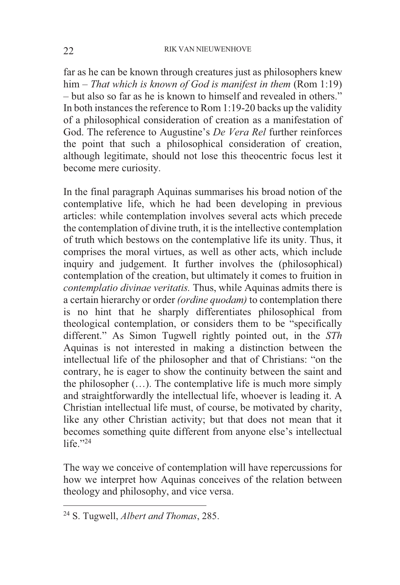far as he can be known through creatures just as philosophers knew him – *That which is known of God is manifest in them* (Rom 1:19) – but also so far as he is known to himself and revealed in others." In both instances the reference to Rom 1:19-20 backs up the validity of a philosophical consideration of creation as a manifestation of God. The reference to Augustine's *De Vera Rel* further reinforces the point that such a philosophical consideration of creation, although legitimate, should not lose this theocentric focus lest it become mere curiosity.

In the final paragraph Aquinas summarises his broad notion of the contemplative life, which he had been developing in previous articles: while contemplation involves several acts which precede the contemplation of divine truth, it is the intellective contemplation of truth which bestows on the contemplative life its unity. Thus, it comprises the moral virtues, as well as other acts, which include inquiry and judgement. It further involves the (philosophical) contemplation of the creation, but ultimately it comes to fruition in *contemplatio divinae veritatis.* Thus, while Aquinas admits there is a certain hierarchy or order *(ordine quodam)* to contemplation there is no hint that he sharply differentiates philosophical from theological contemplation, or considers them to be "specifically different." As Simon Tugwell rightly pointed out, in the *STh* Aquinas is not interested in making a distinction between the intellectual life of the philosopher and that of Christians: "on the contrary, he is eager to show the continuity between the saint and the philosopher (…). The contemplative life is much more simply and straightforwardly the intellectual life, whoever is leading it. A Christian intellectual life must, of course, be motivated by charity, like any other Christian activity; but that does not mean that it becomes something quite different from anyone else's intellectual life $"24$ 

The way we conceive of contemplation will have repercussions for how we interpret how Aquinas conceives of the relation between theology and philosophy, and vice versa.

<sup>24</sup> S. Tugwell, *Albert and Thomas*, 285.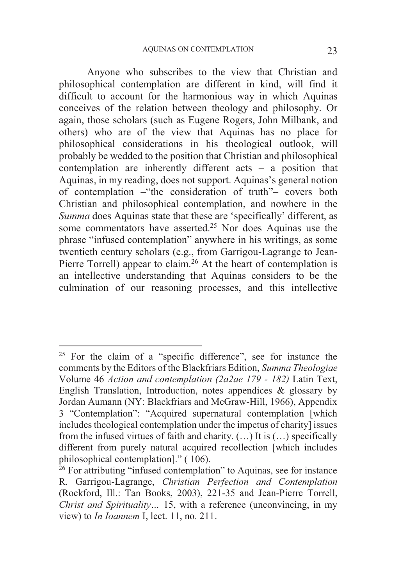Anyone who subscribes to the view that Christian and philosophical contemplation are different in kind, will find it difficult to account for the harmonious way in which Aquinas conceives of the relation between theology and philosophy. Or again, those scholars (such as Eugene Rogers, John Milbank, and others) who are of the view that Aquinas has no place for philosophical considerations in his theological outlook, will probably be wedded to the position that Christian and philosophical contemplation are inherently different acts – a position that Aquinas, in my reading, does not support. Aquinas's general notion of contemplation –"the consideration of truth"– covers both Christian and philosophical contemplation, and nowhere in the *Summa* does Aquinas state that these are 'specifically' different, as some commentators have asserted.<sup>25</sup> Nor does Aquinas use the phrase "infused contemplation" anywhere in his writings, as some twentieth century scholars (e.g., from Garrigou-Lagrange to Jean-Pierre Torrell) appear to claim.<sup>26</sup> At the heart of contemplation is an intellective understanding that Aquinas considers to be the culmination of our reasoning processes, and this intellective

<sup>25</sup> For the claim of a "specific difference", see for instance the comments by the Editors of the Blackfriars Edition, *Summa Theologiae* Volume 46 *Action and contemplation (2a2ae 179 - 182)* Latin Text, English Translation, Introduction, notes appendices & glossary by Jordan Aumann (NY: Blackfriars and McGraw-Hill, 1966), Appendix 3 "Contemplation": "Acquired supernatural contemplation [which includes theological contemplation under the impetus of charity] issues from the infused virtues of faith and charity. (…) It is (…) specifically different from purely natural acquired recollection [which includes philosophical contemplation]." ( 106).

<sup>&</sup>lt;sup>26</sup> For attributing "infused contemplation" to Aquinas, see for instance R. Garrigou-Lagrange, *Christian Perfection and Contemplation* (Rockford, Ill.: Tan Books, 2003), 221-35 and Jean-Pierre Torrell, *Christ and Spirituality...* 15, with a reference (unconvincing, in my view) to *In Ioannem* I, lect. 11, no. 211.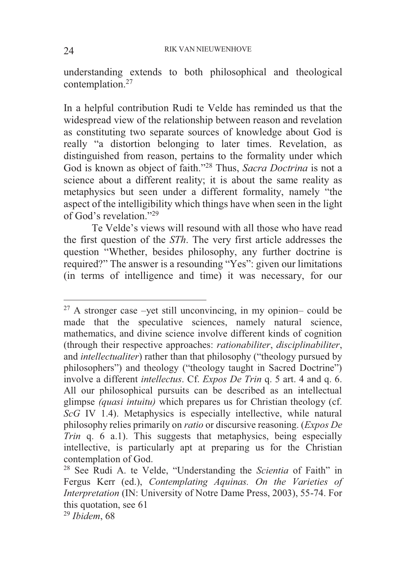understanding extends to both philosophical and theological contemplation.27

In a helpful contribution Rudi te Velde has reminded us that the widespread view of the relationship between reason and revelation as constituting two separate sources of knowledge about God is really "a distortion belonging to later times. Revelation, as distinguished from reason, pertains to the formality under which God is known as object of faith."28 Thus, *Sacra Doctrina* is not a science about a different reality; it is about the same reality as metaphysics but seen under a different formality, namely "the aspect of the intelligibility which things have when seen in the light of God's revelation<sup>"29</sup>

Te Velde's views will resound with all those who have read the first question of the *STh*. The very first article addresses the question "Whether, besides philosophy, any further doctrine is required?" The answer is a resounding "Yes": given our limitations (in terms of intelligence and time) it was necessary, for our

-

 $27$  A stronger case –yet still unconvincing, in my opinion– could be made that the speculative sciences, namely natural science, mathematics, and divine science involve different kinds of cognition (through their respective approaches: *rationabiliter*, *disciplinabiliter*, and *intellectualiter*) rather than that philosophy ("theology pursued by philosophers") and theology ("theology taught in Sacred Doctrine") involve a different *intellectus*. Cf. *Expos De Trin* q. 5 art. 4 and q. 6. All our philosophical pursuits can be described as an intellectual glimpse *(quasi intuitu)* which prepares us for Christian theology (cf. *ScG* IV 1.4). Metaphysics is especially intellective, while natural philosophy relies primarily on *ratio* or discursive reasoning. (*Expos De Trin* q. 6 a.1). This suggests that metaphysics, being especially intellective, is particularly apt at preparing us for the Christian contemplation of God.

<sup>28</sup> See Rudi A. te Velde, "Understanding the *Scientia* of Faith" in Fergus Kerr (ed.), *Contemplating Aquinas. On the Varieties of Interpretation* (IN: University of Notre Dame Press, 2003), 55-74. For this quotation, see 61

<sup>29</sup> *Ibidem*, 68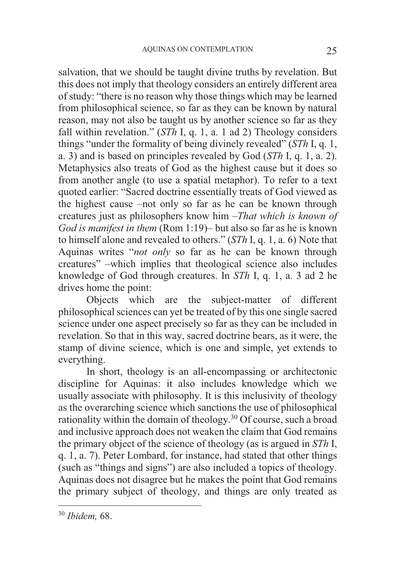salvation, that we should be taught divine truths by revelation. But this does not imply that theology considers an entirely different area of study: "there is no reason why those things which may be learned from philosophical science, so far as they can be known by natural reason, may not also be taught us by another science so far as they fall within revelation." (*STh* I, q. 1, a. 1 ad 2) Theology considers things "under the formality of being divinely revealed" (*STh* I, q. 1, a. 3) and is based on principles revealed by God (*STh* I, q. 1, a. 2). Metaphysics also treats of God as the highest cause but it does so from another angle (to use a spatial metaphor). To refer to a text quoted earlier: "Sacred doctrine essentially treats of God viewed as the highest cause –not only so far as he can be known through creatures just as philosophers know him –*That which is known of God is manifest in them* (Rom 1:19)– but also so far as he is known to himself alone and revealed to others." (*STh* I, q. 1, a. 6) Note that Aquinas writes "*not only* so far as he can be known through creatures" –which implies that theological science also includes knowledge of God through creatures. In *STh* I, q. 1, a. 3 ad 2 he drives home the point:

 Objects which are the subject-matter of different philosophical sciences can yet be treated of by this one single sacred science under one aspect precisely so far as they can be included in revelation. So that in this way, sacred doctrine bears, as it were, the stamp of divine science, which is one and simple, yet extends to everything.

 In short, theology is an all-encompassing or architectonic discipline for Aquinas: it also includes knowledge which we usually associate with philosophy. It is this inclusivity of theology as the overarching science which sanctions the use of philosophical rationality within the domain of theology.30 Of course, such a broad and inclusive approach does not weaken the claim that God remains the primary object of the science of theology (as is argued in *STh* I, q. 1, a. 7). Peter Lombard, for instance, had stated that other things (such as "things and signs") are also included a topics of theology. Aquinas does not disagree but he makes the point that God remains the primary subject of theology, and things are only treated as

<sup>30</sup> *Ibidem,* 68.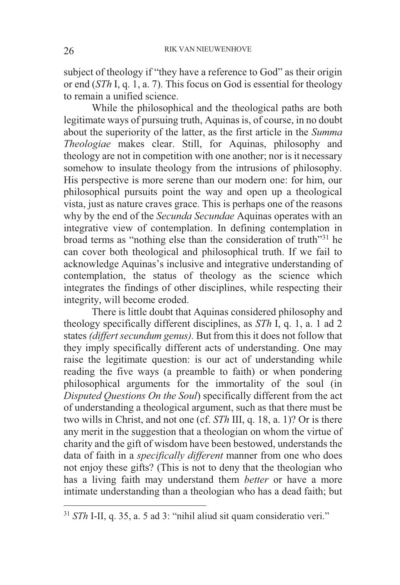subject of theology if "they have a reference to God" as their origin or end (*STh* I, q. 1, a. 7). This focus on God is essential for theology to remain a unified science.

 While the philosophical and the theological paths are both legitimate ways of pursuing truth, Aquinas is, of course, in no doubt about the superiority of the latter, as the first article in the *Summa Theologiae* makes clear. Still, for Aquinas, philosophy and theology are not in competition with one another; nor is it necessary somehow to insulate theology from the intrusions of philosophy. His perspective is more serene than our modern one: for him, our philosophical pursuits point the way and open up a theological vista, just as nature craves grace. This is perhaps one of the reasons why by the end of the *Secunda Secundae* Aquinas operates with an integrative view of contemplation. In defining contemplation in broad terms as "nothing else than the consideration of truth"31 he can cover both theological and philosophical truth. If we fail to acknowledge Aquinas's inclusive and integrative understanding of contemplation, the status of theology as the science which integrates the findings of other disciplines, while respecting their integrity, will become eroded.

 There is little doubt that Aquinas considered philosophy and theology specifically different disciplines, as *STh* I, q. 1, a. 1 ad 2 states *(differt secundum genus).* But from this it does not follow that they imply specifically different acts of understanding. One may raise the legitimate question: is our act of understanding while reading the five ways (a preamble to faith) or when pondering philosophical arguments for the immortality of the soul (in *Disputed Questions On the Soul*) specifically different from the act of understanding a theological argument, such as that there must be two wills in Christ, and not one (cf. *STh* III, q. 18, a. 1)? Or is there any merit in the suggestion that a theologian on whom the virtue of charity and the gift of wisdom have been bestowed, understands the data of faith in a *specifically different* manner from one who does not enjoy these gifts? (This is not to deny that the theologian who has a living faith may understand them *better* or have a more intimate understanding than a theologian who has a dead faith; but

-

<sup>31</sup> *STh* I-II, q. 35, a. 5 ad 3: "nihil aliud sit quam consideratio veri."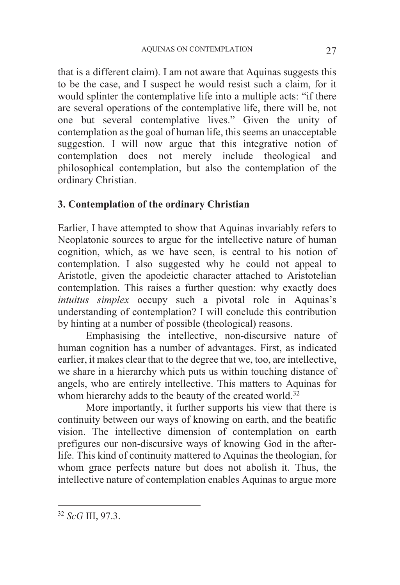that is a different claim). I am not aware that Aquinas suggests this to be the case, and I suspect he would resist such a claim, for it would splinter the contemplative life into a multiple acts: "if there are several operations of the contemplative life, there will be, not one but several contemplative lives." Given the unity of contemplation as the goal of human life, this seems an unacceptable suggestion. I will now argue that this integrative notion of contemplation does not merely include theological and philosophical contemplation, but also the contemplation of the ordinary Christian.

## **3. Contemplation of the ordinary Christian**

Earlier, I have attempted to show that Aquinas invariably refers to Neoplatonic sources to argue for the intellective nature of human cognition, which, as we have seen, is central to his notion of contemplation. I also suggested why he could not appeal to Aristotle, given the apodeictic character attached to Aristotelian contemplation. This raises a further question: why exactly does *intuitus simplex* occupy such a pivotal role in Aquinas's understanding of contemplation? I will conclude this contribution by hinting at a number of possible (theological) reasons.

 Emphasising the intellective, non-discursive nature of human cognition has a number of advantages. First, as indicated earlier, it makes clear that to the degree that we, too, are intellective, we share in a hierarchy which puts us within touching distance of angels, who are entirely intellective. This matters to Aquinas for whom hierarchy adds to the beauty of the created world.<sup>32</sup>

 More importantly, it further supports his view that there is continuity between our ways of knowing on earth, and the beatific vision. The intellective dimension of contemplation on earth prefigures our non-discursive ways of knowing God in the afterlife. This kind of continuity mattered to Aquinas the theologian, for whom grace perfects nature but does not abolish it. Thus, the intellective nature of contemplation enables Aquinas to argue more

<sup>32</sup> *ScG* III, 97.3.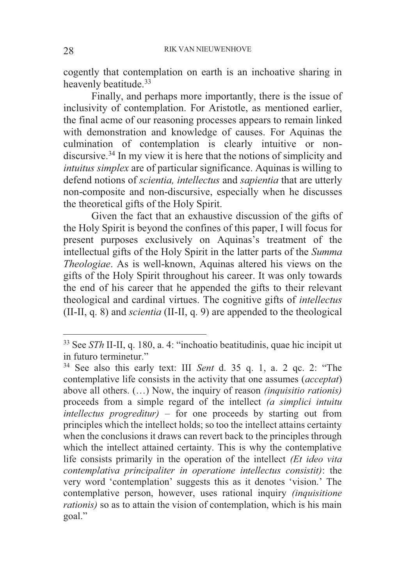cogently that contemplation on earth is an inchoative sharing in heavenly beatitude.<sup>33</sup>

 Finally, and perhaps more importantly, there is the issue of inclusivity of contemplation. For Aristotle, as mentioned earlier, the final acme of our reasoning processes appears to remain linked with demonstration and knowledge of causes. For Aquinas the culmination of contemplation is clearly intuitive or nondiscursive.<sup>34</sup> In my view it is here that the notions of simplicity and *intuitus simplex* are of particular significance. Aquinas is willing to defend notions of *scientia, intellectus* and *sapientia* that are utterly non-composite and non-discursive, especially when he discusses the theoretical gifts of the Holy Spirit.

 Given the fact that an exhaustive discussion of the gifts of the Holy Spirit is beyond the confines of this paper, I will focus for present purposes exclusively on Aquinas's treatment of the intellectual gifts of the Holy Spirit in the latter parts of the *Summa Theologiae*. As is well-known, Aquinas altered his views on the gifts of the Holy Spirit throughout his career. It was only towards the end of his career that he appended the gifts to their relevant theological and cardinal virtues. The cognitive gifts of *intellectus* (II-II, q. 8) and *scientia* (II-II, q. 9) are appended to the theological

<sup>33</sup> See *STh* II-II, q. 180, a. 4: "inchoatio beatitudinis, quae hic incipit ut in futuro terminetur."

<sup>34</sup> See also this early text: III *Sent* d. 35 q. 1, a. 2 qc. 2: "The contemplative life consists in the activity that one assumes (*acceptat*) above all others. (…) Now, the inquiry of reason *(inquisitio rationis)* proceeds from a simple regard of the intellect *(a simplici intuitu intellectus progreditur*) – for one proceeds by starting out from principles which the intellect holds; so too the intellect attains certainty when the conclusions it draws can revert back to the principles through which the intellect attained certainty. This is why the contemplative life consists primarily in the operation of the intellect *(Et ideo vita contemplativa principaliter in operatione intellectus consistit)*: the very word 'contemplation' suggests this as it denotes 'vision.' The contemplative person, however, uses rational inquiry *(inquisitione rationis)* so as to attain the vision of contemplation, which is his main goal."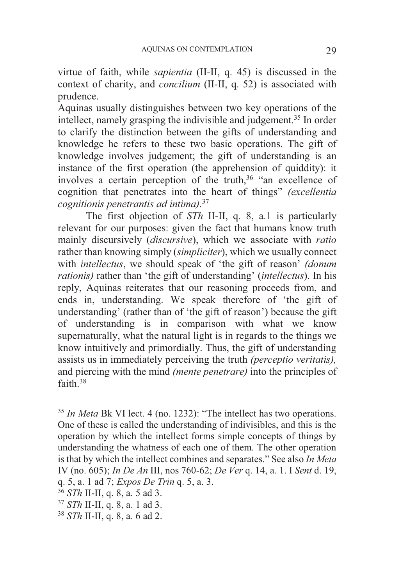virtue of faith, while *sapientia* (II-II, q. 45) is discussed in the context of charity, and *concilium* (II-II, q. 52) is associated with prudence.

Aquinas usually distinguishes between two key operations of the intellect, namely grasping the indivisible and judgement.35 In order to clarify the distinction between the gifts of understanding and knowledge he refers to these two basic operations. The gift of knowledge involves judgement; the gift of understanding is an instance of the first operation (the apprehension of quiddity): it involves a certain perception of the truth,<sup>36</sup> "an excellence of cognition that penetrates into the heart of things" *(excellentia cognitionis penetrantis ad intima).*<sup>37</sup>

 The first objection of *STh* II-II, q. 8, a.1 is particularly relevant for our purposes: given the fact that humans know truth mainly discursively (*discursive*), which we associate with *ratio* rather than knowing simply (*simpliciter*), which we usually connect with *intellectus*, we should speak of 'the gift of reason' *(donum rationis)* rather than 'the gift of understanding' (*intellectus*). In his reply, Aquinas reiterates that our reasoning proceeds from, and ends in, understanding. We speak therefore of 'the gift of understanding' (rather than of 'the gift of reason') because the gift of understanding is in comparison with what we know supernaturally, what the natural light is in regards to the things we know intuitively and primordially. Thus, the gift of understanding assists us in immediately perceiving the truth *(perceptio veritatis),* and piercing with the mind *(mente penetrare)* into the principles of faith.38

<sup>35</sup> *In Meta* Bk VI lect. 4 (no. 1232): "The intellect has two operations. One of these is called the understanding of indivisibles, and this is the operation by which the intellect forms simple concepts of things by understanding the whatness of each one of them. The other operation is that by which the intellect combines and separates." See also *In Meta* IV (no. 605); *In De An* III, nos 760-62; *De Ver* q. 14, a. 1. I *Sent* d. 19, q. 5, a. 1 ad 7; *Expos De Trin* q. 5, a. 3. 36 *STh* II-II, q. 8, a. 5 ad 3. 37 *STh* II-II, q. 8, a. 1 ad 3. 38 *STh* II-II, q. 8, a. 6 ad 2.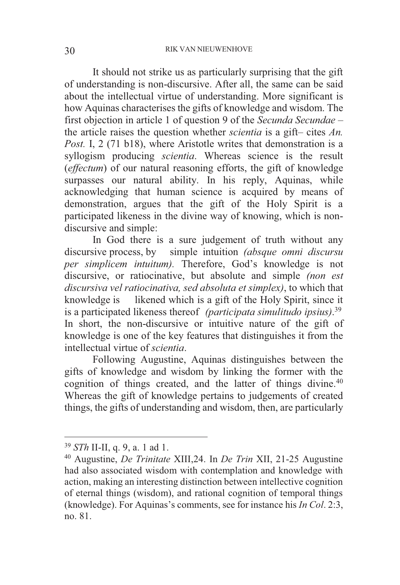It should not strike us as particularly surprising that the gift of understanding is non-discursive. After all, the same can be said about the intellectual virtue of understanding. More significant is how Aquinas characterises the gifts of knowledge and wisdom. The first objection in article 1 of question 9 of the *Secunda Secundae* – the article raises the question whether *scientia* is a gift– cites *An. Post.* I, 2 (71 b18), where Aristotle writes that demonstration is a syllogism producing *scientia*. Whereas science is the result (*effectum*) of our natural reasoning efforts, the gift of knowledge surpasses our natural ability. In his reply, Aquinas, while acknowledging that human science is acquired by means of demonstration, argues that the gift of the Holy Spirit is a participated likeness in the divine way of knowing, which is nondiscursive and simple:

 In God there is a sure judgement of truth without any discursive process, by simple intuition *(absque omni discursu per simplicem intuitum).* Therefore, God's knowledge is not discursive, or ratiocinative, but absolute and simple *(non est discursiva vel ratiocinativa, sed absoluta et simplex)*, to which that knowledge is likened which is a gift of the Holy Spirit, since it is a participated likeness thereof *(participata simulitudo ipsius)*. 39 In short, the non-discursive or intuitive nature of the gift of knowledge is one of the key features that distinguishes it from the intellectual virtue of *scientia*.

 Following Augustine, Aquinas distinguishes between the gifts of knowledge and wisdom by linking the former with the cognition of things created, and the latter of things divine.<sup>40</sup> Whereas the gift of knowledge pertains to judgements of created things, the gifts of understanding and wisdom, then, are particularly

 $39$  STh II-II, g, 9, a, 1 ad 1.

<sup>&</sup>lt;sup>40</sup> Augustine, *De Trinitate XIII, 24. In <i>De Trin XII, 21-25* Augustine had also associated wisdom with contemplation and knowledge with action, making an interesting distinction between intellective cognition of eternal things (wisdom), and rational cognition of temporal things (knowledge). For Aquinas's comments, see for instance his *In Col*. 2:3, no. 81.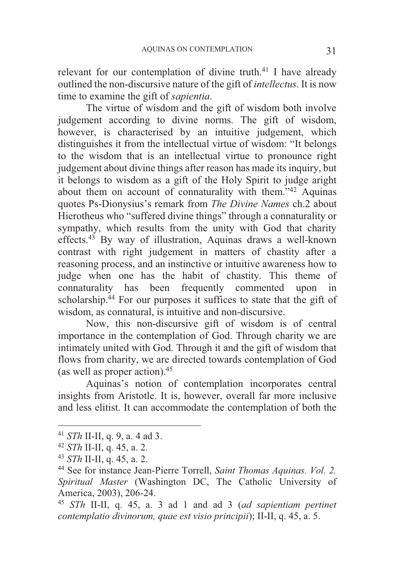relevant for our contemplation of divine truth.<sup>41</sup> I have already outlined the non-discursive nature of the gift of *intellectus*. It is now time to examine the gift of *sapientia*.

 The virtue of wisdom and the gift of wisdom both involve judgement according to divine norms. The gift of wisdom, however, is characterised by an intuitive judgement, which distinguishes it from the intellectual virtue of wisdom: "It belongs to the wisdom that is an intellectual virtue to pronounce right judgement about divine things after reason has made its inquiry, but it belongs to wisdom as a gift of the Holy Spirit to judge aright about them on account of connaturality with them."42 Aquinas quotes Ps-Dionysius's remark from *The Divine Names* ch.2 about Hierotheus who "suffered divine things" through a connaturality or sympathy, which results from the unity with God that charity effects.43 By way of illustration, Aquinas draws a well-known contrast with right judgement in matters of chastity after a reasoning process, and an instinctive or intuitive awareness how to judge when one has the habit of chastity. This theme of connaturality has been frequently commented upon in scholarship.<sup>44</sup> For our purposes it suffices to state that the gift of wisdom, as connatural, is intuitive and non-discursive.

 Now, this non-discursive gift of wisdom is of central importance in the contemplation of God. Through charity we are intimately united with God. Through it and the gift of wisdom that flows from charity, we are directed towards contemplation of God (as well as proper action).45

Aquinas's notion of contemplation incorporates central insights from Aristotle. It is, however, overall far more inclusive and less elitist. It can accommodate the contemplation of both the

1

<sup>41</sup> *STh* II-II, q. 9, a. 4 ad 3.<br>
42 *STh* II-II, q. 45, a. 2.<br>
43 *STh* II-II, q. 45, a. 2.<br>
44 See for instance Jean-Pierre Torrell, *Saint Thomas Aquinas. Vol.* 2. *Spiritual Master* (Washington DC, The Catholic University of America, 2003), 206-24.

<sup>45</sup> *STh* II-II, q. 45, a. 3 ad 1 and ad 3 (*ad sapientiam pertinet contemplatio divinorum, quae est visio principii*); II-II, q. 45, a. 5.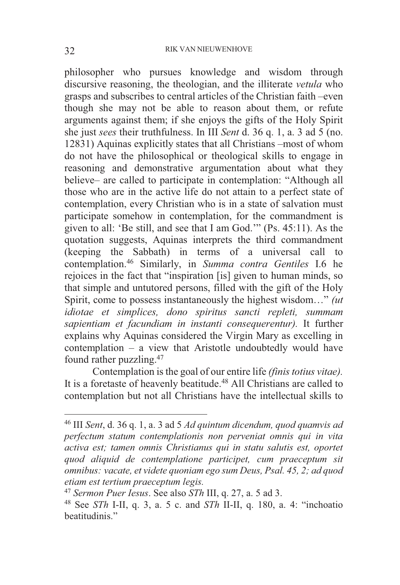philosopher who pursues knowledge and wisdom through discursive reasoning, the theologian, and the illiterate *vetula* who grasps and subscribes to central articles of the Christian faith –even though she may not be able to reason about them, or refute arguments against them; if she enjoys the gifts of the Holy Spirit she just *sees* their truthfulness. In III *Sent* d. 36 q. 1, a. 3 ad 5 (no. 12831) Aquinas explicitly states that all Christians –most of whom do not have the philosophical or theological skills to engage in reasoning and demonstrative argumentation about what they believe– are called to participate in contemplation: "Although all those who are in the active life do not attain to a perfect state of contemplation, every Christian who is in a state of salvation must participate somehow in contemplation, for the commandment is given to all: 'Be still, and see that I am God.'" (Ps. 45:11). As the quotation suggests, Aquinas interprets the third commandment (keeping the Sabbath) in terms of a universal call to contemplation.46 Similarly, in *Summa contra Gentiles* I.6 he rejoices in the fact that "inspiration [is] given to human minds, so that simple and untutored persons, filled with the gift of the Holy Spirit, come to possess instantaneously the highest wisdom…" *(ut idiotae et simplices, dono spiritus sancti repleti, summam sapientiam et facundiam in instanti consequerentur).* It further explains why Aquinas considered the Virgin Mary as excelling in contemplation – a view that Aristotle undoubtedly would have found rather puzzling.47

 Contemplation is the goal of our entire life *(finis totius vitae).* It is a foretaste of heavenly beatitude.<sup>48</sup> All Christians are called to contemplation but not all Christians have the intellectual skills to

-

<sup>46</sup> III *Sent*, d. 36 q. 1, a. 3 ad 5 *Ad quintum dicendum, quod quamvis ad perfectum statum contemplationis non perveniat omnis qui in vita activa est; tamen omnis Christianus qui in statu salutis est, oportet quod aliquid de contemplatione participet, cum praeceptum sit omnibus: vacate, et videte quoniam ego sum Deus, Psal. 45, 2; ad quod etiam est tertium praeceptum legis.*

<sup>47</sup> *Sermon Puer Iesus*. See also *STh* III, q. 27, a. 5 ad 3. 48 See *STh* I-II, q. 3, a. 5 c. and *STh* II-II, q. 180, a. 4: "inchoatio beatitudinis."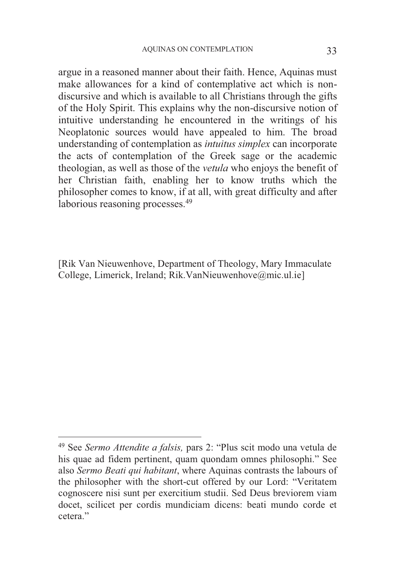argue in a reasoned manner about their faith. Hence, Aquinas must make allowances for a kind of contemplative act which is nondiscursive and which is available to all Christians through the gifts of the Holy Spirit. This explains why the non-discursive notion of intuitive understanding he encountered in the writings of his Neoplatonic sources would have appealed to him. The broad understanding of contemplation as *intuitus simplex* can incorporate the acts of contemplation of the Greek sage or the academic theologian, as well as those of the *vetula* who enjoys the benefit of her Christian faith, enabling her to know truths which the philosopher comes to know, if at all, with great difficulty and after laborious reasoning processes.<sup>49</sup>

[Rik Van Nieuwenhove, Department of Theology, Mary Immaculate College, Limerick, Ireland; Rik.VanNieuwenhove@mic.ul.ie]

<sup>49</sup> See *Sermo Attendite a falsis,* pars 2: "Plus scit modo una vetula de his quae ad fidem pertinent, quam quondam omnes philosophi." See also *Sermo Beati qui habitant*, where Aquinas contrasts the labours of the philosopher with the short-cut offered by our Lord: "Veritatem cognoscere nisi sunt per exercitium studii. Sed Deus breviorem viam docet, scilicet per cordis mundiciam dicens: beati mundo corde et cetera."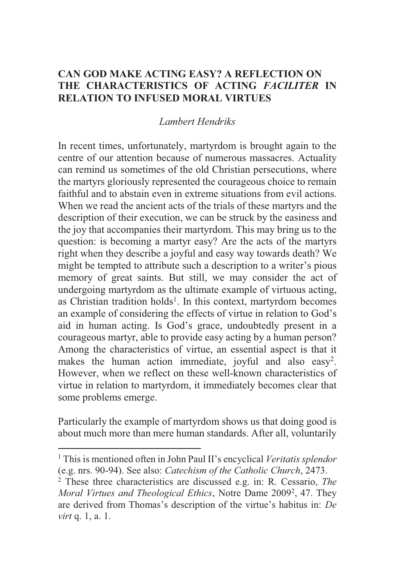# **CAN GOD MAKE ACTING EASY? A REFLECTION ON THE CHARACTERISTICS OF ACTING** *FACILITER* **IN RELATION TO INFUSED MORAL VIRTUES**

# *Lambert Hendriks*

In recent times, unfortunately, martyrdom is brought again to the centre of our attention because of numerous massacres. Actuality can remind us sometimes of the old Christian persecutions, where the martyrs gloriously represented the courageous choice to remain faithful and to abstain even in extreme situations from evil actions. When we read the ancient acts of the trials of these martyrs and the description of their execution, we can be struck by the easiness and the joy that accompanies their martyrdom. This may bring us to the question: is becoming a martyr easy? Are the acts of the martyrs right when they describe a joyful and easy way towards death? We might be tempted to attribute such a description to a writer's pious memory of great saints. But still, we may consider the act of undergoing martyrdom as the ultimate example of virtuous acting, as Christian tradition holds<sup>1</sup>. In this context, martyrdom becomes an example of considering the effects of virtue in relation to God's aid in human acting. Is God's grace, undoubtedly present in a courageous martyr, able to provide easy acting by a human person? Among the characteristics of virtue, an essential aspect is that it makes the human action immediate, joyful and also easy<sup>2</sup>. However, when we reflect on these well-known characteristics of virtue in relation to martyrdom, it immediately becomes clear that some problems emerge.

Particularly the example of martyrdom shows us that doing good is about much more than mere human standards. After all, voluntarily

-

<sup>1</sup> This is mentioned often in John Paul II's encyclical *Veritatis splendor* (e.g. nrs. 90-94). See also: *Catechism of the Catholic Church*, 2473. 2

These three characteristics are discussed e.g. in: R. Cessario, *The*  Moral Virtues and Theological Ethics, Notre Dame 2009<sup>2</sup>, 47. They are derived from Thomas's description of the virtue's habitus in: *De virt* q. 1, a. 1.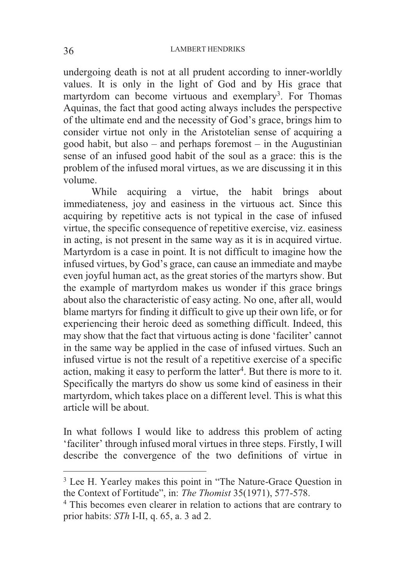undergoing death is not at all prudent according to inner-worldly values. It is only in the light of God and by His grace that martyrdom can become virtuous and exemplary<sup>3</sup>. For Thomas Aquinas, the fact that good acting always includes the perspective of the ultimate end and the necessity of God's grace, brings him to consider virtue not only in the Aristotelian sense of acquiring a good habit, but also – and perhaps foremost – in the Augustinian sense of an infused good habit of the soul as a grace: this is the problem of the infused moral virtues, as we are discussing it in this volume.

 While acquiring a virtue, the habit brings about immediateness, joy and easiness in the virtuous act. Since this acquiring by repetitive acts is not typical in the case of infused virtue, the specific consequence of repetitive exercise, viz. easiness in acting, is not present in the same way as it is in acquired virtue. Martyrdom is a case in point. It is not difficult to imagine how the infused virtues, by God's grace, can cause an immediate and maybe even joyful human act, as the great stories of the martyrs show. But the example of martyrdom makes us wonder if this grace brings about also the characteristic of easy acting. No one, after all, would blame martyrs for finding it difficult to give up their own life, or for experiencing their heroic deed as something difficult. Indeed, this may show that the fact that virtuous acting is done 'faciliter' cannot in the same way be applied in the case of infused virtues. Such an infused virtue is not the result of a repetitive exercise of a specific action, making it easy to perform the latter<sup>4</sup>. But there is more to it. Specifically the martyrs do show us some kind of easiness in their martyrdom, which takes place on a different level. This is what this article will be about.

In what follows I would like to address this problem of acting 'faciliter' through infused moral virtues in three steps. Firstly, I will describe the convergence of the two definitions of virtue in

<sup>&</sup>lt;sup>3</sup> Lee H. Yearley makes this point in "The Nature-Grace Question in the Context of Fortitude", in: *The Thomist* 35(1971), 577-578. 4

<sup>&</sup>lt;sup>4</sup> This becomes even clearer in relation to actions that are contrary to prior habits: *STh* I-II, q. 65, a. 3 ad 2.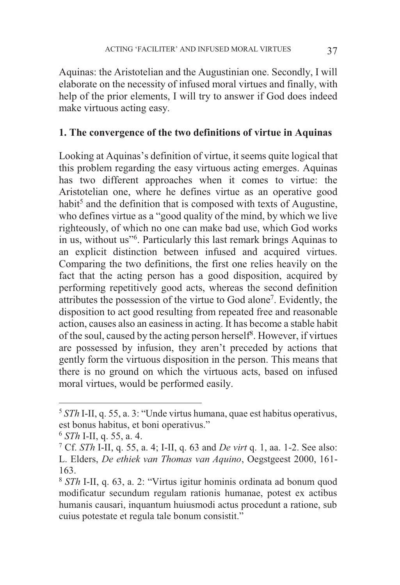Aquinas: the Aristotelian and the Augustinian one. Secondly, I will elaborate on the necessity of infused moral virtues and finally, with help of the prior elements, I will try to answer if God does indeed make virtuous acting easy.

#### **1. The convergence of the two definitions of virtue in Aquinas**

Looking at Aquinas's definition of virtue, it seems quite logical that this problem regarding the easy virtuous acting emerges. Aquinas has two different approaches when it comes to virtue: the Aristotelian one, where he defines virtue as an operative good habit<sup>5</sup> and the definition that is composed with texts of Augustine, who defines virtue as a "good quality of the mind, by which we live righteously, of which no one can make bad use, which God works in us, without us"<sup>6</sup> . Particularly this last remark brings Aquinas to an explicit distinction between infused and acquired virtues. Comparing the two definitions, the first one relies heavily on the fact that the acting person has a good disposition, acquired by performing repetitively good acts, whereas the second definition attributes the possession of the virtue to God alone7. Evidently, the disposition to act good resulting from repeated free and reasonable action, causes also an easiness in acting. It has become a stable habit of the soul, caused by the acting person herself<sup>8</sup>. However, if virtues are possessed by infusion, they aren't preceded by actions that gently form the virtuous disposition in the person. This means that there is no ground on which the virtuous acts, based on infused moral virtues, would be performed easily.

<sup>5</sup> *STh* I-II, q. 55, a. 3: "Unde virtus humana, quae est habitus operativus, est bonus habitus, et boni operativus."

 $6$  *STh* I-II, q. 55, a. 4.

Cf. *STh* I-II, q. 55, a. 4; I-II, q. 63 and *De virt* q. 1, aa. 1-2. See also: L. Elders, *De ethiek van Thomas van Aquino*, Oegstgeest 2000, 161- 163.

<sup>8</sup> *STh* I-II, q. 63, a. 2: "Virtus igitur hominis ordinata ad bonum quod modificatur secundum regulam rationis humanae, potest ex actibus humanis causari, inquantum huiusmodi actus procedunt a ratione, sub cuius potestate et regula tale bonum consistit."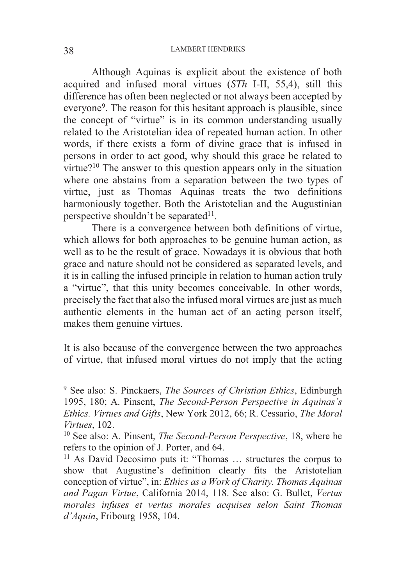#### LAMBERT HENDRIKS 38

 Although Aquinas is explicit about the existence of both acquired and infused moral virtues (*STh* I-II, 55,4), still this difference has often been neglected or not always been accepted by everyone<sup>9</sup>. The reason for this hesitant approach is plausible, since the concept of "virtue" is in its common understanding usually related to the Aristotelian idea of repeated human action. In other words, if there exists a form of divine grace that is infused in persons in order to act good, why should this grace be related to virtue?10 The answer to this question appears only in the situation where one abstains from a separation between the two types of virtue, just as Thomas Aquinas treats the two definitions harmoniously together. Both the Aristotelian and the Augustinian perspective shouldn't be separated $11$ .

 There is a convergence between both definitions of virtue, which allows for both approaches to be genuine human action, as well as to be the result of grace. Nowadays it is obvious that both grace and nature should not be considered as separated levels, and it is in calling the infused principle in relation to human action truly a "virtue", that this unity becomes conceivable. In other words, precisely the fact that also the infused moral virtues are just as much authentic elements in the human act of an acting person itself, makes them genuine virtues.

It is also because of the convergence between the two approaches of virtue, that infused moral virtues do not imply that the acting

<sup>9</sup> See also: S. Pinckaers, *The Sources of Christian Ethics*, Edinburgh 1995, 180; A. Pinsent, *The Second-Person Perspective in Aquinas's Ethics. Virtues and Gifts*, New York 2012, 66; R. Cessario, *The Moral Virtues*, 102.<br><sup>10</sup> See also: A. Pinsent, *The Second-Person Perspective*, 18, where he

refers to the opinion of J. Porter, and 64.

<sup>&</sup>lt;sup>11</sup> As David Decosimo puts it: "Thomas ... structures the corpus to show that Augustine's definition clearly fits the Aristotelian conception of virtue", in: *Ethics as a Work of Charity. Thomas Aquinas and Pagan Virtue*, California 2014, 118. See also: G. Bullet, *Vertus morales infuses et vertus morales acquises selon Saint Thomas d'Aquin*, Fribourg 1958, 104.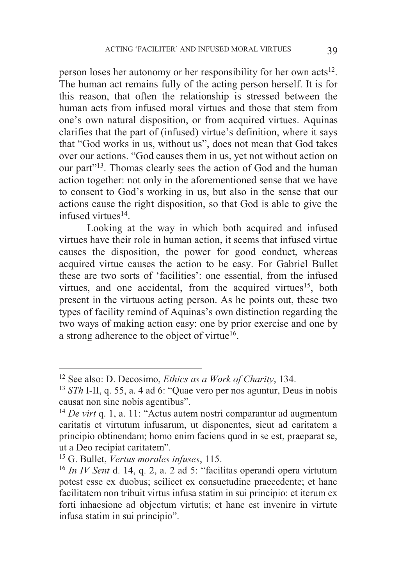person loses her autonomy or her responsibility for her own acts12. The human act remains fully of the acting person herself. It is for this reason, that often the relationship is stressed between the human acts from infused moral virtues and those that stem from one's own natural disposition, or from acquired virtues. Aquinas clarifies that the part of (infused) virtue's definition, where it says that "God works in us, without us", does not mean that God takes over our actions. "God causes them in us, yet not without action on our part"13. Thomas clearly sees the action of God and the human action together: not only in the aforementioned sense that we have to consent to God's working in us, but also in the sense that our actions cause the right disposition, so that God is able to give the infused virtues $14$ .

 Looking at the way in which both acquired and infused virtues have their role in human action, it seems that infused virtue causes the disposition, the power for good conduct, whereas acquired virtue causes the action to be easy. For Gabriel Bullet these are two sorts of 'facilities': one essential, from the infused virtues, and one accidental, from the acquired virtues<sup>15</sup>, both present in the virtuous acting person. As he points out, these two types of facility remind of Aquinas's own distinction regarding the two ways of making action easy: one by prior exercise and one by a strong adherence to the object of virtue<sup>16</sup>.

<sup>&</sup>lt;sup>12</sup> See also: D. Decosimo, *Ethics as a Work of Charity*, 134.<br><sup>13</sup> *STh* I-II, q. 55, a. 4 ad 6: "Quae vero per nos aguntur, Deus in nobis causat non sine nobis agentibus".

<sup>14</sup> *De virt* q. 1, a. 11: "Actus autem nostri comparantur ad augmentum caritatis et virtutum infusarum, ut disponentes, sicut ad caritatem a principio obtinendam; homo enim faciens quod in se est, praeparat se, ut a Deo recipiat caritatem".

<sup>&</sup>lt;sup>15</sup> G. Bullet, *Vertus morales infuses*, 115.<br><sup>16</sup> *In IV Sent* d. 14, q. 2, a. 2 ad 5: "facilitas operandi opera virtutum potest esse ex duobus; scilicet ex consuetudine praecedente; et hanc facilitatem non tribuit virtus infusa statim in sui principio: et iterum ex forti inhaesione ad objectum virtutis; et hanc est invenire in virtute infusa statim in sui principio".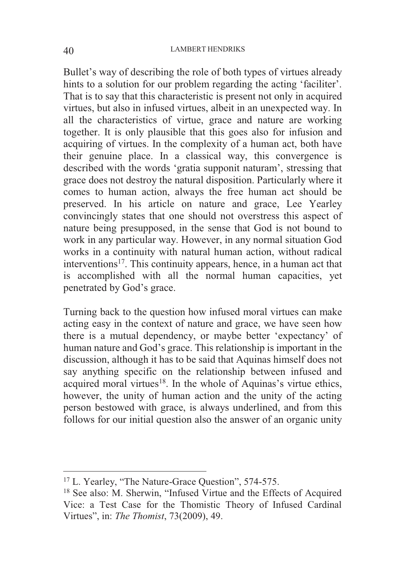Bullet's way of describing the role of both types of virtues already hints to a solution for our problem regarding the acting 'faciliter'. That is to say that this characteristic is present not only in acquired virtues, but also in infused virtues, albeit in an unexpected way. In all the characteristics of virtue, grace and nature are working together. It is only plausible that this goes also for infusion and acquiring of virtues. In the complexity of a human act, both have their genuine place. In a classical way, this convergence is described with the words 'gratia supponit naturam', stressing that grace does not destroy the natural disposition. Particularly where it comes to human action, always the free human act should be preserved. In his article on nature and grace, Lee Yearley convincingly states that one should not overstress this aspect of nature being presupposed, in the sense that God is not bound to work in any particular way. However, in any normal situation God works in a continuity with natural human action, without radical interventions<sup>17</sup>. This continuity appears, hence, in a human act that is accomplished with all the normal human capacities, yet penetrated by God's grace.

Turning back to the question how infused moral virtues can make acting easy in the context of nature and grace, we have seen how there is a mutual dependency, or maybe better 'expectancy' of human nature and God's grace. This relationship is important in the discussion, although it has to be said that Aquinas himself does not say anything specific on the relationship between infused and acquired moral virtues<sup>18</sup>. In the whole of Aquinas's virtue ethics, however, the unity of human action and the unity of the acting person bestowed with grace, is always underlined, and from this follows for our initial question also the answer of an organic unity

<sup>&</sup>lt;sup>17</sup> L. Yearley, "The Nature-Grace Question", 574-575.

 $18$  See also: M. Sherwin, "Infused Virtue and the Effects of Acquired Vice: a Test Case for the Thomistic Theory of Infused Cardinal Virtues", in: *The Thomist*, 73(2009), 49.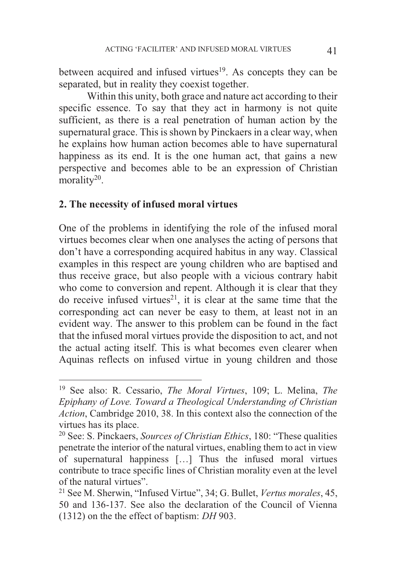between acquired and infused virtues<sup>19</sup>. As concepts they can be separated, but in reality they coexist together.

 Within this unity, both grace and nature act according to their specific essence. To say that they act in harmony is not quite sufficient, as there is a real penetration of human action by the supernatural grace. This is shown by Pinckaers in a clear way, when he explains how human action becomes able to have supernatural happiness as its end. It is the one human act, that gains a new perspective and becomes able to be an expression of Christian morality<sup>20</sup>.

## **2. The necessity of infused moral virtues**

 $\overline{a}$ 

One of the problems in identifying the role of the infused moral virtues becomes clear when one analyses the acting of persons that don't have a corresponding acquired habitus in any way. Classical examples in this respect are young children who are baptised and thus receive grace, but also people with a vicious contrary habit who come to conversion and repent. Although it is clear that they do receive infused virtues<sup>21</sup>, it is clear at the same time that the corresponding act can never be easy to them, at least not in an evident way. The answer to this problem can be found in the fact that the infused moral virtues provide the disposition to act, and not the actual acting itself. This is what becomes even clearer when Aquinas reflects on infused virtue in young children and those

<sup>19</sup> See also: R. Cessario, *The Moral Virtues*, 109; L. Melina, *The Epiphany of Love. Toward a Theological Understanding of Christian Action*, Cambridge 2010, 38. In this context also the connection of the virtues has its place.

<sup>20</sup> See: S. Pinckaers, *Sources of Christian Ethics*, 180: "These qualities penetrate the interior of the natural virtues, enabling them to act in view of supernatural happiness […] Thus the infused moral virtues contribute to trace specific lines of Christian morality even at the level of the natural virtues".

<sup>21</sup> See M. Sherwin, "Infused Virtue", 34; G. Bullet, *Vertus morales*, 45, 50 and 136-137. See also the declaration of the Council of Vienna (1312) on the the effect of baptism: *DH* 903.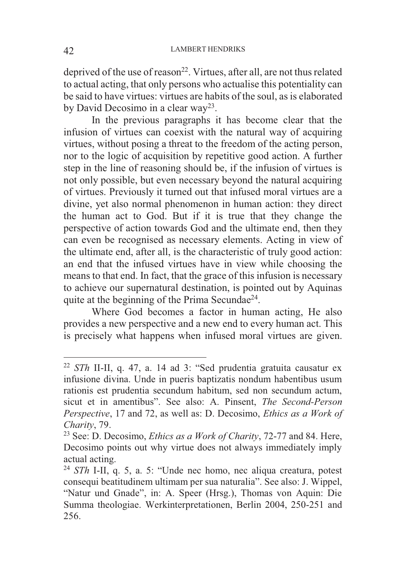deprived of the use of reason<sup>22</sup>. Virtues, after all, are not thus related to actual acting, that only persons who actualise this potentiality can be said to have virtues: virtues are habits of the soul, as is elaborated by David Decosimo in a clear way23.

 In the previous paragraphs it has become clear that the infusion of virtues can coexist with the natural way of acquiring virtues, without posing a threat to the freedom of the acting person, nor to the logic of acquisition by repetitive good action. A further step in the line of reasoning should be, if the infusion of virtues is not only possible, but even necessary beyond the natural acquiring of virtues. Previously it turned out that infused moral virtues are a divine, yet also normal phenomenon in human action: they direct the human act to God. But if it is true that they change the perspective of action towards God and the ultimate end, then they can even be recognised as necessary elements. Acting in view of the ultimate end, after all, is the characteristic of truly good action: an end that the infused virtues have in view while choosing the means to that end. In fact, that the grace of this infusion is necessary to achieve our supernatural destination, is pointed out by Aquinas quite at the beginning of the Prima Secundae24.

 Where God becomes a factor in human acting, He also provides a new perspective and a new end to every human act. This is precisely what happens when infused moral virtues are given.

<sup>22</sup> *STh* II-II, q. 47, a. 14 ad 3: "Sed prudentia gratuita causatur ex infusione divina. Unde in pueris baptizatis nondum habentibus usum rationis est prudentia secundum habitum, sed non secundum actum, sicut et in amentibus". See also: A. Pinsent, *The Second-Person Perspective*, 17 and 72, as well as: D. Decosimo, *Ethics as a Work of Charity*, 79.<br><sup>23</sup> See: D. Decosimo, *Ethics as a Work of Charity*, 72-77 and 84. Here,

Decosimo points out why virtue does not always immediately imply actual acting.

<sup>24</sup> *STh* I-II, q. 5, a. 5: "Unde nec homo, nec aliqua creatura, potest consequi beatitudinem ultimam per sua naturalia". See also: J. Wippel, "Natur und Gnade", in: A. Speer (Hrsg.), Thomas von Aquin: Die Summa theologiae. Werkinterpretationen, Berlin 2004, 250-251 and 256.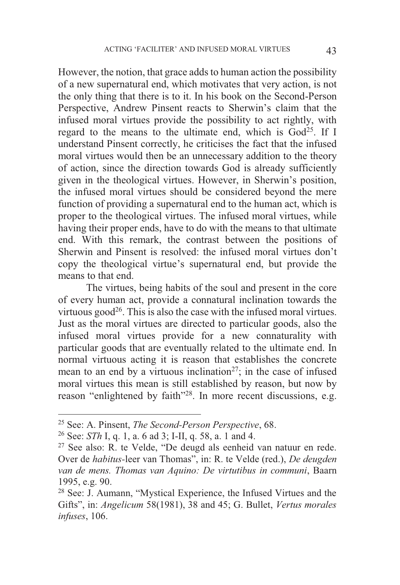However, the notion, that grace adds to human action the possibility of a new supernatural end, which motivates that very action, is not the only thing that there is to it. In his book on the Second-Person Perspective, Andrew Pinsent reacts to Sherwin's claim that the infused moral virtues provide the possibility to act rightly, with regard to the means to the ultimate end, which is  $God<sup>25</sup>$ . If I understand Pinsent correctly, he criticises the fact that the infused moral virtues would then be an unnecessary addition to the theory of action, since the direction towards God is already sufficiently given in the theological virtues. However, in Sherwin's position, the infused moral virtues should be considered beyond the mere function of providing a supernatural end to the human act, which is proper to the theological virtues. The infused moral virtues, while having their proper ends, have to do with the means to that ultimate end. With this remark, the contrast between the positions of Sherwin and Pinsent is resolved: the infused moral virtues don't copy the theological virtue's supernatural end, but provide the means to that end.

 The virtues, being habits of the soul and present in the core of every human act, provide a connatural inclination towards the virtuous good<sup>26</sup>. This is also the case with the infused moral virtues. Just as the moral virtues are directed to particular goods, also the infused moral virtues provide for a new connaturality with particular goods that are eventually related to the ultimate end. In normal virtuous acting it is reason that establishes the concrete mean to an end by a virtuous inclination<sup>27</sup>; in the case of infused moral virtues this mean is still established by reason, but now by reason "enlightened by faith"28. In more recent discussions, e.g.

<sup>&</sup>lt;sup>25</sup> See: A. Pinsent, *The Second-Person Perspective*, 68.

<sup>&</sup>lt;sup>26</sup> See: *STh* I, q. 1, a. 6 ad 3; I-II, q. 58, a. 1 and 4.<br><sup>27</sup> See also: R. te Velde, "De deugd als eenheid van natuur en rede. Over de *habitus-*leer van Thomas", in: R. te Velde (red.), *De deugden van de mens. Thomas van Aquino: De virtutibus in communi*, Baarn 1995, e.g. 90.

<sup>28</sup> See: J. Aumann, "Mystical Experience, the Infused Virtues and the Gifts", in: *Angelicum* 58(1981), 38 and 45; G. Bullet, *Vertus morales infuses*, 106.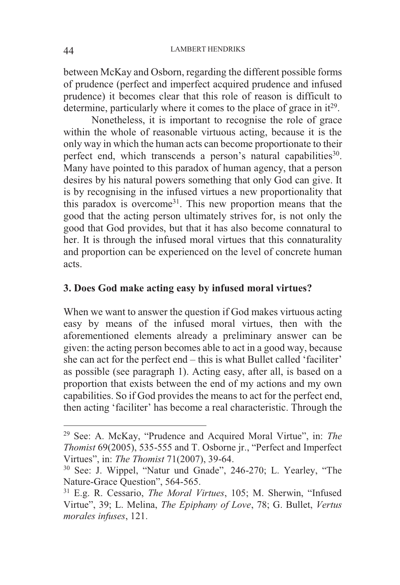between McKay and Osborn, regarding the different possible forms of prudence (perfect and imperfect acquired prudence and infused prudence) it becomes clear that this role of reason is difficult to determine, particularly where it comes to the place of grace in  $it^{29}$ .

 Nonetheless, it is important to recognise the role of grace within the whole of reasonable virtuous acting, because it is the only way in which the human acts can become proportionate to their perfect end, which transcends a person's natural capabilities<sup>30</sup>. Many have pointed to this paradox of human agency, that a person desires by his natural powers something that only God can give. It is by recognising in the infused virtues a new proportionality that this paradox is overcome31. This new proportion means that the good that the acting person ultimately strives for, is not only the good that God provides, but that it has also become connatural to her. It is through the infused moral virtues that this connaturality and proportion can be experienced on the level of concrete human acts.

## **3. Does God make acting easy by infused moral virtues?**

When we want to answer the question if God makes virtuous acting easy by means of the infused moral virtues, then with the aforementioned elements already a preliminary answer can be given: the acting person becomes able to act in a good way, because she can act for the perfect end – this is what Bullet called 'faciliter' as possible (see paragraph 1). Acting easy, after all, is based on a proportion that exists between the end of my actions and my own capabilities. So if God provides the means to act for the perfect end, then acting 'faciliter' has become a real characteristic. Through the

<sup>29</sup> See: A. McKay, "Prudence and Acquired Moral Virtue", in: *The Thomist* 69(2005), 535-555 and T. Osborne jr., "Perfect and Imperfect Virtues", in: *The Thomist* 71(2007), 39-64.<br><sup>30</sup> See: J. Wippel, "Natur und Gnade", 246-270; L. Yearley, "The

Nature-Grace Question", 564-565. 31 E.g. R. Cessario, *The Moral Virtues*, 105; M. Sherwin, "Infused

Virtue", 39; L. Melina, *The Epiphany of Love*, 78; G. Bullet, *Vertus morales infuses*, 121.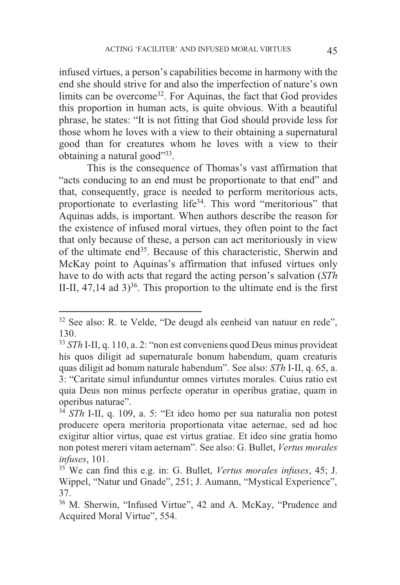infused virtues, a person's capabilities become in harmony with the end she should strive for and also the imperfection of nature's own limits can be overcome<sup>32</sup>. For Aquinas, the fact that God provides this proportion in human acts, is quite obvious. With a beautiful phrase, he states: "It is not fitting that God should provide less for those whom he loves with a view to their obtaining a supernatural good than for creatures whom he loves with a view to their obtaining a natural good"33.

This is the consequence of Thomas's vast affirmation that "acts conducing to an end must be proportionate to that end" and that, consequently, grace is needed to perform meritorious acts, proportionate to everlasting life34. This word "meritorious" that Aquinas adds, is important. When authors describe the reason for the existence of infused moral virtues, they often point to the fact that only because of these, a person can act meritoriously in view of the ultimate end35. Because of this characteristic, Sherwin and McKay point to Aquinas's affirmation that infused virtues only have to do with acts that regard the acting person's salvation (*STh*  II-II,  $47,14$  ad  $3$ <sup>36</sup>. This proportion to the ultimate end is the first

<sup>&</sup>lt;sup>32</sup> See also: R. te Velde, "De deugd als eenheid van natuur en rede", 130.

<sup>33</sup> *STh* I-II, q. 110, a. 2: "non est conveniens quod Deus minus provideat his quos diligit ad supernaturale bonum habendum, quam creaturis quas diligit ad bonum naturale habendum". See also: *STh* I-II, q. 65, a. 3: "Caritate simul infunduntur omnes virtutes morales. Cuius ratio est quia Deus non minus perfecte operatur in operibus gratiae, quam in operibus naturae".

<sup>34</sup> *STh* I-II, q. 109, a. 5: "Et ideo homo per sua naturalia non potest producere opera meritoria proportionata vitae aeternae, sed ad hoc exigitur altior virtus, quae est virtus gratiae. Et ideo sine gratia homo non potest mereri vitam aeternam". See also: G. Bullet, *Vertus morales infuses*, 101.<br><sup>35</sup> We can find this e.g. in: G. Bullet, *Vertus morales infuses*, 45; J.

Wippel, "Natur und Gnade", 251; J. Aumann, "Mystical Experience", 37.

<sup>36</sup> M. Sherwin, "Infused Virtue", 42 and A. McKay, "Prudence and Acquired Moral Virtue", 554.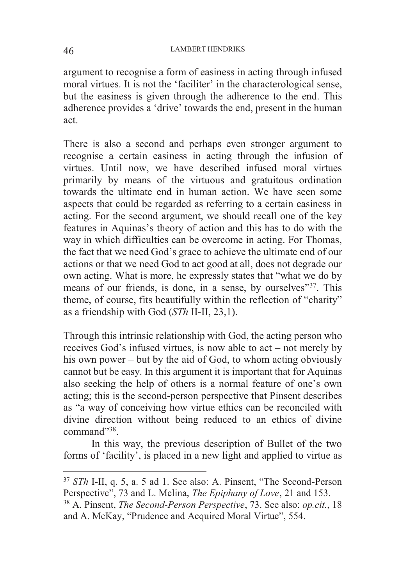argument to recognise a form of easiness in acting through infused moral virtues. It is not the 'faciliter' in the characterological sense, but the easiness is given through the adherence to the end. This adherence provides a 'drive' towards the end, present in the human act.

There is also a second and perhaps even stronger argument to recognise a certain easiness in acting through the infusion of virtues. Until now, we have described infused moral virtues primarily by means of the virtuous and gratuitous ordination towards the ultimate end in human action. We have seen some aspects that could be regarded as referring to a certain easiness in acting. For the second argument, we should recall one of the key features in Aquinas's theory of action and this has to do with the way in which difficulties can be overcome in acting. For Thomas, the fact that we need God's grace to achieve the ultimate end of our actions or that we need God to act good at all, does not degrade our own acting. What is more, he expressly states that "what we do by means of our friends, is done, in a sense, by ourselves"37. This theme, of course, fits beautifully within the reflection of "charity" as a friendship with God (*STh* II-II, 23,1).

Through this intrinsic relationship with God, the acting person who receives God's infused virtues, is now able to act – not merely by his own power – but by the aid of God, to whom acting obviously cannot but be easy. In this argument it is important that for Aquinas also seeking the help of others is a normal feature of one's own acting; this is the second-person perspective that Pinsent describes as "a way of conceiving how virtue ethics can be reconciled with divine direction without being reduced to an ethics of divine command"38.

 In this way, the previous description of Bullet of the two forms of 'facility', is placed in a new light and applied to virtue as

<sup>37</sup> *STh* I-II, q. 5, a. 5 ad 1. See also: A. Pinsent, "The Second-Person Perspective", 73 and L. Melina, *The Epiphany of Love*, 21 and 153. 38 A. Pinsent, *The Second-Person Perspective*, 73. See also: *op.cit.*, 18

and A. McKay, "Prudence and Acquired Moral Virtue", 554.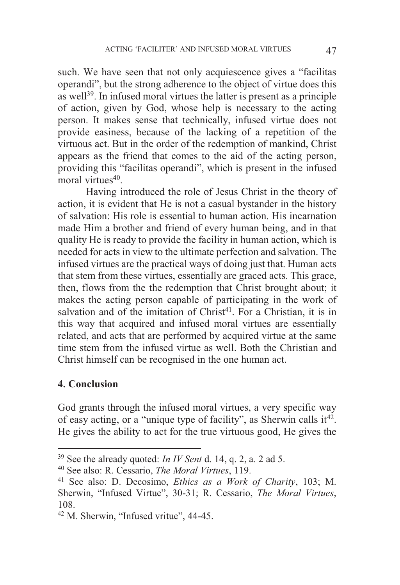such. We have seen that not only acquiescence gives a "facilitas operandi", but the strong adherence to the object of virtue does this as well39. In infused moral virtues the latter is present as a principle of action, given by God, whose help is necessary to the acting person. It makes sense that technically, infused virtue does not provide easiness, because of the lacking of a repetition of the virtuous act. But in the order of the redemption of mankind, Christ appears as the friend that comes to the aid of the acting person, providing this "facilitas operandi", which is present in the infused moral virtues<sup>40</sup>.

 Having introduced the role of Jesus Christ in the theory of action, it is evident that He is not a casual bystander in the history of salvation: His role is essential to human action. His incarnation made Him a brother and friend of every human being, and in that quality He is ready to provide the facility in human action, which is needed for acts in view to the ultimate perfection and salvation. The infused virtues are the practical ways of doing just that. Human acts that stem from these virtues, essentially are graced acts. This grace, then, flows from the the redemption that Christ brought about; it makes the acting person capable of participating in the work of salvation and of the imitation of  $Christ<sup>41</sup>$ . For a Christian, it is in this way that acquired and infused moral virtues are essentially related, and acts that are performed by acquired virtue at the same time stem from the infused virtue as well. Both the Christian and Christ himself can be recognised in the one human act.

#### **4. Conclusion**

 $\overline{a}$ 

God grants through the infused moral virtues, a very specific way of easy acting, or a "unique type of facility", as Sherwin calls  $it^{42}$ . He gives the ability to act for the true virtuous good, He gives the

<sup>39</sup> See the already quoted: *In IV Sent* d. 14, q. 2, a. 2 ad 5. 40 See also: R. Cessario, *The Moral Virtues*, 119.

<sup>41</sup> See also: D. Decosimo, *Ethics as a Work of Charity*, 103; M. Sherwin, "Infused Virtue", 30-31; R. Cessario, *The Moral Virtues*, 108.

<sup>42</sup> M. Sherwin, "Infused vritue", 44-45.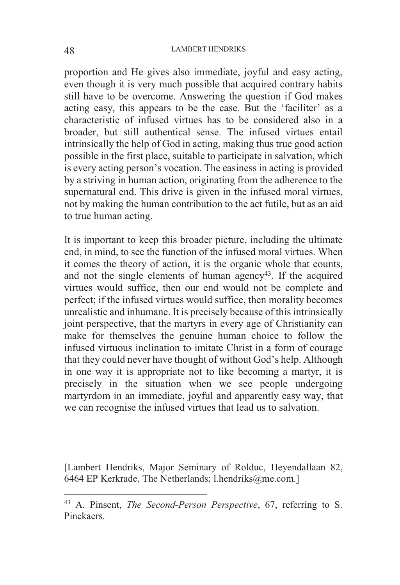proportion and He gives also immediate, joyful and easy acting, even though it is very much possible that acquired contrary habits still have to be overcome. Answering the question if God makes acting easy, this appears to be the case. But the 'faciliter' as a characteristic of infused virtues has to be considered also in a broader, but still authentical sense. The infused virtues entail intrinsically the help of God in acting, making thus true good action possible in the first place, suitable to participate in salvation, which is every acting person's vocation. The easiness in acting is provided by a striving in human action, originating from the adherence to the supernatural end. This drive is given in the infused moral virtues, not by making the human contribution to the act futile, but as an aid to true human acting.

It is important to keep this broader picture, including the ultimate end, in mind, to see the function of the infused moral virtues. When it comes the theory of action, it is the organic whole that counts, and not the single elements of human agency<sup>43</sup>. If the acquired virtues would suffice, then our end would not be complete and perfect; if the infused virtues would suffice, then morality becomes unrealistic and inhumane. It is precisely because of this intrinsically joint perspective, that the martyrs in every age of Christianity can make for themselves the genuine human choice to follow the infused virtuous inclination to imitate Christ in a form of courage that they could never have thought of without God's help. Although in one way it is appropriate not to like becoming a martyr, it is precisely in the situation when we see people undergoing martyrdom in an immediate, joyful and apparently easy way, that we can recognise the infused virtues that lead us to salvation.

[Lambert Hendriks, Major Seminary of Rolduc, Heyendallaan 82, 6464 EP Kerkrade, The Netherlands; l.hendriks@me.com.]

<sup>43</sup> A. Pinsent, *The Second-Person Perspective*, 67, referring to S. Pinckaers.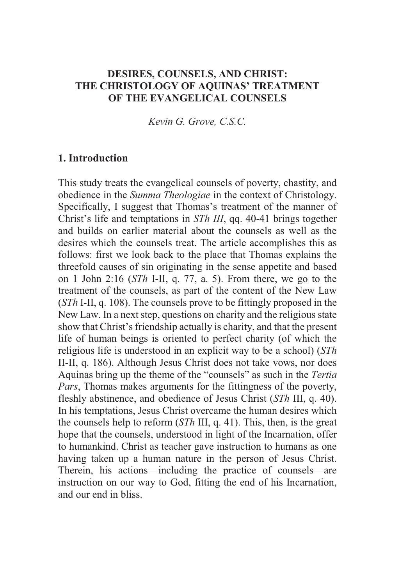# **DESIRES, COUNSELS, AND CHRIST: THE CHRISTOLOGY OF AQUINAS' TREATMENT OF THE EVANGELICAL COUNSELS**

*Kevin G. Grove, C.S.C.* 

## **1. Introduction**

This study treats the evangelical counsels of poverty, chastity, and obedience in the *Summa Theologiae* in the context of Christology. Specifically, I suggest that Thomas's treatment of the manner of Christ's life and temptations in *STh III*, qq. 40-41 brings together and builds on earlier material about the counsels as well as the desires which the counsels treat. The article accomplishes this as follows: first we look back to the place that Thomas explains the threefold causes of sin originating in the sense appetite and based on 1 John 2:16 (*STh* I-II, q. 77, a. 5). From there, we go to the treatment of the counsels, as part of the content of the New Law (*STh* I-II, q. 108). The counsels prove to be fittingly proposed in the New Law. In a next step, questions on charity and the religious state show that Christ's friendship actually is charity, and that the present life of human beings is oriented to perfect charity (of which the religious life is understood in an explicit way to be a school) (*STh* II-II, q. 186). Although Jesus Christ does not take vows, nor does Aquinas bring up the theme of the "counsels" as such in the *Tertia Pars*, Thomas makes arguments for the fittingness of the poverty, fleshly abstinence, and obedience of Jesus Christ (*STh* III, q. 40). In his temptations, Jesus Christ overcame the human desires which the counsels help to reform (*STh* III, q. 41). This, then, is the great hope that the counsels, understood in light of the Incarnation, offer to humankind. Christ as teacher gave instruction to humans as one having taken up a human nature in the person of Jesus Christ. Therein, his actions—including the practice of counsels—are instruction on our way to God, fitting the end of his Incarnation, and our end in bliss.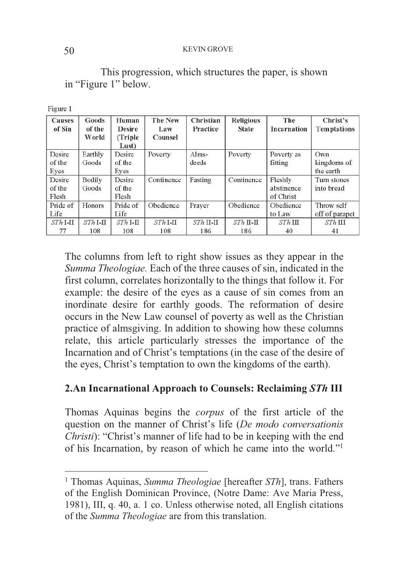#### 50 KEVIN GROVE

## This progression, which structures the paper, is shown in "Figure 1" below.

| Figure |  |
|--------|--|
|        |  |

 $\overline{a}$ 

| <b>Causes</b><br>of Sin   | Goods<br>of the<br>World | Human<br><b>Desire</b><br>(Triple)<br>Lust) | <b>The New</b><br>Law<br>Counsel | <b>Christian</b><br>Practice | <b>Religious</b><br><b>State</b> | The<br>Incarnation                 | Christ's<br><b>Temptations</b>  |
|---------------------------|--------------------------|---------------------------------------------|----------------------------------|------------------------------|----------------------------------|------------------------------------|---------------------------------|
| Desire<br>of the<br>Eyes  | Earthly<br>Goods         | Desire<br>of the<br>Eves                    | Poverty                          | Alms-<br>deeds               | Poverty                          | Poverty as<br>fitting              | Own<br>kingdoms of<br>the earth |
| Desire<br>of the<br>Flesh | Bodily<br>Goods          | Desire<br>of the<br>Flesh                   | Continence                       | Fasting                      | Continence                       | Fleshly<br>abstinence<br>of Christ | Turn stones<br>into bread       |
| Pride of<br>Life          | Honors                   | Pride of<br>Life                            | Obedience                        | Prayer                       | Obedience                        | Obedience<br>to Law                | Throw self<br>off of parapet    |
| $STh$ I-II<br>77          | $STh$ I-II<br>108        | $STh$ I-II<br>108                           | $STh$ I-II<br>108                | $STh$ II-II<br>186           | $STh$ II-II<br>186               | $STh$ III<br>40                    | $STh$ III<br>41                 |

The columns from left to right show issues as they appear in the *Summa Theologiae.* Each of the three causes of sin, indicated in the first column, correlates horizontally to the things that follow it. For example: the desire of the eyes as a cause of sin comes from an inordinate desire for earthly goods. The reformation of desire occurs in the New Law counsel of poverty as well as the Christian practice of almsgiving. In addition to showing how these columns relate, this article particularly stresses the importance of the Incarnation and of Christ's temptations (in the case of the desire of the eyes, Christ's temptation to own the kingdoms of the earth).

# **2.An Incarnational Approach to Counsels: Reclaiming** *STh* **III**

Thomas Aquinas begins the *corpus* of the first article of the question on the manner of Christ's life (*De modo conversationis Christi*): "Christ's manner of life had to be in keeping with the end of his Incarnation, by reason of which he came into the world."<sup>1</sup>

<sup>1</sup> Thomas Aquinas, *Summa Theologiae* [hereafter *STh*], trans. Fathers of the English Dominican Province, (Notre Dame: Ave Maria Press, 1981), III, q. 40, a. 1 co. Unless otherwise noted, all English citations of the *Summa Theologiae* are from this translation.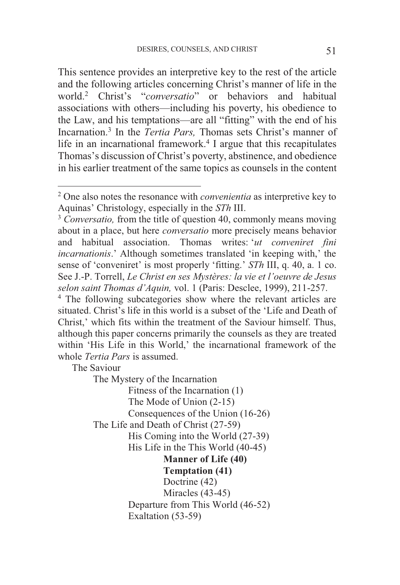This sentence provides an interpretive key to the rest of the article and the following articles concerning Christ's manner of life in the world.2 Christ's "*conversatio*" or behaviors and habitual associations with others—including his poverty, his obedience to the Law, and his temptations—are all "fitting" with the end of his Incarnation.3 In the *Tertia Pars,* Thomas sets Christ's manner of life in an incarnational framework.<sup>4</sup> I argue that this recapitulates Thomas's discussion of Christ's poverty, abstinence, and obedience in his earlier treatment of the same topics as counsels in the content

The Saviour

The Mystery of the Incarnation

Fitness of the Incarnation (1)

The Mode of Union (2-15)

Consequences of the Union (16-26)

The Life and Death of Christ (27-59)

His Coming into the World (27-39)

His Life in the This World (40-45)

**Manner of Life (40)** 

 **Temptation (41)** 

Doctrine (42) Miracles (43-45) Departure from This World (46-52) Exaltation (53-59)

 2 One also notes the resonance with *convenientia* as interpretive key to Aquinas' Christology, especially in the *STh* III.<br><sup>3</sup> *Conversatio*, from the title of question 40, commonly means moving

about in a place, but here *conversatio* more precisely means behavior and habitual association. Thomas writes: '*ut conveniret fini incarnationis*.' Although sometimes translated 'in keeping with,' the sense of 'conveniret' is most properly 'fitting.' *STh* III, q. 40, a. 1 co. See J.-P. Torrell, *Le Christ en ses Mystères: la vie et l'oeuvre de Jesus selon saint Thomas d'Aquin,* vol. 1 (Paris: Desclee, 1999), 211-257. 4

<sup>&</sup>lt;sup>4</sup> The following subcategories show where the relevant articles are situated. Christ's life in this world is a subset of the 'Life and Death of Christ,' which fits within the treatment of the Saviour himself. Thus, although this paper concerns primarily the counsels as they are treated within 'His Life in this World,' the incarnational framework of the whole *Tertia Pars* is assumed.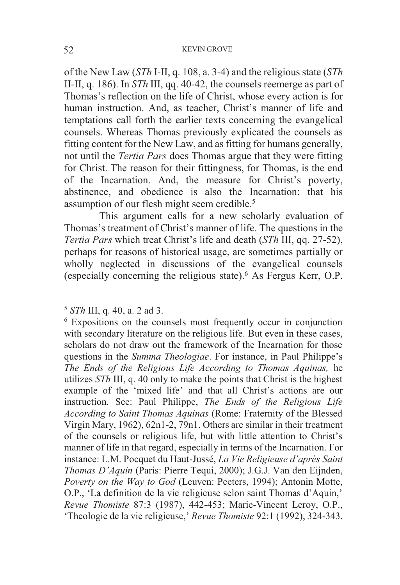#### 52 KEVIN GROVE

of the New Law (*STh* I-II, q. 108, a. 3-4) and the religious state (*STh* II-II, q. 186). In *STh* III, qq. 40-42, the counsels reemerge as part of Thomas's reflection on the life of Christ, whose every action is for human instruction. And, as teacher, Christ's manner of life and temptations call forth the earlier texts concerning the evangelical counsels. Whereas Thomas previously explicated the counsels as fitting content for the New Law, and as fitting for humans generally, not until the *Tertia Pars* does Thomas argue that they were fitting for Christ. The reason for their fittingness, for Thomas, is the end of the Incarnation. And, the measure for Christ's poverty, abstinence, and obedience is also the Incarnation: that his assumption of our flesh might seem credible.5

 This argument calls for a new scholarly evaluation of Thomas's treatment of Christ's manner of life. The questions in the *Tertia Pars* which treat Christ's life and death (*STh* III, qq. 27-52), perhaps for reasons of historical usage, are sometimes partially or wholly neglected in discussions of the evangelical counsels (especially concerning the religious state).6 As Fergus Kerr, O.P.

<sup>5</sup> *STh* III, q. 40, a. 2 ad 3. 6

Expositions on the counsels most frequently occur in conjunction with secondary literature on the religious life. But even in these cases, scholars do not draw out the framework of the Incarnation for those questions in the *Summa Theologiae*. For instance, in Paul Philippe's *The Ends of the Religious Life According to Thomas Aquinas,* he utilizes *STh* III, q. 40 only to make the points that Christ is the highest example of the 'mixed life' and that all Christ's actions are our instruction. See: Paul Philippe, *The Ends of the Religious Life According to Saint Thomas Aquinas* (Rome: Fraternity of the Blessed Virgin Mary, 1962), 62n1-2, 79n1. Others are similar in their treatment of the counsels or religious life, but with little attention to Christ's manner of life in that regard, especially in terms of the Incarnation. For instance: L.M. Pocquet du Haut-Jussé, *La Vie Religieuse d'après Saint Thomas D'Aquin* (Paris: Pierre Tequi, 2000); J.G.J. Van den Eijnden, *Poverty on the Way to God* (Leuven: Peeters, 1994); Antonin Motte, O.P., 'La definition de la vie religieuse selon saint Thomas d'Aquin,' *Revue Thomiste* 87:3 (1987), 442-453; Marie-Vincent Leroy, O.P., 'Theologie de la vie religieuse,' *Revue Thomiste* 92:1 (1992), 324-343.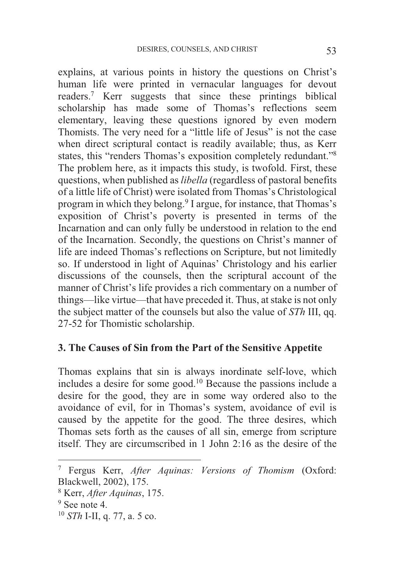explains, at various points in history the questions on Christ's human life were printed in vernacular languages for devout readers.7 Kerr suggests that since these printings biblical scholarship has made some of Thomas's reflections seem elementary, leaving these questions ignored by even modern Thomists. The very need for a "little life of Jesus" is not the case when direct scriptural contact is readily available; thus, as Kerr states, this "renders Thomas's exposition completely redundant."<sup>8</sup> The problem here, as it impacts this study, is twofold. First, these questions, when published as *libella* (regardless of pastoral benefits of a little life of Christ) were isolated from Thomas's Christological program in which they belong.9 I argue, for instance, that Thomas's exposition of Christ's poverty is presented in terms of the Incarnation and can only fully be understood in relation to the end of the Incarnation. Secondly, the questions on Christ's manner of life are indeed Thomas's reflections on Scripture, but not limitedly so. If understood in light of Aquinas' Christology and his earlier discussions of the counsels, then the scriptural account of the manner of Christ's life provides a rich commentary on a number of things—like virtue—that have preceded it. Thus, at stake is not only the subject matter of the counsels but also the value of *STh* III, qq. 27-52 for Thomistic scholarship.

#### **3. The Causes of Sin from the Part of the Sensitive Appetite**

Thomas explains that sin is always inordinate self-love, which includes a desire for some good.10 Because the passions include a desire for the good, they are in some way ordered also to the avoidance of evil, for in Thomas's system, avoidance of evil is caused by the appetite for the good. The three desires, which Thomas sets forth as the causes of all sin, emerge from scripture itself. They are circumscribed in 1 John 2:16 as the desire of the

-

<sup>7</sup> Fergus Kerr, *After Aquinas: Versions of Thomism* (Oxford: Blackwell, 2002), 175.

 $8$  Kerr, *After Aquinas*, 175.<br> $9$  See note 4

 $9$  See note 4.

<sup>10</sup> *STh* I-II, q. 77, a. 5 co.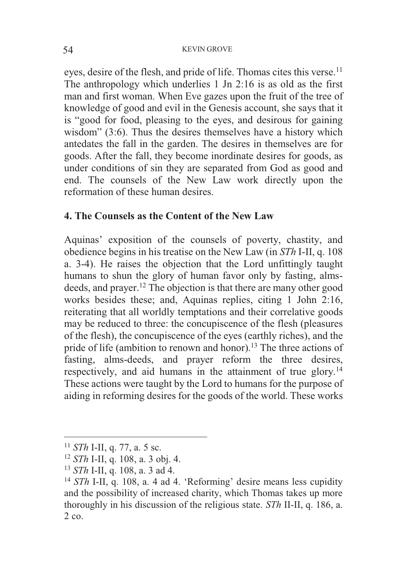eyes, desire of the flesh, and pride of life. Thomas cites this verse.<sup>11</sup> The anthropology which underlies 1 Jn 2:16 is as old as the first man and first woman. When Eve gazes upon the fruit of the tree of knowledge of good and evil in the Genesis account, she says that it is "good for food, pleasing to the eyes, and desirous for gaining wisdom" (3:6). Thus the desires themselves have a history which antedates the fall in the garden. The desires in themselves are for goods. After the fall, they become inordinate desires for goods, as under conditions of sin they are separated from God as good and end. The counsels of the New Law work directly upon the reformation of these human desires.

## **4. The Counsels as the Content of the New Law**

Aquinas' exposition of the counsels of poverty, chastity, and obedience begins in his treatise on the New Law (in *STh* I-II, q. 108 a. 3-4). He raises the objection that the Lord unfittingly taught humans to shun the glory of human favor only by fasting, almsdeeds, and prayer.12 The objection is that there are many other good works besides these; and, Aquinas replies, citing 1 John 2:16, reiterating that all worldly temptations and their correlative goods may be reduced to three: the concupiscence of the flesh (pleasures of the flesh), the concupiscence of the eyes (earthly riches), and the pride of life (ambition to renown and honor).<sup>13</sup> The three actions of fasting, alms-deeds, and prayer reform the three desires, respectively, and aid humans in the attainment of true glory.<sup>14</sup> These actions were taught by the Lord to humans for the purpose of aiding in reforming desires for the goods of the world. These works

 $11$  *STh* I-II, q. 77, a. 5 sc.

<sup>&</sup>lt;sup>12</sup> *STh* I-II, q. 108, a. 3 obj. 4.<br><sup>13</sup> *STh* I-II, q. 108, a. 3 ad 4.<br><sup>14</sup> *STh* I-II, q. 108, a. 4 ad 4. 'Reforming' desire means less cupidity and the possibility of increased charity, which Thomas takes up more thoroughly in his discussion of the religious state. *STh* II-II, q. 186, a. 2 co.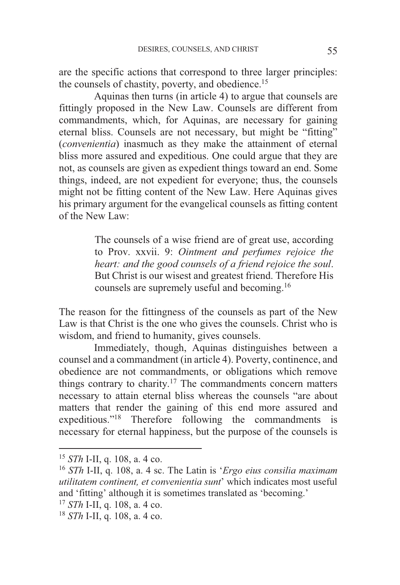are the specific actions that correspond to three larger principles: the counsels of chastity, poverty, and obedience.15

 Aquinas then turns (in article 4) to argue that counsels are fittingly proposed in the New Law. Counsels are different from commandments, which, for Aquinas, are necessary for gaining eternal bliss. Counsels are not necessary, but might be "fitting" (*convenientia*) inasmuch as they make the attainment of eternal bliss more assured and expeditious. One could argue that they are not, as counsels are given as expedient things toward an end. Some things, indeed, are not expedient for everyone; thus, the counsels might not be fitting content of the New Law. Here Aquinas gives his primary argument for the evangelical counsels as fitting content of the New Law:

> The counsels of a wise friend are of great use, according to Prov. xxvii. 9: *Ointment and perfumes rejoice the heart: and the good counsels of a friend rejoice the soul*. But Christ is our wisest and greatest friend. Therefore His counsels are supremely useful and becoming.16

The reason for the fittingness of the counsels as part of the New Law is that Christ is the one who gives the counsels. Christ who is wisdom, and friend to humanity, gives counsels.

 Immediately, though, Aquinas distinguishes between a counsel and a commandment (in article 4). Poverty, continence, and obedience are not commandments, or obligations which remove things contrary to charity.17 The commandments concern matters necessary to attain eternal bliss whereas the counsels "are about matters that render the gaining of this end more assured and expeditious."18 Therefore following the commandments is necessary for eternal happiness, but the purpose of the counsels is

<sup>15</sup> *STh* I-II, q. 108, a. 4 co. 16 *STh* I-II, q. 108, a. 4 sc. The Latin is '*Ergo eius consilia maximam utilitatem continent, et convenientia sunt*' which indicates most useful and 'fitting' although it is sometimes translated as 'becoming.'<br><sup>17</sup> STh I-II, q, 108, a, 4 co.

<sup>17</sup> *STh* I-II, q. 108, a. 4 co. 18 *STh* I-II, q. 108, a. 4 co.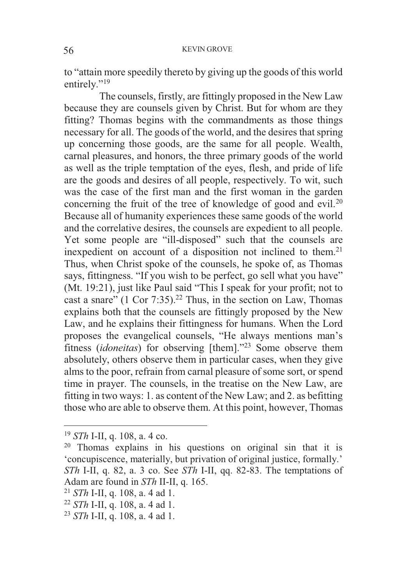to "attain more speedily thereto by giving up the goods of this world entirely."<sup>19</sup>

 The counsels, firstly, are fittingly proposed in the New Law because they are counsels given by Christ. But for whom are they fitting? Thomas begins with the commandments as those things necessary for all. The goods of the world, and the desires that spring up concerning those goods, are the same for all people. Wealth, carnal pleasures, and honors, the three primary goods of the world as well as the triple temptation of the eyes, flesh, and pride of life are the goods and desires of all people, respectively. To wit, such was the case of the first man and the first woman in the garden concerning the fruit of the tree of knowledge of good and evil.<sup>20</sup> Because all of humanity experiences these same goods of the world and the correlative desires, the counsels are expedient to all people. Yet some people are "ill-disposed" such that the counsels are inexpedient on account of a disposition not inclined to them.<sup>21</sup> Thus, when Christ spoke of the counsels, he spoke of, as Thomas says, fittingness. "If you wish to be perfect, go sell what you have" (Mt. 19:21), just like Paul said "This I speak for your profit; not to cast a snare"  $(1 \text{ Cor } 7:35)$ .<sup>22</sup> Thus, in the section on Law, Thomas explains both that the counsels are fittingly proposed by the New Law, and he explains their fittingness for humans. When the Lord proposes the evangelical counsels, "He always mentions man's fitness (*idoneitas*) for observing [them]."23 Some observe them absolutely, others observe them in particular cases, when they give alms to the poor, refrain from carnal pleasure of some sort, or spend time in prayer. The counsels, in the treatise on the New Law, are fitting in two ways: 1. as content of the New Law; and 2. as befitting those who are able to observe them. At this point, however, Thomas

<sup>&</sup>lt;sup>19</sup> *STh* I-II, q. 108, a. 4 co.<br><sup>20</sup> Thomas explains in his questions on original sin that it is 'concupiscence, materially, but privation of original justice, formally.' *STh* I-II, q. 82, a. 3 co. See *STh* I-II, qq. 82-83. The temptations of Adam are found in *STh* II-II, q. 165.<br><sup>21</sup> *STh* I-II, q. 108, a. 4 ad 1.<br><sup>22</sup> *STh* I-II, q. 108, a. 4 ad 1.<br><sup>23</sup> *STh* I-II, q. 108, a. 4 ad 1.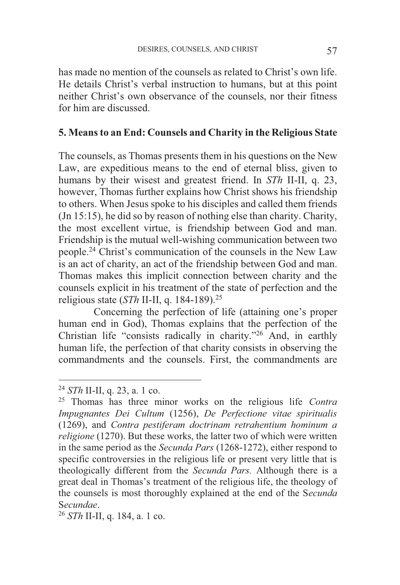has made no mention of the counsels as related to Christ's own life. He details Christ's verbal instruction to humans, but at this point neither Christ's own observance of the counsels, nor their fitness for him are discussed.

## **5. Means to an End: Counsels and Charity in the Religious State**

The counsels, as Thomas presents them in his questions on the New Law, are expeditious means to the end of eternal bliss, given to humans by their wisest and greatest friend. In *STh* II-II, q. 23, however, Thomas further explains how Christ shows his friendship to others. When Jesus spoke to his disciples and called them friends (Jn 15:15), he did so by reason of nothing else than charity. Charity, the most excellent virtue, is friendship between God and man. Friendship is the mutual well-wishing communication between two people.24 Christ's communication of the counsels in the New Law is an act of charity, an act of the friendship between God and man. Thomas makes this implicit connection between charity and the counsels explicit in his treatment of the state of perfection and the religious state (*STh* II-II, q. 184-189).25

 Concerning the perfection of life (attaining one's proper human end in God), Thomas explains that the perfection of the Christian life "consists radically in charity."26 And, in earthly human life, the perfection of that charity consists in observing the commandments and the counsels. First, the commandments are

 $^{24}$  STh II-II, q. 23, a. 1 co.

<sup>&</sup>lt;sup>25</sup> Thomas has three minor works on the religious life *Contra Impugnantes Dei Cultum* (1256), *De Perfectione vitae spiritualis*  (1269), and *Contra pestiferam doctrinam retrahentium hominum a religione* (1270). But these works, the latter two of which were written in the same period as the *Secunda Pars* (1268-1272), either respond to specific controversies in the religious life or present very little that is theologically different from the *Secunda Pars.* Although there is a great deal in Thomas's treatment of the religious life, the theology of the counsels is most thoroughly explained at the end of the S*ecunda* <sup>S</sup>*ecundae*. 26 *STh* II-II, q. 184, a. 1 co.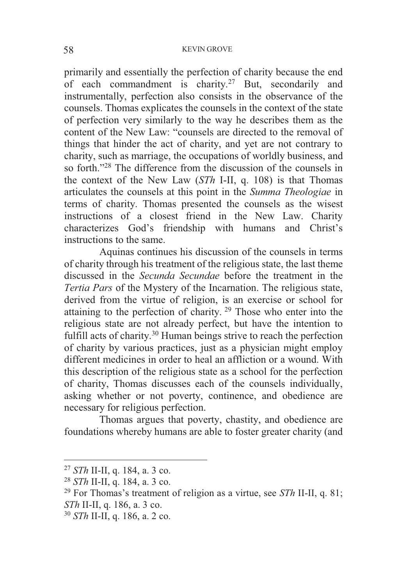primarily and essentially the perfection of charity because the end of each commandment is charity.<sup>27</sup> But, secondarily and instrumentally, perfection also consists in the observance of the counsels. Thomas explicates the counsels in the context of the state of perfection very similarly to the way he describes them as the content of the New Law: "counsels are directed to the removal of things that hinder the act of charity, and yet are not contrary to charity, such as marriage, the occupations of worldly business, and so forth."28 The difference from the discussion of the counsels in the context of the New Law (*STh* I-II, q. 108) is that Thomas articulates the counsels at this point in the *Summa Theologiae* in terms of charity. Thomas presented the counsels as the wisest instructions of a closest friend in the New Law. Charity characterizes God's friendship with humans and Christ's instructions to the same.

 Aquinas continues his discussion of the counsels in terms of charity through his treatment of the religious state, the last theme discussed in the *Secunda Secundae* before the treatment in the *Tertia Pars* of the Mystery of the Incarnation. The religious state, derived from the virtue of religion, is an exercise or school for attaining to the perfection of charity. 29 Those who enter into the religious state are not already perfect, but have the intention to fulfill acts of charity.30 Human beings strive to reach the perfection of charity by various practices, just as a physician might employ different medicines in order to heal an affliction or a wound. With this description of the religious state as a school for the perfection of charity, Thomas discusses each of the counsels individually, asking whether or not poverty, continence, and obedience are necessary for religious perfection.

 Thomas argues that poverty, chastity, and obedience are foundations whereby humans are able to foster greater charity (and

<sup>&</sup>lt;sup>27</sup> *STh* II-II, q. 184, a. 3 co.<br><sup>28</sup> *STh* II-II, q. 184, a. 3 co.<br><sup>29</sup> For Thomas's treatment of religion as a virtue, see *STh* II-II, q. 81; *STh* II-II, q. 186, a. 3 co. 30 *STh* II-II, q. 186, a. 2 co.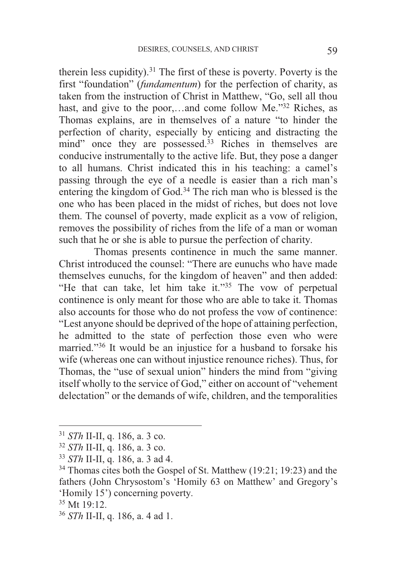therein less cupidity).31 The first of these is poverty. Poverty is the first "foundation" (*fundamentum*) for the perfection of charity, as taken from the instruction of Christ in Matthew, "Go, sell all thou hast, and give to the poor,...and come follow Me."<sup>32</sup> Riches, as Thomas explains, are in themselves of a nature "to hinder the perfection of charity, especially by enticing and distracting the mind" once they are possessed.<sup>33</sup> Riches in themselves are conducive instrumentally to the active life. But, they pose a danger to all humans. Christ indicated this in his teaching: a camel's passing through the eye of a needle is easier than a rich man's entering the kingdom of God.34 The rich man who is blessed is the one who has been placed in the midst of riches, but does not love them. The counsel of poverty, made explicit as a vow of religion, removes the possibility of riches from the life of a man or woman such that he or she is able to pursue the perfection of charity.

 Thomas presents continence in much the same manner. Christ introduced the counsel: "There are eunuchs who have made themselves eunuchs, for the kingdom of heaven" and then added: "He that can take, let him take it."35 The vow of perpetual continence is only meant for those who are able to take it. Thomas also accounts for those who do not profess the vow of continence: "Lest anyone should be deprived of the hope of attaining perfection, he admitted to the state of perfection those even who were married."36 It would be an injustice for a husband to forsake his wife (whereas one can without injustice renounce riches). Thus, for Thomas, the "use of sexual union" hinders the mind from "giving itself wholly to the service of God," either on account of "vehement delectation" or the demands of wife, children, and the temporalities

<sup>&</sup>lt;sup>31</sup> *STh* II-II, q. 186, a. 3 co.<br><sup>32</sup> *STh* II-II, q. 186, a. 3 co.<br><sup>33</sup> *STh* II-II, q. 186, a. 3 ad 4.<br><sup>34</sup> Thomas cites both the Gospel of St. Matthew (19:21; 19:23) and the fathers (John Chrysostom's 'Homily 63 on Matthew' and Gregory's 'Homily 15') concerning poverty.

<sup>35</sup> Mt 19:12.

<sup>36</sup> *STh* II-II, q. 186, a. 4 ad 1.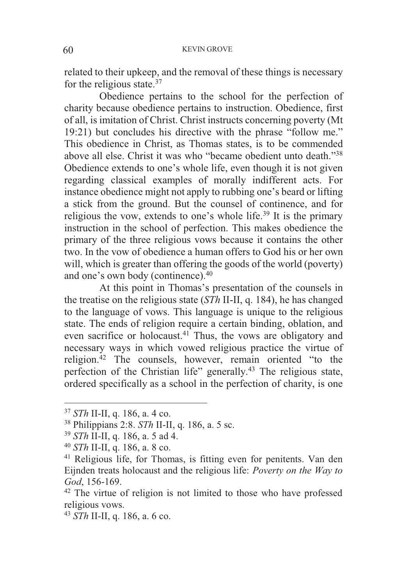related to their upkeep, and the removal of these things is necessary for the religious state.37

 Obedience pertains to the school for the perfection of charity because obedience pertains to instruction. Obedience, first of all, is imitation of Christ. Christ instructs concerning poverty (Mt 19:21) but concludes his directive with the phrase "follow me." This obedience in Christ, as Thomas states, is to be commended above all else. Christ it was who "became obedient unto death."<sup>38</sup> Obedience extends to one's whole life, even though it is not given regarding classical examples of morally indifferent acts. For instance obedience might not apply to rubbing one's beard or lifting a stick from the ground. But the counsel of continence, and for religious the vow, extends to one's whole life.<sup>39</sup> It is the primary instruction in the school of perfection. This makes obedience the primary of the three religious vows because it contains the other two. In the vow of obedience a human offers to God his or her own will, which is greater than offering the goods of the world (poverty) and one's own body (continence).40

At this point in Thomas's presentation of the counsels in the treatise on the religious state (*STh* II-II, q. 184), he has changed to the language of vows. This language is unique to the religious state. The ends of religion require a certain binding, oblation, and even sacrifice or holocaust.<sup>41</sup> Thus, the vows are obligatory and necessary ways in which vowed religious practice the virtue of religion.42 The counsels, however, remain oriented "to the perfection of the Christian life" generally.<sup>43</sup> The religious state, ordered specifically as a school in the perfection of charity, is one

 $37$  STh II-II, q. 186, a. 4 co.

<sup>&</sup>lt;sup>38</sup> Philippians 2:8. *STh* II-II, q. 186, a. 5 sc.<br><sup>39</sup> *STh* II-II, q. 186, a. 5 ad 4.<br><sup>40</sup> *STh* II-II, q. 186, a. 8 co.<br><sup>41</sup> Religious life, for Thomas, is fitting even for penitents. Van den Eijnden treats holocaust and the religious life: *Poverty on the Way to God*, 156-169.<br><sup>42</sup> The virtue of religion is not limited to those who have professed

religious vows.

<sup>43</sup> *STh* II-II, q. 186, a. 6 co.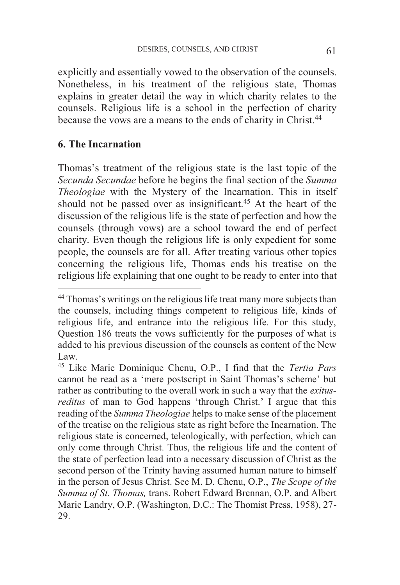explicitly and essentially vowed to the observation of the counsels. Nonetheless, in his treatment of the religious state, Thomas explains in greater detail the way in which charity relates to the counsels. Religious life is a school in the perfection of charity because the vows are a means to the ends of charity in Christ.<sup>44</sup>

#### **6. The Incarnation**

 $\overline{a}$ 

Thomas's treatment of the religious state is the last topic of the *Secunda Secundae* before he begins the final section of the *Summa Theologiae* with the Mystery of the Incarnation. This in itself should not be passed over as insignificant.<sup>45</sup> At the heart of the discussion of the religious life is the state of perfection and how the counsels (through vows) are a school toward the end of perfect charity. Even though the religious life is only expedient for some people, the counsels are for all. After treating various other topics concerning the religious life, Thomas ends his treatise on the religious life explaining that one ought to be ready to enter into that

<sup>44</sup> Thomas's writings on the religious life treat many more subjects than the counsels, including things competent to religious life, kinds of religious life, and entrance into the religious life. For this study, Question 186 treats the vows sufficiently for the purposes of what is added to his previous discussion of the counsels as content of the New Law.

<sup>45</sup> Like Marie Dominique Chenu, O.P., I find that the *Tertia Pars*  cannot be read as a 'mere postscript in Saint Thomas's scheme' but rather as contributing to the overall work in such a way that the *exitusreditus* of man to God happens 'through Christ.' I argue that this reading of the *Summa Theologiae* helps to make sense of the placement of the treatise on the religious state as right before the Incarnation. The religious state is concerned, teleologically, with perfection, which can only come through Christ. Thus, the religious life and the content of the state of perfection lead into a necessary discussion of Christ as the second person of the Trinity having assumed human nature to himself in the person of Jesus Christ. See M. D. Chenu, O.P., *The Scope of the Summa of St. Thomas,* trans. Robert Edward Brennan, O.P. and Albert Marie Landry, O.P. (Washington, D.C.: The Thomist Press, 1958), 27- 29.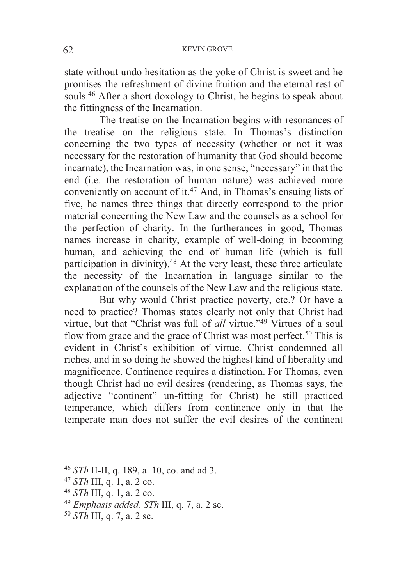state without undo hesitation as the yoke of Christ is sweet and he promises the refreshment of divine fruition and the eternal rest of souls.<sup>46</sup> After a short doxology to Christ, he begins to speak about the fittingness of the Incarnation.

 The treatise on the Incarnation begins with resonances of the treatise on the religious state. In Thomas's distinction concerning the two types of necessity (whether or not it was necessary for the restoration of humanity that God should become incarnate), the Incarnation was, in one sense, "necessary" in that the end (i.e. the restoration of human nature) was achieved more conveniently on account of it.47 And, in Thomas's ensuing lists of five, he names three things that directly correspond to the prior material concerning the New Law and the counsels as a school for the perfection of charity. In the furtherances in good, Thomas names increase in charity, example of well-doing in becoming human, and achieving the end of human life (which is full participation in divinity).<sup>48</sup> At the very least, these three articulate the necessity of the Incarnation in language similar to the explanation of the counsels of the New Law and the religious state.

 But why would Christ practice poverty, etc.? Or have a need to practice? Thomas states clearly not only that Christ had virtue, but that "Christ was full of *all* virtue."49 Virtues of a soul flow from grace and the grace of Christ was most perfect.<sup>50</sup> This is evident in Christ's exhibition of virtue. Christ condemned all riches, and in so doing he showed the highest kind of liberality and magnificence. Continence requires a distinction. For Thomas, even though Christ had no evil desires (rendering, as Thomas says, the adjective "continent" un-fitting for Christ) he still practiced temperance, which differs from continence only in that the temperate man does not suffer the evil desires of the continent

<sup>46</sup> *STh* II-II, q. 189, a. 10, co. and ad 3.<br>
<sup>47</sup> *STh* III, q. 1, a. 2 co.<br>
<sup>48</sup> *STh* III, q. 1, a. 2 co.<br>
<sup>49</sup> *Emphasis added. STh* III, q. 7, a. 2 sc.<br>
<sup>50</sup> *STh* III, q. 7, a. 2 sc.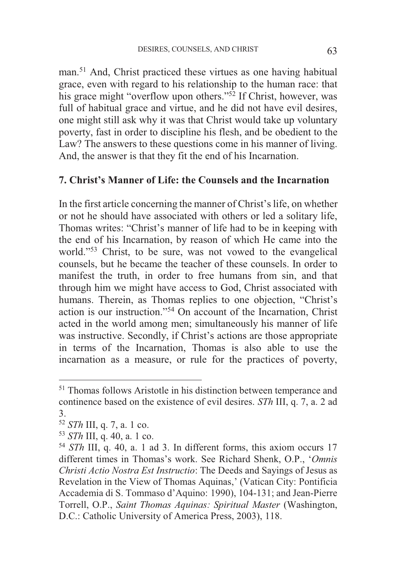man.51 And, Christ practiced these virtues as one having habitual grace, even with regard to his relationship to the human race: that his grace might "overflow upon others."<sup>52</sup> If Christ, however, was full of habitual grace and virtue, and he did not have evil desires, one might still ask why it was that Christ would take up voluntary poverty, fast in order to discipline his flesh, and be obedient to the Law? The answers to these questions come in his manner of living. And, the answer is that they fit the end of his Incarnation.

# **7. Christ's Manner of Life: the Counsels and the Incarnation**

In the first article concerning the manner of Christ's life, on whether or not he should have associated with others or led a solitary life, Thomas writes: "Christ's manner of life had to be in keeping with the end of his Incarnation, by reason of which He came into the world."53 Christ, to be sure, was not vowed to the evangelical counsels, but he became the teacher of these counsels. In order to manifest the truth, in order to free humans from sin, and that through him we might have access to God, Christ associated with humans. Therein, as Thomas replies to one objection, "Christ's action is our instruction."54 On account of the Incarnation, Christ acted in the world among men; simultaneously his manner of life was instructive. Secondly, if Christ's actions are those appropriate in terms of the Incarnation, Thomas is also able to use the incarnation as a measure, or rule for the practices of poverty,

-

<sup>51</sup> Thomas follows Aristotle in his distinction between temperance and continence based on the existence of evil desires. *STh* III, q. 7, a. 2 ad 3.<br> $52$  *STh* III, q. 7, a. 1 co.

<sup>&</sup>lt;sup>53</sup> *STh* III, q. 40, a. 1 co.<br><sup>54</sup> *STh* III, q. 40, a. 1 ad 3. In different forms, this axiom occurs 17 different times in Thomas's work. See Richard Shenk, O.P., '*Omnis Christi Actio Nostra Est Instructio*: The Deeds and Sayings of Jesus as Revelation in the View of Thomas Aquinas,' (Vatican City: Pontificia Accademia di S. Tommaso d'Aquino: 1990), 104-131; and Jean-Pierre Torrell, O.P., *Saint Thomas Aquinas: Spiritual Master* (Washington, D.C.: Catholic University of America Press, 2003), 118.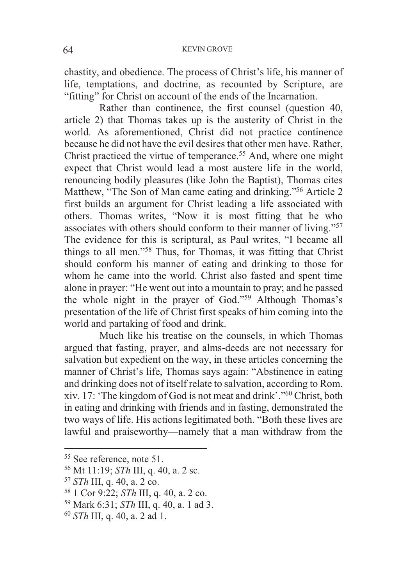chastity, and obedience. The process of Christ's life, his manner of life, temptations, and doctrine, as recounted by Scripture, are "fitting" for Christ on account of the ends of the Incarnation.

 Rather than continence, the first counsel (question 40, article 2) that Thomas takes up is the austerity of Christ in the world. As aforementioned, Christ did not practice continence because he did not have the evil desires that other men have. Rather, Christ practiced the virtue of temperance.<sup>55</sup> And, where one might expect that Christ would lead a most austere life in the world, renouncing bodily pleasures (like John the Baptist), Thomas cites Matthew, "The Son of Man came eating and drinking."56 Article 2 first builds an argument for Christ leading a life associated with others. Thomas writes, "Now it is most fitting that he who associates with others should conform to their manner of living."<sup>57</sup> The evidence for this is scriptural, as Paul writes, "I became all things to all men."58 Thus, for Thomas, it was fitting that Christ should conform his manner of eating and drinking to those for whom he came into the world. Christ also fasted and spent time alone in prayer: "He went out into a mountain to pray; and he passed the whole night in the prayer of God."<sup>59</sup> Although Thomas's presentation of the life of Christ first speaks of him coming into the world and partaking of food and drink.

 Much like his treatise on the counsels, in which Thomas argued that fasting, prayer, and alms-deeds are not necessary for salvation but expedient on the way, in these articles concerning the manner of Christ's life, Thomas says again: "Abstinence in eating and drinking does not of itself relate to salvation, according to Rom. xiv. 17: 'The kingdom of God is not meat and drink'."60 Christ, both in eating and drinking with friends and in fasting, demonstrated the two ways of life. His actions legitimated both. "Both these lives are lawful and praiseworthy—namely that a man withdraw from the

<sup>&</sup>lt;sup>55</sup> See reference, note 51.<br><sup>56</sup> Mt 11:19; *STh* III, q. 40, a. 2 sc.

<sup>&</sup>lt;sup>57</sup> *STh* III, q. 40, a. 2 co.<br><sup>58</sup> 1 Cor 9:22; *STh* III, q. 40, a. 2 co.<br><sup>59</sup> Mark 6:31; *STh* III, q. 40, a. 1 ad 3.<br><sup>60</sup> *STh* III, q. 40, a. 2 ad 1.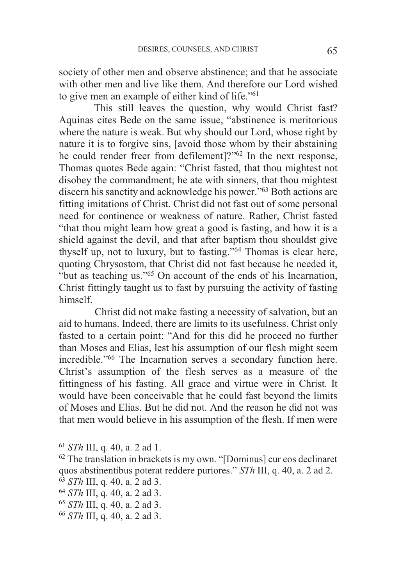society of other men and observe abstinence; and that he associate with other men and live like them. And therefore our Lord wished to give men an example of either kind of life."<sup>61</sup>

 This still leaves the question, why would Christ fast? Aquinas cites Bede on the same issue, "abstinence is meritorious where the nature is weak. But why should our Lord, whose right by nature it is to forgive sins, [avoid those whom by their abstaining he could render freer from defilement<sup>1?"62</sup> In the next response, Thomas quotes Bede again: "Christ fasted, that thou mightest not disobey the commandment; he ate with sinners, that thou mightest discern his sanctity and acknowledge his power."63 Both actions are fitting imitations of Christ. Christ did not fast out of some personal need for continence or weakness of nature. Rather, Christ fasted "that thou might learn how great a good is fasting, and how it is a shield against the devil, and that after baptism thou shouldst give thyself up, not to luxury, but to fasting."64 Thomas is clear here, quoting Chrysostom, that Christ did not fast because he needed it, "but as teaching us."65 On account of the ends of his Incarnation, Christ fittingly taught us to fast by pursuing the activity of fasting himself.

Christ did not make fasting a necessity of salvation, but an aid to humans. Indeed, there are limits to its usefulness. Christ only fasted to a certain point: "And for this did he proceed no further than Moses and Elias, lest his assumption of our flesh might seem incredible."66 The Incarnation serves a secondary function here. Christ's assumption of the flesh serves as a measure of the fittingness of his fasting. All grace and virtue were in Christ. It would have been conceivable that he could fast beyond the limits of Moses and Elias. But he did not. And the reason he did not was that men would believe in his assumption of the flesh. If men were

<sup>&</sup>lt;sup>61</sup> *STh* III, q. 40, a. 2 ad 1.  $\frac{62}{100}$  The translation in brackets is my own. "[Dominus] cur eos declinaret quos abstinentibus poterat reddere puriores."  $STh$  III, q. 40, a. 2 ad 2.<br>
<sup>63</sup>  $STh$  III, q. 40, a. 2 ad 3.<br>
<sup>64</sup>  $STh$  III, q. 40, a. 2 ad 3.<br>
<sup>65</sup>  $STh$  III, q. 40, a. 2 ad 3.<br>
<sup>65</sup>  $STh$  III, q. 40, a. 2 ad 3.<br>
<sup>66</sup>  $STh$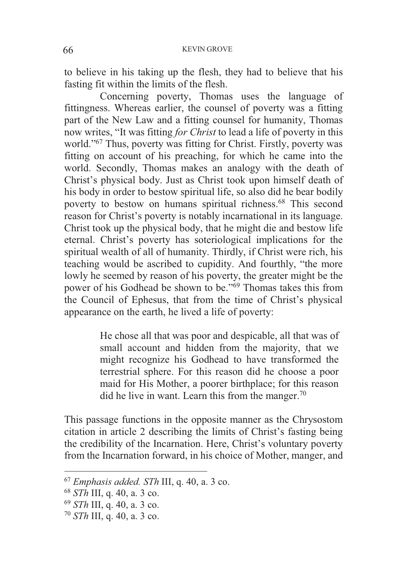to believe in his taking up the flesh, they had to believe that his fasting fit within the limits of the flesh.

Concerning poverty, Thomas uses the language of fittingness. Whereas earlier, the counsel of poverty was a fitting part of the New Law and a fitting counsel for humanity, Thomas now writes, "It was fitting *for Christ* to lead a life of poverty in this world."67 Thus, poverty was fitting for Christ. Firstly, poverty was fitting on account of his preaching, for which he came into the world. Secondly, Thomas makes an analogy with the death of Christ's physical body. Just as Christ took upon himself death of his body in order to bestow spiritual life, so also did he bear bodily poverty to bestow on humans spiritual richness.<sup>68</sup> This second reason for Christ's poverty is notably incarnational in its language. Christ took up the physical body, that he might die and bestow life eternal. Christ's poverty has soteriological implications for the spiritual wealth of all of humanity. Thirdly, if Christ were rich, his teaching would be ascribed to cupidity. And fourthly, "the more lowly he seemed by reason of his poverty, the greater might be the power of his Godhead be shown to be."69 Thomas takes this from the Council of Ephesus, that from the time of Christ's physical appearance on the earth, he lived a life of poverty:

> He chose all that was poor and despicable, all that was of small account and hidden from the majority, that we might recognize his Godhead to have transformed the terrestrial sphere. For this reason did he choose a poor maid for His Mother, a poorer birthplace; for this reason did he live in want. Learn this from the manger.<sup>70</sup>

This passage functions in the opposite manner as the Chrysostom citation in article 2 describing the limits of Christ's fasting being the credibility of the Incarnation. Here, Christ's voluntary poverty from the Incarnation forward, in his choice of Mother, manger, and

<sup>67</sup> *Emphasis added. STh* III, q. 40, a. 3 co. 68 *STh* III, q. 40, a. 3 co. 69 *STh* III, q. 40, a. 3 co. 70 *STh* III, q. 40, a. 3 co.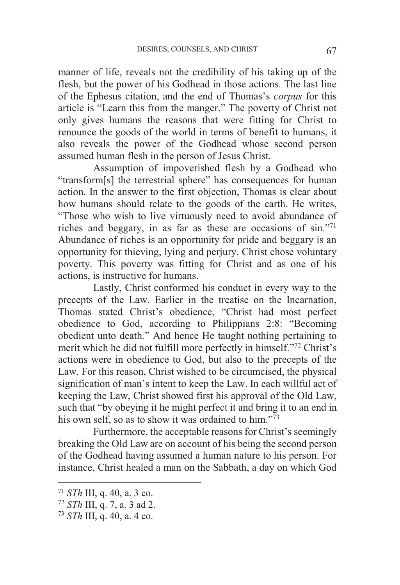manner of life, reveals not the credibility of his taking up of the flesh, but the power of his Godhead in those actions. The last line of the Ephesus citation, and the end of Thomas's *corpus* for this article is "Learn this from the manger." The poverty of Christ not only gives humans the reasons that were fitting for Christ to renounce the goods of the world in terms of benefit to humans, it also reveals the power of the Godhead whose second person assumed human flesh in the person of Jesus Christ.

 Assumption of impoverished flesh by a Godhead who "transform[s] the terrestrial sphere" has consequences for human action. In the answer to the first objection, Thomas is clear about how humans should relate to the goods of the earth. He writes, "Those who wish to live virtuously need to avoid abundance of riches and beggary, in as far as these are occasions of sin."<sup>71</sup> Abundance of riches is an opportunity for pride and beggary is an opportunity for thieving, lying and perjury. Christ chose voluntary poverty. This poverty was fitting for Christ and as one of his actions, is instructive for humans.

 Lastly, Christ conformed his conduct in every way to the precepts of the Law. Earlier in the treatise on the Incarnation, Thomas stated Christ's obedience, "Christ had most perfect obedience to God, according to Philippians 2:8: "Becoming obedient unto death." And hence He taught nothing pertaining to merit which he did not fulfill more perfectly in himself."<sup>72</sup> Christ's actions were in obedience to God, but also to the precepts of the Law. For this reason, Christ wished to be circumcised, the physical signification of man's intent to keep the Law. In each willful act of keeping the Law, Christ showed first his approval of the Old Law, such that "by obeying it he might perfect it and bring it to an end in his own self, so as to show it was ordained to him."<sup>73</sup>

Furthermore, the acceptable reasons for Christ's seemingly breaking the Old Law are on account of his being the second person of the Godhead having assumed a human nature to his person. For instance, Christ healed a man on the Sabbath, a day on which God

-

<sup>71</sup> *STh* III, q. 40, a. 3 co. 72 *STh* III, q. 7, a. 3 ad 2. 73 *STh* III, q. 40, a. 4 co.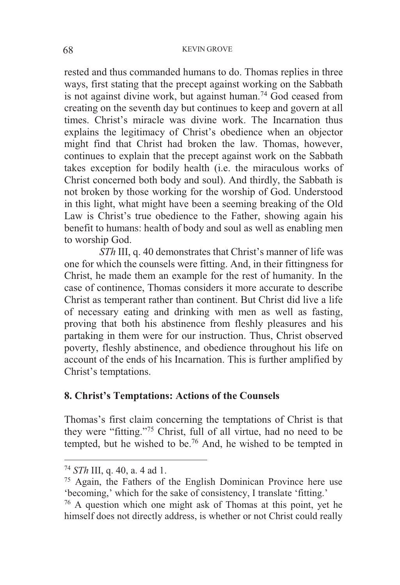rested and thus commanded humans to do. Thomas replies in three ways, first stating that the precept against working on the Sabbath is not against divine work, but against human.74 God ceased from creating on the seventh day but continues to keep and govern at all times. Christ's miracle was divine work. The Incarnation thus explains the legitimacy of Christ's obedience when an objector might find that Christ had broken the law. Thomas, however, continues to explain that the precept against work on the Sabbath takes exception for bodily health (i.e. the miraculous works of Christ concerned both body and soul). And thirdly, the Sabbath is not broken by those working for the worship of God. Understood in this light, what might have been a seeming breaking of the Old Law is Christ's true obedience to the Father, showing again his benefit to humans: health of body and soul as well as enabling men to worship God.

*STh* III, q. 40 demonstrates that Christ's manner of life was one for which the counsels were fitting. And, in their fittingness for Christ, he made them an example for the rest of humanity. In the case of continence, Thomas considers it more accurate to describe Christ as temperant rather than continent. But Christ did live a life of necessary eating and drinking with men as well as fasting, proving that both his abstinence from fleshly pleasures and his partaking in them were for our instruction. Thus, Christ observed poverty, fleshly abstinence, and obedience throughout his life on account of the ends of his Incarnation. This is further amplified by Christ's temptations.

## **8. Christ's Temptations: Actions of the Counsels**

Thomas's first claim concerning the temptations of Christ is that they were "fitting."75 Christ, full of all virtue, had no need to be tempted, but he wished to be.76 And, he wished to be tempted in

<sup>&</sup>lt;sup>74</sup> *STh* III, q. 40, a. 4 ad 1.<br><sup>75</sup> Again, the Fathers of the English Dominican Province here use 'becoming,' which for the sake of consistency, I translate 'fitting.'

<sup>76</sup> A question which one might ask of Thomas at this point, yet he himself does not directly address, is whether or not Christ could really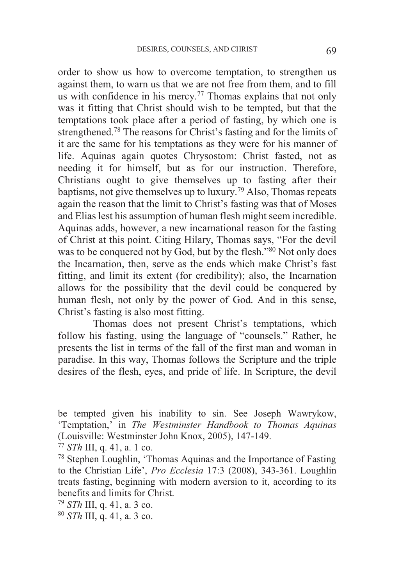order to show us how to overcome temptation, to strengthen us against them, to warn us that we are not free from them, and to fill us with confidence in his mercy.<sup>77</sup> Thomas explains that not only was it fitting that Christ should wish to be tempted, but that the temptations took place after a period of fasting, by which one is strengthened.78 The reasons for Christ's fasting and for the limits of it are the same for his temptations as they were for his manner of life. Aquinas again quotes Chrysostom: Christ fasted, not as needing it for himself, but as for our instruction. Therefore, Christians ought to give themselves up to fasting after their baptisms, not give themselves up to luxury.79 Also, Thomas repeats again the reason that the limit to Christ's fasting was that of Moses and Elias lest his assumption of human flesh might seem incredible. Aquinas adds, however, a new incarnational reason for the fasting of Christ at this point. Citing Hilary, Thomas says, "For the devil was to be conquered not by God, but by the flesh."<sup>80</sup> Not only does the Incarnation, then, serve as the ends which make Christ's fast fitting, and limit its extent (for credibility); also, the Incarnation allows for the possibility that the devil could be conquered by human flesh, not only by the power of God. And in this sense, Christ's fasting is also most fitting.

Thomas does not present Christ's temptations, which follow his fasting, using the language of "counsels." Rather, he presents the list in terms of the fall of the first man and woman in paradise. In this way, Thomas follows the Scripture and the triple desires of the flesh, eyes, and pride of life. In Scripture, the devil

be tempted given his inability to sin. See Joseph Wawrykow, 'Temptation,' in *The Westminster Handbook to Thomas Aquinas* (Louisville: Westminster John Knox, 2005), 147-149.

<sup>&</sup>lt;sup>77</sup> *STh* III, q. 41, a. 1 co.<br><sup>78</sup> Stephen Loughlin, 'Thomas Aquinas and the Importance of Fasting to the Christian Life', *Pro Ecclesia* 17:3 (2008), 343-361. Loughlin treats fasting, beginning with modern aversion to it, according to its benefits and limits for Christ.

<sup>79</sup> *STh* III, q. 41, a. 3 co. 80 *STh* III, q. 41, a. 3 co.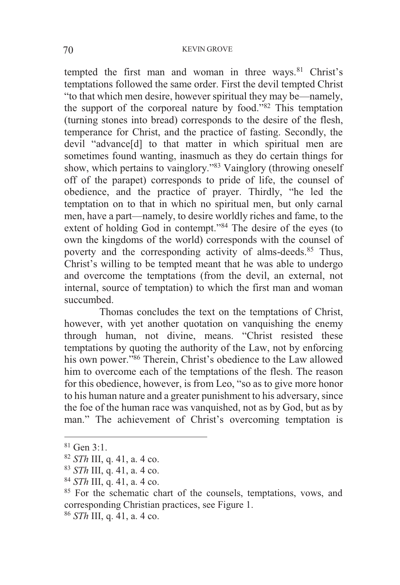#### 70 KEVIN GROVE

tempted the first man and woman in three ways. $81$  Christ's temptations followed the same order. First the devil tempted Christ "to that which men desire, however spiritual they may be—namely, the support of the corporeal nature by food."82 This temptation (turning stones into bread) corresponds to the desire of the flesh, temperance for Christ, and the practice of fasting. Secondly, the devil "advance[d] to that matter in which spiritual men are sometimes found wanting, inasmuch as they do certain things for show, which pertains to vainglory."83 Vainglory (throwing oneself off of the parapet) corresponds to pride of life, the counsel of obedience, and the practice of prayer. Thirdly, "he led the temptation on to that in which no spiritual men, but only carnal men, have a part—namely, to desire worldly riches and fame, to the extent of holding God in contempt."84 The desire of the eyes (to own the kingdoms of the world) corresponds with the counsel of poverty and the corresponding activity of alms-deeds.<sup>85</sup> Thus, Christ's willing to be tempted meant that he was able to undergo and overcome the temptations (from the devil, an external, not internal, source of temptation) to which the first man and woman succumbed.

 Thomas concludes the text on the temptations of Christ, however, with yet another quotation on vanquishing the enemy through human, not divine, means. "Christ resisted these temptations by quoting the authority of the Law, not by enforcing his own power."<sup>86</sup> Therein, Christ's obedience to the Law allowed him to overcome each of the temptations of the flesh. The reason for this obedience, however, is from Leo, "so as to give more honor to his human nature and a greater punishment to his adversary, since the foe of the human race was vanquished, not as by God, but as by man." The achievement of Christ's overcoming temptation is

<sup>&</sup>lt;sup>81</sup> Gen 3:1.<br><sup>82</sup> *STh* III, q. 41, a. 4 co.

 $^{83}$  *STh* III, q. 41, a. 4 co.<br><sup>84</sup> *STh* III, q. 41, a. 4 co.<br><sup>85</sup> For the schematic chart of the counsels, temptations, vows, and corresponding Christian practices, see Figure 1.

<sup>86</sup> *STh* III, q. 41, a. 4 co.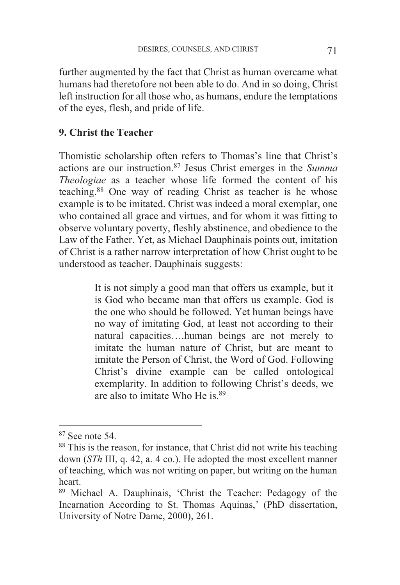further augmented by the fact that Christ as human overcame what humans had theretofore not been able to do. And in so doing, Christ left instruction for all those who, as humans, endure the temptations of the eyes, flesh, and pride of life.

## **9. Christ the Teacher**

Thomistic scholarship often refers to Thomas's line that Christ's actions are our instruction.87 Jesus Christ emerges in the *Summa Theologiae* as a teacher whose life formed the content of his teaching.88 One way of reading Christ as teacher is he whose example is to be imitated. Christ was indeed a moral exemplar, one who contained all grace and virtues, and for whom it was fitting to observe voluntary poverty, fleshly abstinence, and obedience to the Law of the Father. Yet, as Michael Dauphinais points out, imitation of Christ is a rather narrow interpretation of how Christ ought to be understood as teacher. Dauphinais suggests:

> It is not simply a good man that offers us example, but it is God who became man that offers us example. God is the one who should be followed. Yet human beings have no way of imitating God, at least not according to their natural capacities….human beings are not merely to imitate the human nature of Christ, but are meant to imitate the Person of Christ, the Word of God. Following Christ's divine example can be called ontological exemplarity. In addition to following Christ's deeds, we are also to imitate Who He is.89

-

<sup>87</sup> See note 54.

<sup>&</sup>lt;sup>88</sup> This is the reason, for instance, that Christ did not write his teaching down (*STh* III, q. 42, a. 4 co.). He adopted the most excellent manner of teaching, which was not writing on paper, but writing on the human heart.

<sup>89</sup> Michael A. Dauphinais, 'Christ the Teacher: Pedagogy of the Incarnation According to St. Thomas Aquinas,' (PhD dissertation, University of Notre Dame, 2000), 261.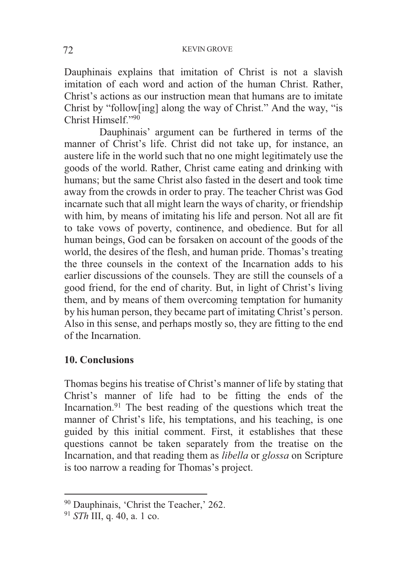Dauphinais explains that imitation of Christ is not a slavish imitation of each word and action of the human Christ. Rather, Christ's actions as our instruction mean that humans are to imitate Christ by "follow[ing] along the way of Christ." And the way, "is Christ Himself<sup>"90</sup>

Dauphinais' argument can be furthered in terms of the manner of Christ's life. Christ did not take up, for instance, an austere life in the world such that no one might legitimately use the goods of the world. Rather, Christ came eating and drinking with humans; but the same Christ also fasted in the desert and took time away from the crowds in order to pray. The teacher Christ was God incarnate such that all might learn the ways of charity, or friendship with him, by means of imitating his life and person. Not all are fit to take vows of poverty, continence, and obedience. But for all human beings, God can be forsaken on account of the goods of the world, the desires of the flesh, and human pride. Thomas's treating the three counsels in the context of the Incarnation adds to his earlier discussions of the counsels. They are still the counsels of a good friend, for the end of charity. But, in light of Christ's living them, and by means of them overcoming temptation for humanity by his human person, they became part of imitating Christ's person. Also in this sense, and perhaps mostly so, they are fitting to the end of the Incarnation.

# **10. Conclusions**

Thomas begins his treatise of Christ's manner of life by stating that Christ's manner of life had to be fitting the ends of the Incarnation.<sup>91</sup> The best reading of the questions which treat the manner of Christ's life, his temptations, and his teaching, is one guided by this initial comment. First, it establishes that these questions cannot be taken separately from the treatise on the Incarnation, and that reading them as *libella* or *glossa* on Scripture is too narrow a reading for Thomas's project.

1

<sup>&</sup>lt;sup>90</sup> Dauphinais, 'Christ the Teacher,' 262.

<sup>91</sup> *STh* III, q. 40, a. 1 co.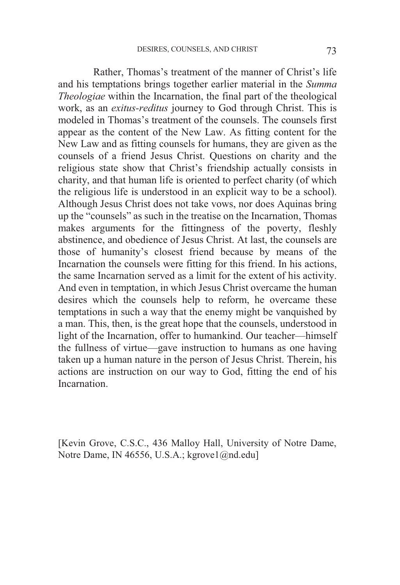Rather, Thomas's treatment of the manner of Christ's life and his temptations brings together earlier material in the *Summa Theologiae* within the Incarnation, the final part of the theological work, as an *exitus-reditus* journey to God through Christ. This is modeled in Thomas's treatment of the counsels. The counsels first appear as the content of the New Law. As fitting content for the New Law and as fitting counsels for humans, they are given as the counsels of a friend Jesus Christ. Questions on charity and the religious state show that Christ's friendship actually consists in charity, and that human life is oriented to perfect charity (of which the religious life is understood in an explicit way to be a school). Although Jesus Christ does not take vows, nor does Aquinas bring up the "counsels" as such in the treatise on the Incarnation, Thomas makes arguments for the fittingness of the poverty, fleshly abstinence, and obedience of Jesus Christ. At last, the counsels are those of humanity's closest friend because by means of the Incarnation the counsels were fitting for this friend. In his actions, the same Incarnation served as a limit for the extent of his activity. And even in temptation, in which Jesus Christ overcame the human desires which the counsels help to reform, he overcame these temptations in such a way that the enemy might be vanquished by a man. This, then, is the great hope that the counsels, understood in light of the Incarnation, offer to humankind. Our teacher—himself the fullness of virtue—gave instruction to humans as one having taken up a human nature in the person of Jesus Christ. Therein, his actions are instruction on our way to God, fitting the end of his Incarnation.

[Kevin Grove, C.S.C., 436 Malloy Hall, University of Notre Dame, Notre Dame, IN 46556, U.S.A.; kgrove1@nd.edu]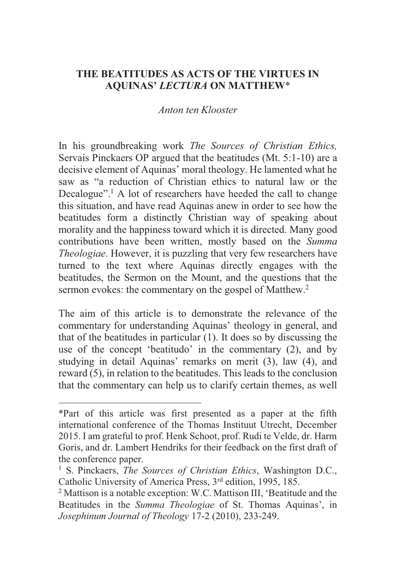## **THE BEATITUDES AS ACTS OF THE VIRTUES IN AQUINAS'** *LECTURA* **ON MATTHEW**\*

#### *Anton ten Klooster*

In his groundbreaking work *The Sources of Christian Ethics,*  Servais Pinckaers OP argued that the beatitudes (Mt. 5:1-10) are a decisive element of Aquinas' moral theology. He lamented what he saw as "a reduction of Christian ethics to natural law or the Decalogue".<sup>1</sup> A lot of researchers have heeded the call to change this situation, and have read Aquinas anew in order to see how the beatitudes form a distinctly Christian way of speaking about morality and the happiness toward which it is directed. Many good contributions have been written, mostly based on the *Summa Theologiae*. However, it is puzzling that very few researchers have turned to the text where Aquinas directly engages with the beatitudes, the Sermon on the Mount, and the questions that the sermon evokes: the commentary on the gospel of Matthew.<sup>2</sup>

The aim of this article is to demonstrate the relevance of the commentary for understanding Aquinas' theology in general, and that of the beatitudes in particular (1). It does so by discussing the use of the concept 'beatitudo' in the commentary (2), and by studying in detail Aquinas' remarks on merit (3), law (4), and reward (5), in relation to the beatitudes. This leads to the conclusion that the commentary can help us to clarify certain themes, as well

<sup>\*</sup>Part of this article was first presented as a paper at the fifth international conference of the Thomas Instituut Utrecht, December 2015. I am grateful to prof. Henk Schoot, prof. Rudi te Velde, dr. Harm Goris, and dr. Lambert Hendriks for their feedback on the first draft of the conference paper.

<sup>1</sup> S. Pinckaers, *The Sources of Christian Ethics*, Washington D.C., Catholic University of America Press, 3<sup>rd</sup> edition, 1995, 185.

<sup>&</sup>lt;sup>2</sup> Mattison is a notable exception: W.C. Mattison III, 'Beatitude and the Beatitudes in the *Summa Theologiae* of St. Thomas Aquinas', in *Josephinum Journal of Theology* 17-2 (2010), 233-249.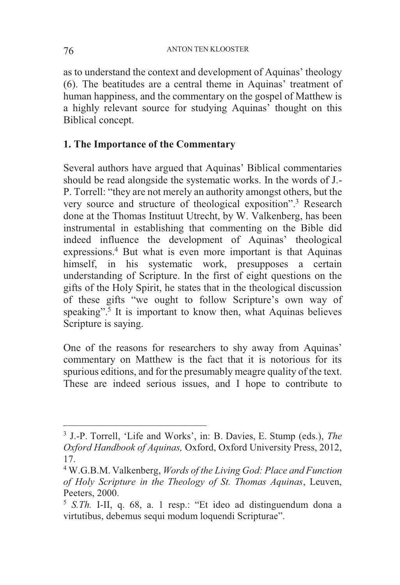as to understand the context and development of Aquinas' theology (6). The beatitudes are a central theme in Aquinas' treatment of human happiness, and the commentary on the gospel of Matthew is a highly relevant source for studying Aquinas' thought on this Biblical concept.

# **1. The Importance of the Commentary**

Several authors have argued that Aquinas' Biblical commentaries should be read alongside the systematic works. In the words of J.- P. Torrell: "they are not merely an authority amongst others, but the very source and structure of theological exposition".3 Research done at the Thomas Instituut Utrecht, by W. Valkenberg, has been instrumental in establishing that commenting on the Bible did indeed influence the development of Aquinas' theological expressions.4 But what is even more important is that Aquinas himself, in his systematic work, presupposes a certain understanding of Scripture. In the first of eight questions on the gifts of the Holy Spirit, he states that in the theological discussion of these gifts "we ought to follow Scripture's own way of speaking".<sup>5</sup> It is important to know then, what Aquinas believes Scripture is saying.

One of the reasons for researchers to shy away from Aquinas' commentary on Matthew is the fact that it is notorious for its spurious editions, and for the presumably meagre quality of the text. These are indeed serious issues, and I hope to contribute to

-

<sup>3</sup> J.-P. Torrell, 'Life and Works', in: B. Davies, E. Stump (eds.), *The Oxford Handbook of Aquinas,* Oxford, Oxford University Press, 2012, 17.

<sup>4</sup> W.G.B.M. Valkenberg, *Words of the Living God: Place and Function of Holy Scripture in the Theology of St. Thomas Aquinas*, Leuven, Peeters, 2000.

<sup>5</sup> *S.Th.* I-II, q. 68, a. 1 resp.: "Et ideo ad distinguendum dona a virtutibus, debemus sequi modum loquendi Scripturae".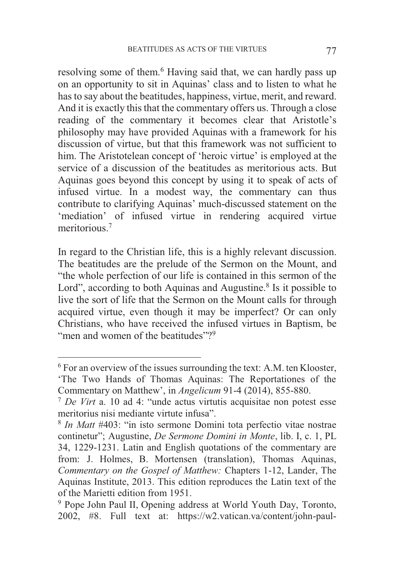resolving some of them.<sup>6</sup> Having said that, we can hardly pass up on an opportunity to sit in Aquinas' class and to listen to what he has to say about the beatitudes, happiness, virtue, merit, and reward. And it is exactly this that the commentary offers us. Through a close reading of the commentary it becomes clear that Aristotle's philosophy may have provided Aquinas with a framework for his discussion of virtue, but that this framework was not sufficient to him. The Aristotelean concept of 'heroic virtue' is employed at the service of a discussion of the beatitudes as meritorious acts. But Aquinas goes beyond this concept by using it to speak of acts of infused virtue. In a modest way, the commentary can thus contribute to clarifying Aquinas' much-discussed statement on the 'mediation' of infused virtue in rendering acquired virtue meritorious.7

In regard to the Christian life, this is a highly relevant discussion. The beatitudes are the prelude of the Sermon on the Mount, and "the whole perfection of our life is contained in this sermon of the Lord", according to both Aquinas and Augustine. $8$  Is it possible to live the sort of life that the Sermon on the Mount calls for through acquired virtue, even though it may be imperfect? Or can only Christians, who have received the infused virtues in Baptism, be "men and women of the beatitudes"?

<sup>6</sup> For an overview of the issues surrounding the text: A.M. ten Klooster, 'The Two Hands of Thomas Aquinas: The Reportationes of the Commentary on Matthew', in *Angelicum* 91-4 (2014), 855-880.

<sup>&</sup>lt;sup>7</sup> De Virt a. 10 ad 4: "unde actus virtutis acquisitae non potest esse meritorius nisi mediante virtute infusa".

<sup>8</sup> *In Matt* #403: "in isto sermone Domini tota perfectio vitae nostrae continetur"; Augustine, *De Sermone Domini in Monte*, lib. I, c. 1, PL 34, 1229-1231. Latin and English quotations of the commentary are from: J. Holmes, B. Mortensen (translation), Thomas Aquinas, *Commentary on the Gospel of Matthew:* Chapters 1-12, Lander, The Aquinas Institute, 2013. This edition reproduces the Latin text of the of the Marietti edition from 1951.

<sup>9</sup> Pope John Paul II, Opening address at World Youth Day, Toronto, 2002, #8. Full text at: https://w2.vatican.va/content/john-paul-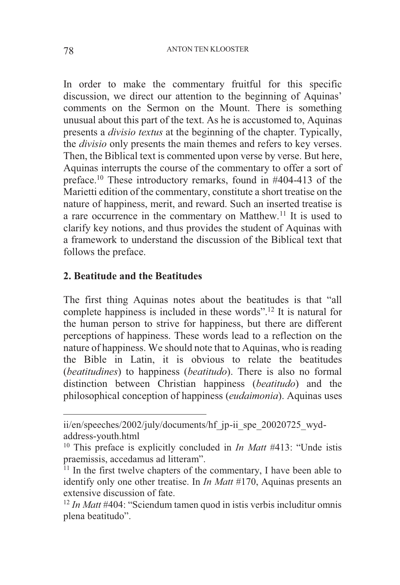In order to make the commentary fruitful for this specific discussion, we direct our attention to the beginning of Aquinas' comments on the Sermon on the Mount. There is something unusual about this part of the text. As he is accustomed to, Aquinas presents a *divisio textus* at the beginning of the chapter. Typically, the *divisio* only presents the main themes and refers to key verses. Then, the Biblical text is commented upon verse by verse. But here, Aquinas interrupts the course of the commentary to offer a sort of preface.10 These introductory remarks, found in #404-413 of the Marietti edition of the commentary, constitute a short treatise on the nature of happiness, merit, and reward. Such an inserted treatise is a rare occurrence in the commentary on Matthew.<sup>11</sup> It is used to clarify key notions, and thus provides the student of Aquinas with a framework to understand the discussion of the Biblical text that follows the preface.

### **2. Beatitude and the Beatitudes**

The first thing Aquinas notes about the beatitudes is that "all complete happiness is included in these words".12 It is natural for the human person to strive for happiness, but there are different perceptions of happiness. These words lead to a reflection on the nature of happiness. We should note that to Aquinas, who is reading the Bible in Latin, it is obvious to relate the beatitudes (*beatitudines*) to happiness (*beatitudo*). There is also no formal distinction between Christian happiness (*beatitudo*) and the philosophical conception of happiness (*eudaimonia*). Aquinas uses

ii/en/speeches/2002/july/documents/hf\_jp-ii\_spe\_20020725\_wydaddress-youth.html

<sup>&</sup>lt;sup>10</sup> This preface is explicitly concluded in *In Matt* #413: "Unde istis praemissis, accedamus ad litteram".

 $11$  In the first twelve chapters of the commentary, I have been able to identify only one other treatise. In *In Matt* #170, Aquinas presents an extensive discussion of fate.

<sup>&</sup>lt;sup>12</sup> In Matt #404: "Sciendum tamen quod in istis verbis includitur omnis plena beatitudo".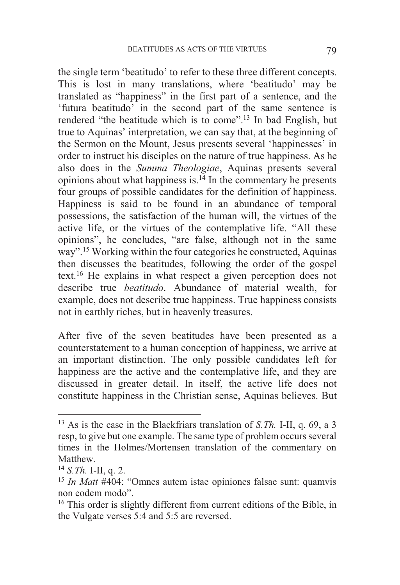the single term 'beatitudo' to refer to these three different concepts. This is lost in many translations, where 'beatitudo' may be translated as "happiness" in the first part of a sentence, and the 'futura beatitudo' in the second part of the same sentence is rendered "the beatitude which is to come".13 In bad English, but true to Aquinas' interpretation, we can say that, at the beginning of the Sermon on the Mount, Jesus presents several 'happinesses' in order to instruct his disciples on the nature of true happiness. As he also does in the *Summa Theologiae*, Aquinas presents several opinions about what happiness is. $14$  In the commentary he presents four groups of possible candidates for the definition of happiness. Happiness is said to be found in an abundance of temporal possessions, the satisfaction of the human will, the virtues of the active life, or the virtues of the contemplative life. "All these opinions", he concludes, "are false, although not in the same way".15 Working within the four categories he constructed, Aquinas then discusses the beatitudes, following the order of the gospel text.16 He explains in what respect a given perception does not describe true *beatitudo*. Abundance of material wealth, for example, does not describe true happiness. True happiness consists not in earthly riches, but in heavenly treasures.

After five of the seven beatitudes have been presented as a counterstatement to a human conception of happiness, we arrive at an important distinction. The only possible candidates left for happiness are the active and the contemplative life, and they are discussed in greater detail. In itself, the active life does not constitute happiness in the Christian sense, Aquinas believes. But

-

<sup>13</sup> As is the case in the Blackfriars translation of *S.Th.* I-II, q. 69, a 3 resp, to give but one example. The same type of problem occurs several times in the Holmes/Mortensen translation of the commentary on Matthew.<br> $^{14}$  S. Th. I-II, q. 2.

<sup>&</sup>lt;sup>15</sup> *In Matt* #404: "Omnes autem istae opiniones falsae sunt: quamvis non eodem modo".

<sup>&</sup>lt;sup>16</sup> This order is slightly different from current editions of the Bible, in the Vulgate verses 5:4 and 5:5 are reversed.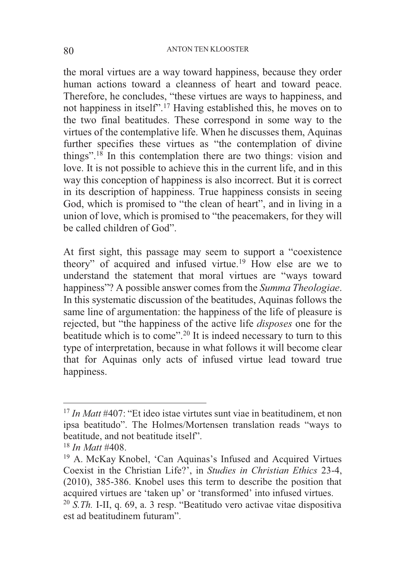the moral virtues are a way toward happiness, because they order human actions toward a cleanness of heart and toward peace. Therefore, he concludes, "these virtues are ways to happiness, and not happiness in itself".17 Having established this, he moves on to the two final beatitudes. These correspond in some way to the virtues of the contemplative life. When he discusses them, Aquinas further specifies these virtues as "the contemplation of divine things".18 In this contemplation there are two things: vision and love. It is not possible to achieve this in the current life, and in this way this conception of happiness is also incorrect. But it is correct in its description of happiness. True happiness consists in seeing God, which is promised to "the clean of heart", and in living in a union of love, which is promised to "the peacemakers, for they will be called children of God".

At first sight, this passage may seem to support a "coexistence theory" of acquired and infused virtue.<sup>19</sup> How else are we to understand the statement that moral virtues are "ways toward happiness"? A possible answer comes from the *Summa Theologiae*. In this systematic discussion of the beatitudes, Aquinas follows the same line of argumentation: the happiness of the life of pleasure is rejected, but "the happiness of the active life *disposes* one for the beatitude which is to come".<sup>20</sup> It is indeed necessary to turn to this type of interpretation, because in what follows it will become clear that for Aquinas only acts of infused virtue lead toward true happiness.

<sup>&</sup>lt;sup>17</sup> *In Matt* #407: "Et ideo istae virtutes sunt viae in beatitudinem, et non ipsa beatitudo". The Holmes/Mortensen translation reads "ways to beatitude, and not beatitude itself".

<sup>&</sup>lt;sup>18</sup> *In Matt* #408.<br><sup>19</sup> A. McKay Knobel, 'Can Aquinas's Infused and Acquired Virtues Coexist in the Christian Life?', in *Studies in Christian Ethics* 23-4, (2010), 385-386. Knobel uses this term to describe the position that acquired virtues are 'taken up' or 'transformed' into infused virtues. <sup>20</sup> *S.Th.* I-II, q. 69, a. 3 resp. "Beatitudo vero activae vitae dispositiva est ad beatitudinem futuram".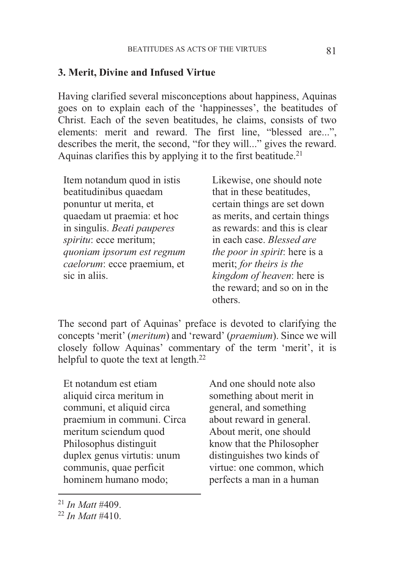#### **3. Merit, Divine and Infused Virtue**

Having clarified several misconceptions about happiness, Aquinas goes on to explain each of the 'happinesses', the beatitudes of Christ. Each of the seven beatitudes, he claims, consists of two elements: merit and reward. The first line, "blessed are...", describes the merit, the second, "for they will..." gives the reward. Aquinas clarifies this by applying it to the first beatitude.<sup>21</sup>

Item notandum quod in istis beatitudinibus quaedam ponuntur ut merita, et quaedam ut praemia: et hoc in singulis. *Beati pauperes spiritu*: ecce meritum; *quoniam ipsorum est regnum caelorum*: ecce praemium, et sic in aliis.

Likewise, one should note that in these beatitudes, certain things are set down as merits, and certain things as rewards: and this is clear in each case. *Blessed are the poor in spirit*: here is a merit; *for theirs is the kingdom of heaven*: here is the reward; and so on in the others.

The second part of Aquinas' preface is devoted to clarifying the concepts 'merit' (*meritum*) and 'reward' (*praemium*). Since we will closely follow Aquinas' commentary of the term 'merit', it is helpful to quote the text at length.<sup>22</sup>

Et notandum est etiam aliquid circa meritum in communi, et aliquid circa praemium in communi. Circa meritum sciendum quod Philosophus distinguit duplex genus virtutis: unum communis, quae perficit hominem humano modo;

And one should note also something about merit in general, and something about reward in general. About merit, one should know that the Philosopher distinguishes two kinds of virtue: one common, which perfects a man in a human

1

<sup>21</sup> *In Matt* #409. 22 *In Matt* #410.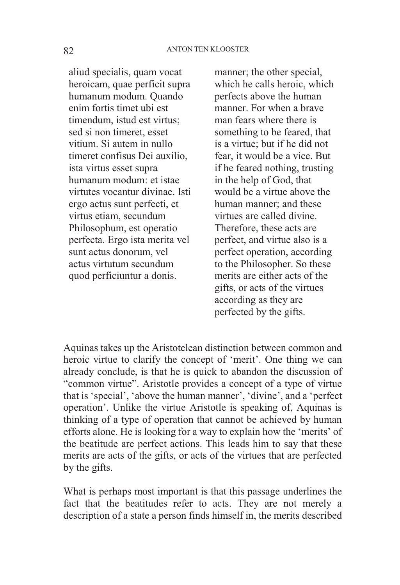aliud specialis, quam vocat heroicam, quae perficit supra humanum modum. Quando enim fortis timet ubi est timendum, istud est virtus; sed si non timeret, esset vitium. Si autem in nullo timeret confisus Dei auxilio, ista virtus esset supra humanum modum: et istae virtutes vocantur divinae. Isti ergo actus sunt perfecti, et virtus etiam, secundum Philosophum, est operatio perfecta. Ergo ista merita vel sunt actus donorum, vel actus virtutum secundum quod perficiuntur a donis.

manner; the other special, which he calls heroic, which perfects above the human manner. For when a brave man fears where there is something to be feared, that is a virtue; but if he did not fear, it would be a vice. But if he feared nothing, trusting in the help of God, that would be a virtue above the human manner; and these virtues are called divine. Therefore, these acts are perfect, and virtue also is a perfect operation, according to the Philosopher. So these merits are either acts of the gifts, or acts of the virtues according as they are perfected by the gifts.

Aquinas takes up the Aristotelean distinction between common and heroic virtue to clarify the concept of 'merit'. One thing we can already conclude, is that he is quick to abandon the discussion of "common virtue". Aristotle provides a concept of a type of virtue that is 'special', 'above the human manner', 'divine', and a 'perfect operation'. Unlike the virtue Aristotle is speaking of, Aquinas is thinking of a type of operation that cannot be achieved by human efforts alone. He is looking for a way to explain how the 'merits' of the beatitude are perfect actions. This leads him to say that these merits are acts of the gifts, or acts of the virtues that are perfected by the gifts.

What is perhaps most important is that this passage underlines the fact that the beatitudes refer to acts. They are not merely a description of a state a person finds himself in, the merits described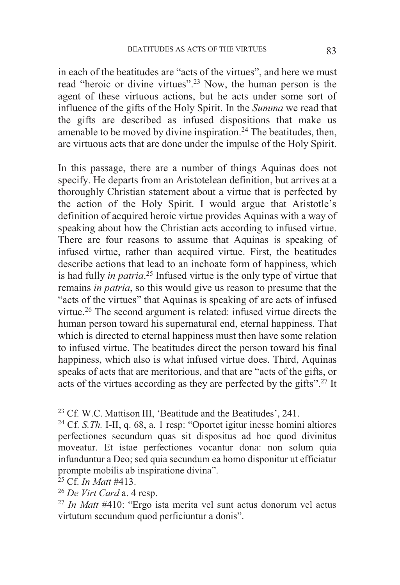in each of the beatitudes are "acts of the virtues", and here we must read "heroic or divine virtues".23 Now, the human person is the agent of these virtuous actions, but he acts under some sort of influence of the gifts of the Holy Spirit. In the *Summa* we read that the gifts are described as infused dispositions that make us amenable to be moved by divine inspiration.<sup>24</sup> The beatitudes, then, are virtuous acts that are done under the impulse of the Holy Spirit.

In this passage, there are a number of things Aquinas does not specify. He departs from an Aristotelean definition, but arrives at a thoroughly Christian statement about a virtue that is perfected by the action of the Holy Spirit. I would argue that Aristotle's definition of acquired heroic virtue provides Aquinas with a way of speaking about how the Christian acts according to infused virtue. There are four reasons to assume that Aquinas is speaking of infused virtue, rather than acquired virtue. First, the beatitudes describe actions that lead to an inchoate form of happiness, which is had fully *in patria*. 25 Infused virtue is the only type of virtue that remains *in patria*, so this would give us reason to presume that the "acts of the virtues" that Aquinas is speaking of are acts of infused virtue.26 The second argument is related: infused virtue directs the human person toward his supernatural end, eternal happiness. That which is directed to eternal happiness must then have some relation to infused virtue. The beatitudes direct the person toward his final happiness, which also is what infused virtue does. Third, Aquinas speaks of acts that are meritorious, and that are "acts of the gifts, or acts of the virtues according as they are perfected by the gifts".27 It

 $23$  Cf. W.C. Mattison III, 'Beatitude and the Beatitudes', 241.

<sup>24</sup> Cf. *S.Th.* I-II, q. 68, a. 1 resp: "Oportet igitur inesse homini altiores perfectiones secundum quas sit dispositus ad hoc quod divinitus moveatur. Et istae perfectiones vocantur dona: non solum quia infunduntur a Deo; sed quia secundum ea homo disponitur ut efficiatur prompte mobilis ab inspiratione divina".<br><sup>25</sup> Cf. *In Matt* #413.

<sup>&</sup>lt;sup>26</sup> De Virt Card a. 4 resp.<br><sup>27</sup> *In Matt* #410: "Ergo ista merita vel sunt actus donorum vel actus virtutum secundum quod perficiuntur a donis".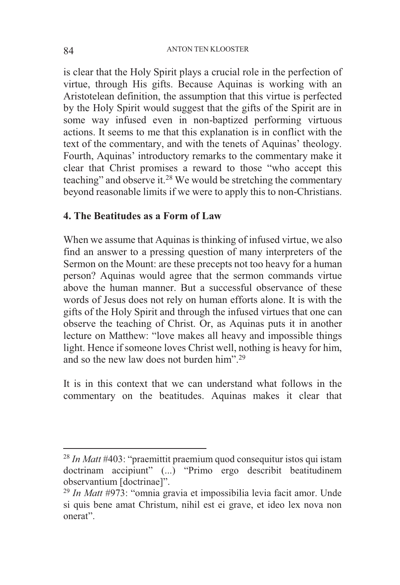is clear that the Holy Spirit plays a crucial role in the perfection of virtue, through His gifts. Because Aquinas is working with an Aristotelean definition, the assumption that this virtue is perfected by the Holy Spirit would suggest that the gifts of the Spirit are in some way infused even in non-baptized performing virtuous actions. It seems to me that this explanation is in conflict with the text of the commentary, and with the tenets of Aquinas' theology. Fourth, Aquinas' introductory remarks to the commentary make it clear that Christ promises a reward to those "who accept this teaching" and observe it.28 We would be stretching the commentary beyond reasonable limits if we were to apply this to non-Christians.

### **4. The Beatitudes as a Form of Law**

When we assume that Aquinas is thinking of infused virtue, we also find an answer to a pressing question of many interpreters of the Sermon on the Mount: are these precepts not too heavy for a human person? Aquinas would agree that the sermon commands virtue above the human manner. But a successful observance of these words of Jesus does not rely on human efforts alone. It is with the gifts of the Holy Spirit and through the infused virtues that one can observe the teaching of Christ. Or, as Aquinas puts it in another lecture on Matthew: "love makes all heavy and impossible things light. Hence if someone loves Christ well, nothing is heavy for him, and so the new law does not burden him"<sup>29</sup>

It is in this context that we can understand what follows in the commentary on the beatitudes. Aquinas makes it clear that

<sup>28</sup> *In Matt* #403: "praemittit praemium quod consequitur istos qui istam doctrinam accipiunt" (...) "Primo ergo describit beatitudinem observantium [doctrinae]". 29 *In Matt* #973: "omnia gravia et impossibilia levia facit amor. Unde

si quis bene amat Christum, nihil est ei grave, et ideo lex nova non onerat".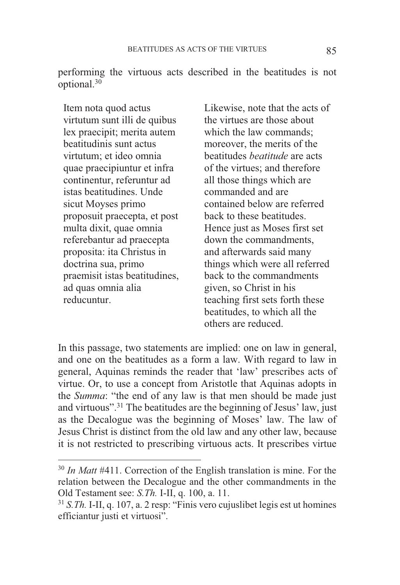performing the virtuous acts described in the beatitudes is not optional.30

Item nota quod actus virtutum sunt illi de quibus lex praecipit; merita autem beatitudinis sunt actus virtutum; et ideo omnia quae praecipiuntur et infra continentur, referuntur ad istas beatitudines. Unde sicut Moyses primo proposuit praecepta, et post multa dixit, quae omnia referebantur ad praecepta proposita: ita Christus in doctrina sua, primo praemisit istas beatitudines, ad quas omnia alia reducuntur.

1

Likewise, note that the acts of the virtues are those about which the law commands; moreover, the merits of the beatitudes *beatitude* are acts of the virtues; and therefore all those things which are commanded and are contained below are referred back to these beatitudes. Hence just as Moses first set down the commandments, and afterwards said many things which were all referred back to the commandments given, so Christ in his teaching first sets forth these beatitudes, to which all the others are reduced.

In this passage, two statements are implied: one on law in general, and one on the beatitudes as a form a law. With regard to law in general, Aquinas reminds the reader that 'law' prescribes acts of virtue. Or, to use a concept from Aristotle that Aquinas adopts in the *Summa*: "the end of any law is that men should be made just and virtuous".<sup>31</sup> The beatitudes are the beginning of Jesus' law, just as the Decalogue was the beginning of Moses' law. The law of Jesus Christ is distinct from the old law and any other law, because it is not restricted to prescribing virtuous acts. It prescribes virtue

<sup>&</sup>lt;sup>30</sup> In Matt #411. Correction of the English translation is mine. For the relation between the Decalogue and the other commandments in the Old Testament see: *S.Th.* I-II, q. 100, a. 11.<br><sup>31</sup> *S.Th.* I-II, q. 107, a. 2 resp: "Finis vero cujuslibet legis est ut homines

efficiantur justi et virtuosi".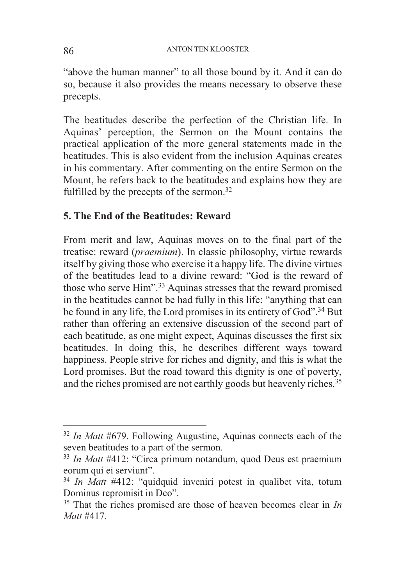"above the human manner" to all those bound by it. And it can do so, because it also provides the means necessary to observe these precepts.

The beatitudes describe the perfection of the Christian life. In Aquinas' perception, the Sermon on the Mount contains the practical application of the more general statements made in the beatitudes. This is also evident from the inclusion Aquinas creates in his commentary. After commenting on the entire Sermon on the Mount, he refers back to the beatitudes and explains how they are fulfilled by the precepts of the sermon.<sup>32</sup>

### **5. The End of the Beatitudes: Reward**

From merit and law, Aquinas moves on to the final part of the treatise: reward (*praemium*). In classic philosophy, virtue rewards itself by giving those who exercise it a happy life. The divine virtues of the beatitudes lead to a divine reward: "God is the reward of those who serve Him".33 Aquinas stresses that the reward promised in the beatitudes cannot be had fully in this life: "anything that can be found in any life, the Lord promises in its entirety of God".<sup>34</sup> But rather than offering an extensive discussion of the second part of each beatitude, as one might expect, Aquinas discusses the first six beatitudes. In doing this, he describes different ways toward happiness. People strive for riches and dignity, and this is what the Lord promises. But the road toward this dignity is one of poverty, and the riches promised are not earthly goods but heavenly riches.<sup>35</sup>

<sup>32</sup> *In Matt* #679. Following Augustine, Aquinas connects each of the seven beatitudes to a part of the sermon.

<sup>33</sup> *In Matt* #412: "Circa primum notandum, quod Deus est praemium eorum qui ei serviunt".

<sup>&</sup>lt;sup>34</sup> *In Matt* #412: "quidquid inveniri potest in qualibet vita, totum Dominus repromisit in Deo".

<sup>35</sup> That the riches promised are those of heaven becomes clear in *In Matt* #417.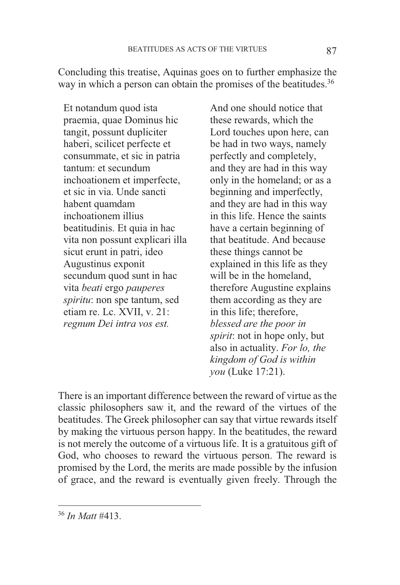Concluding this treatise, Aquinas goes on to further emphasize the way in which a person can obtain the promises of the beatitudes.<sup>36</sup>

Et notandum quod ista praemia, quae Dominus hic tangit, possunt dupliciter haberi, scilicet perfecte et consummate, et sic in patria tantum: et secundum inchoationem et imperfecte, et sic in via. Unde sancti habent quamdam inchoationem illius beatitudinis. Et quia in hac vita non possunt explicari illa sicut erunt in patri, ideo Augustinus exponit secundum quod sunt in hac vita *beati* ergo *pauperes spiritu*: non spe tantum, sed etiam re. Lc. XVII, v. 21: *regnum Dei intra vos est.*

And one should notice that these rewards, which the Lord touches upon here, can be had in two ways, namely perfectly and completely, and they are had in this way only in the homeland; or as a beginning and imperfectly, and they are had in this way in this life. Hence the saints have a certain beginning of that beatitude. And because these things cannot be explained in this life as they will be in the homeland, therefore Augustine explains them according as they are in this life; therefore, *blessed are the poor in spirit*: not in hope only, but also in actuality. *For lo, the kingdom of God is within you* (Luke 17:21).

There is an important difference between the reward of virtue as the classic philosophers saw it, and the reward of the virtues of the beatitudes. The Greek philosopher can say that virtue rewards itself by making the virtuous person happy. In the beatitudes, the reward is not merely the outcome of a virtuous life. It is a gratuitous gift of God, who chooses to reward the virtuous person. The reward is promised by the Lord, the merits are made possible by the infusion of grace, and the reward is eventually given freely. Through the

<sup>36</sup> *In Matt* #413.

-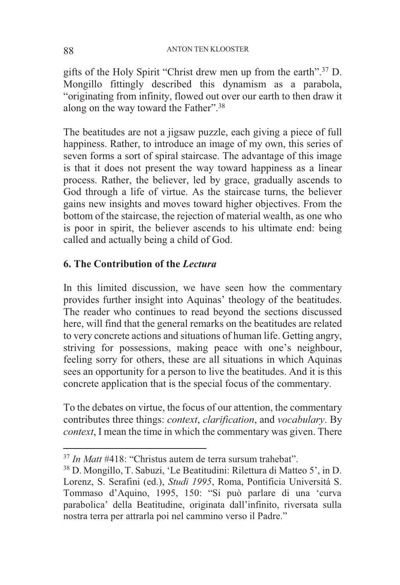gifts of the Holy Spirit "Christ drew men up from the earth".37 D. Mongillo fittingly described this dynamism as a parabola, "originating from infinity, flowed out over our earth to then draw it along on the way toward the Father".38

The beatitudes are not a jigsaw puzzle, each giving a piece of full happiness. Rather, to introduce an image of my own, this series of seven forms a sort of spiral staircase. The advantage of this image is that it does not present the way toward happiness as a linear process. Rather, the believer, led by grace, gradually ascends to God through a life of virtue. As the staircase turns, the believer gains new insights and moves toward higher objectives. From the bottom of the staircase, the rejection of material wealth, as one who is poor in spirit, the believer ascends to his ultimate end: being called and actually being a child of God.

## **6. The Contribution of the** *Lectura*

In this limited discussion, we have seen how the commentary provides further insight into Aquinas' theology of the beatitudes. The reader who continues to read beyond the sections discussed here, will find that the general remarks on the beatitudes are related to very concrete actions and situations of human life. Getting angry, striving for possessions, making peace with one's neighbour, feeling sorry for others, these are all situations in which Aquinas sees an opportunity for a person to live the beatitudes. And it is this concrete application that is the special focus of the commentary.

To the debates on virtue, the focus of our attention, the commentary contributes three things: *context*, *clarification*, and *vocabulary*. By *context*, I mean the time in which the commentary was given. There

<sup>37</sup> *In Matt* #418: "Christus autem de terra sursum trahebat".

<sup>38</sup> D. Mongillo, T. Sabuzi, 'Le Beatitudini: Rilettura di Matteo 5', in D. Lorenz, S. Serafini (ed.), *Studi 1995*, Roma, Pontificia Universitá S. Tommaso d'Aquino, 1995, 150: "Si può parlare di una 'curva parabolica' della Beatitudine, originata dall'infinito, riversata sulla nostra terra per attrarla poi nel cammino verso il Padre."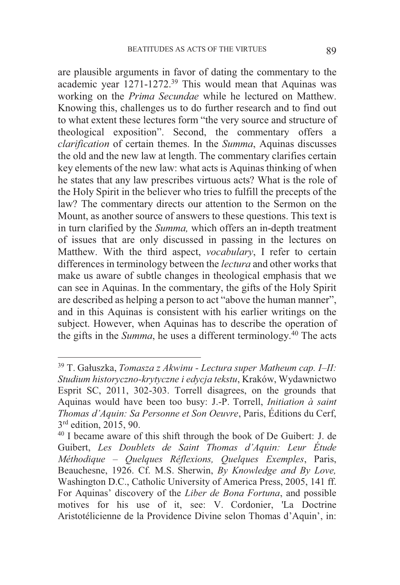are plausible arguments in favor of dating the commentary to the academic year 1271-1272.39 This would mean that Aquinas was working on the *Prima Secundae* while he lectured on Matthew. Knowing this, challenges us to do further research and to find out to what extent these lectures form "the very source and structure of theological exposition". Second, the commentary offers a *clarification* of certain themes. In the *Summa*, Aquinas discusses the old and the new law at length. The commentary clarifies certain key elements of the new law: what acts is Aquinas thinking of when he states that any law prescribes virtuous acts? What is the role of the Holy Spirit in the believer who tries to fulfill the precepts of the law? The commentary directs our attention to the Sermon on the Mount, as another source of answers to these questions. This text is in turn clarified by the *Summa,* which offers an in-depth treatment of issues that are only discussed in passing in the lectures on Matthew. With the third aspect, *vocabulary*, I refer to certain differences in terminology between the *lectura* and other works that make us aware of subtle changes in theological emphasis that we can see in Aquinas. In the commentary, the gifts of the Holy Spirit are described as helping a person to act "above the human manner", and in this Aquinas is consistent with his earlier writings on the subject. However, when Aquinas has to describe the operation of the gifts in the *Summa*, he uses a different terminology.40 The acts

<sup>39</sup> T. Gałuszka, *Tomasza z Akwinu - Lectura super Matheum cap. I–II: Studium historyczno-krytyczne i edycja tekstu*, Kraków, Wydawnictwo Esprit SC, 2011, 302-303. Torrell disagrees, on the grounds that Aquinas would have been too busy: J.-P. Torrell, *Initiation à saint Thomas d'Aquin: Sa Personne et Son Oeuvre*, Paris, Éditions du Cerf,

 $30$ <sup>40</sup> I became aware of this shift through the book of De Guibert: J. de Guibert, *Les Doublets de Saint Thomas d'Aquin: Leur Étude Méthodique – Quelques Réflexions, Quelques Exemples*, Paris, Beauchesne, 1926. Cf. M.S. Sherwin, *By Knowledge and By Love,*  Washington D.C., Catholic University of America Press, 2005, 141 ff. For Aquinas' discovery of the *Liber de Bona Fortuna*, and possible motives for his use of it, see: V. Cordonier, 'La Doctrine Aristotélicienne de la Providence Divine selon Thomas d'Aquin', in: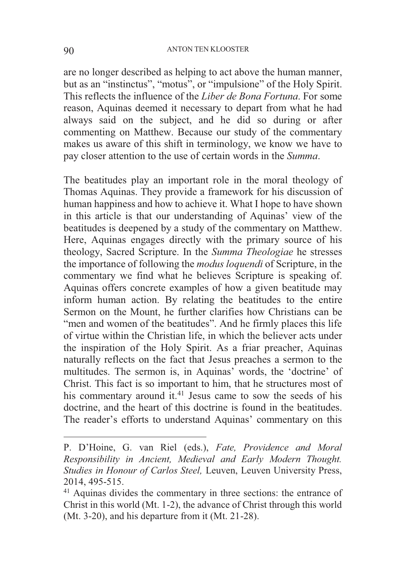are no longer described as helping to act above the human manner, but as an "instinctus", "motus", or "impulsione" of the Holy Spirit. This reflects the influence of the *Liber de Bona Fortuna*. For some reason, Aquinas deemed it necessary to depart from what he had always said on the subject, and he did so during or after commenting on Matthew. Because our study of the commentary makes us aware of this shift in terminology, we know we have to pay closer attention to the use of certain words in the *Summa*.

The beatitudes play an important role in the moral theology of Thomas Aquinas. They provide a framework for his discussion of human happiness and how to achieve it. What I hope to have shown in this article is that our understanding of Aquinas' view of the beatitudes is deepened by a study of the commentary on Matthew. Here, Aquinas engages directly with the primary source of his theology, Sacred Scripture. In the *Summa Theologiae* he stresses the importance of following the *modus loquendi* of Scripture, in the commentary we find what he believes Scripture is speaking of. Aquinas offers concrete examples of how a given beatitude may inform human action. By relating the beatitudes to the entire Sermon on the Mount, he further clarifies how Christians can be "men and women of the beatitudes". And he firmly places this life of virtue within the Christian life, in which the believer acts under the inspiration of the Holy Spirit. As a friar preacher, Aquinas naturally reflects on the fact that Jesus preaches a sermon to the multitudes. The sermon is, in Aquinas' words, the 'doctrine' of Christ. This fact is so important to him, that he structures most of his commentary around  $\hat{t}$ <sup>141</sup> Jesus came to sow the seeds of his doctrine, and the heart of this doctrine is found in the beatitudes. The reader's efforts to understand Aquinas' commentary on this

P. D'Hoine, G. van Riel (eds.), *Fate, Providence and Moral Responsibility in Ancient, Medieval and Early Modern Thought. Studies in Honour of Carlos Steel,* Leuven, Leuven University Press, 2014, 495-515.

<sup>&</sup>lt;sup>41</sup> Aquinas divides the commentary in three sections: the entrance of Christ in this world (Mt. 1-2), the advance of Christ through this world (Mt. 3-20), and his departure from it (Mt. 21-28).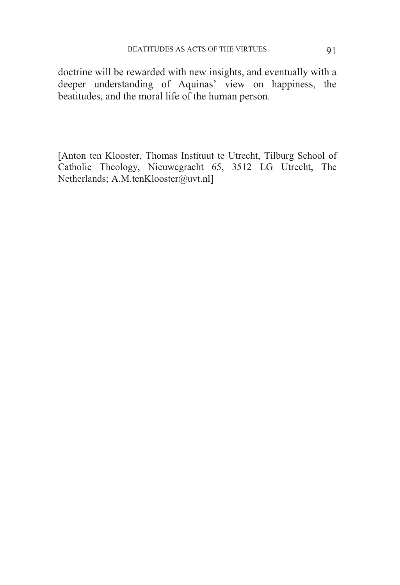doctrine will be rewarded with new insights, and eventually with a deeper understanding of Aquinas' view on happiness, the beatitudes, and the moral life of the human person.

[Anton ten Klooster, Thomas Instituut te Utrecht, Tilburg School of Catholic Theology, Nieuwegracht 65, 3512 LG Utrecht, The Netherlands; A.M.tenKlooster@uvt.nl]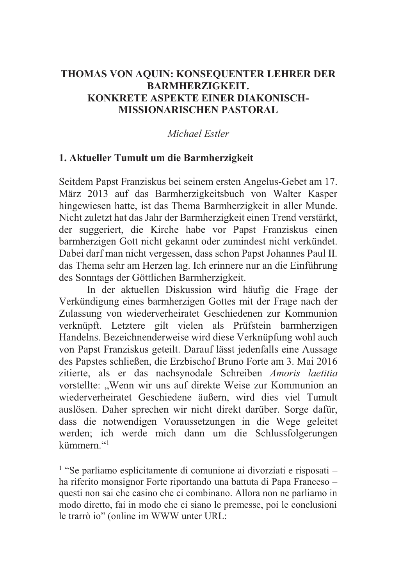# **THOMAS VON AQUIN: KONSEQUENTER LEHRER DER BARMHERZIGKEIT. KONKRETE ASPEKTE EINER DIAKONISCH-MISSIONARISCHEN PASTORAL**

# *Michael Estler*

## **1. Aktueller Tumult um die Barmherzigkeit**

Seitdem Papst Franziskus bei seinem ersten Angelus-Gebet am 17. März 2013 auf das Barmherzigkeitsbuch von Walter Kasper hingewiesen hatte, ist das Thema Barmherzigkeit in aller Munde. Nicht zuletzt hat das Jahr der Barmherzigkeit einen Trend verstärkt, der suggeriert, die Kirche habe vor Papst Franziskus einen barmherzigen Gott nicht gekannt oder zumindest nicht verkündet. Dabei darf man nicht vergessen, dass schon Papst Johannes Paul II. das Thema sehr am Herzen lag. Ich erinnere nur an die Einführung des Sonntags der Göttlichen Barmherzigkeit.

 In der aktuellen Diskussion wird häufig die Frage der Verkündigung eines barmherzigen Gottes mit der Frage nach der Zulassung von wiederverheiratet Geschiedenen zur Kommunion verknüpft. Letztere gilt vielen als Prüfstein barmherzigen Handelns. Bezeichnenderweise wird diese Verknüpfung wohl auch von Papst Franziskus geteilt. Darauf lässt jedenfalls eine Aussage des Papstes schließen, die Erzbischof Bruno Forte am 3. Mai 2016 zitierte, als er das nachsynodale Schreiben *Amoris laetitia* vorstellte: "Wenn wir uns auf direkte Weise zur Kommunion an wiederverheiratet Geschiedene äußern, wird dies viel Tumult auslösen. Daher sprechen wir nicht direkt darüber. Sorge dafür, dass die notwendigen Voraussetzungen in die Wege geleitet werden; ich werde mich dann um die Schlussfolgerungen kümmern."<sup>1</sup>

 $<sup>1</sup>$  "Se parliamo esplicitamente di comunione ai divorziati e risposati –</sup> ha riferito monsignor Forte riportando una battuta di Papa Franceso – questi non sai che casino che ci combinano. Allora non ne parliamo in modo diretto, fai in modo che ci siano le premesse, poi le conclusioni le trarrò io" (online im WWW unter URL: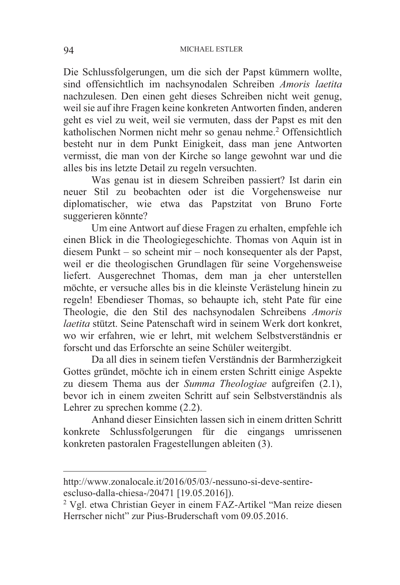Die Schlussfolgerungen, um die sich der Papst kümmern wollte, sind offensichtlich im nachsynodalen Schreiben *Amoris laetita* nachzulesen. Den einen geht dieses Schreiben nicht weit genug, weil sie auf ihre Fragen keine konkreten Antworten finden, anderen geht es viel zu weit, weil sie vermuten, dass der Papst es mit den katholischen Normen nicht mehr so genau nehme.2 Offensichtlich besteht nur in dem Punkt Einigkeit, dass man jene Antworten vermisst, die man von der Kirche so lange gewohnt war und die alles bis ins letzte Detail zu regeln versuchten.

 Was genau ist in diesem Schreiben passiert? Ist darin ein neuer Stil zu beobachten oder ist die Vorgehensweise nur diplomatischer, wie etwa das Papstzitat von Bruno Forte suggerieren könnte?

 Um eine Antwort auf diese Fragen zu erhalten, empfehle ich einen Blick in die Theologiegeschichte. Thomas von Aquin ist in diesem Punkt – so scheint mir – noch konsequenter als der Papst, weil er die theologischen Grundlagen für seine Vorgehensweise liefert. Ausgerechnet Thomas, dem man ja eher unterstellen möchte, er versuche alles bis in die kleinste Verästelung hinein zu regeln! Ebendieser Thomas, so behaupte ich, steht Pate für eine Theologie, die den Stil des nachsynodalen Schreibens *Amoris laetita* stützt. Seine Patenschaft wird in seinem Werk dort konkret, wo wir erfahren, wie er lehrt, mit welchem Selbstverständnis er forscht und das Erforschte an seine Schüler weitergibt.

 Da all dies in seinem tiefen Verständnis der Barmherzigkeit Gottes gründet, möchte ich in einem ersten Schritt einige Aspekte zu diesem Thema aus der *Summa Theologiae* aufgreifen (2.1), bevor ich in einem zweiten Schritt auf sein Selbstverständnis als Lehrer zu sprechen komme (2.2).

 Anhand dieser Einsichten lassen sich in einem dritten Schritt konkrete Schlussfolgerungen für die eingangs umrissenen konkreten pastoralen Fragestellungen ableiten (3).

http://www.zonalocale.it/2016/05/03/-nessuno-si-deve-sentireescluso-dalla-chiesa-/20471 [19.05.2016]).

<sup>&</sup>lt;sup>2</sup> Vgl. etwa Christian Geyer in einem FAZ-Artikel "Man reize diesen Herrscher nicht" zur Pius-Bruderschaft vom 09.05.2016.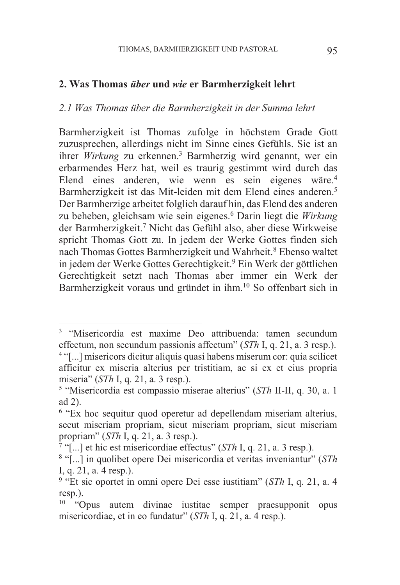#### **2. Was Thomas** *über* **und** *wie* **er Barmherzigkeit lehrt**

#### *2.1 Was Thomas über die Barmherzigkeit in der Summa lehrt*

Barmherzigkeit ist Thomas zufolge in höchstem Grade Gott zuzusprechen, allerdings nicht im Sinne eines Gefühls. Sie ist an ihrer *Wirkung* zu erkennen.3 Barmherzig wird genannt, wer ein erbarmendes Herz hat, weil es traurig gestimmt wird durch das Elend eines anderen, wie wenn es sein eigenes wäre.4 Barmherzigkeit ist das Mit-leiden mit dem Elend eines anderen.5 Der Barmherzige arbeitet folglich darauf hin, das Elend des anderen zu beheben, gleichsam wie sein eigenes.6 Darin liegt die *Wirkung* der Barmherzigkeit.7 Nicht das Gefühl also, aber diese Wirkweise spricht Thomas Gott zu. In jedem der Werke Gottes finden sich nach Thomas Gottes Barmherzigkeit und Wahrheit.<sup>8</sup> Ebenso waltet in jedem der Werke Gottes Gerechtigkeit.9 Ein Werk der göttlichen Gerechtigkeit setzt nach Thomas aber immer ein Werk der Barmherzigkeit voraus und gründet in ihm.10 So offenbart sich in

<sup>3</sup> "Misericordia est maxime Deo attribuenda: tamen secundum effectum, non secundum passionis affectum" (*STh* I, q. 21, a. 3 resp.).<br><sup>4</sup> "[...] misericors dicitur aliquis quasi habens miserum cor: quia scilicet

afficitur ex miseria alterius per tristitiam, ac si ex et eius propria miseria" (*STh* I, q. 21, a. 3 resp.). 5 "Misericordia est compassio miserae alterius" (*STh* II-II, q. 30, a. 1

ad 2).

<sup>6</sup> "Ex hoc sequitur quod operetur ad depellendam miseriam alterius, secut miseriam propriam, sicut miseriam propriam, sicut miseriam propriam" (*STh* I, q. 21, a. 3 resp.).<br><sup>7</sup> "[...] et hic est misericordiae effectus" (*STh* I, q. 21, a. 3 resp.).<br><sup>8</sup> "[...] in quolibet opere Dei misericordia et veritas inveniantur" (*STh* 

I, q. 21, a. 4 resp.).

<sup>9</sup> "Et sic oportet in omni opere Dei esse iustitiam" (*STh* I, q. 21, a. 4 resp.).

 $10$  "Opus autem divinae iustitae semper praesupponit opus misericordiae, et in eo fundatur" (*STh* I, q. 21, a. 4 resp.).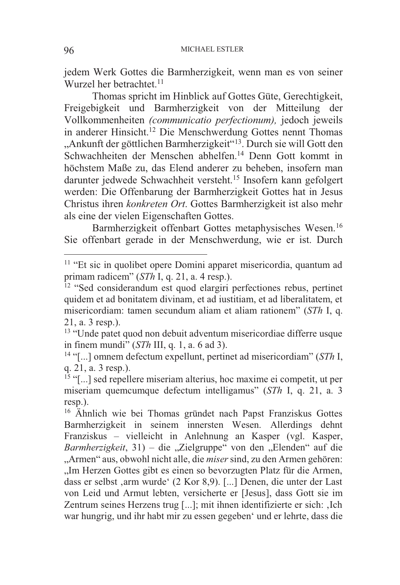jedem Werk Gottes die Barmherzigkeit, wenn man es von seiner Wurzel her betrachtet.<sup>11</sup>

 Thomas spricht im Hinblick auf Gottes Güte, Gerechtigkeit, Freigebigkeit und Barmherzigkeit von der Mitteilung der Vollkommenheiten *(communicatio perfectionum),* jedoch jeweils in anderer Hinsicht.12 Die Menschwerdung Gottes nennt Thomas "Ankunft der göttlichen Barmherzigkeit"<sup>13</sup>. Durch sie will Gott den Schwachheiten der Menschen abhelfen.14 Denn Gott kommt in höchstem Maße zu, das Elend anderer zu beheben, insofern man darunter jedwede Schwachheit versteht.15 Insofern kann gefolgert werden: Die Offenbarung der Barmherzigkeit Gottes hat in Jesus Christus ihren *konkreten Ort*. Gottes Barmherzigkeit ist also mehr als eine der vielen Eigenschaften Gottes.

 Barmherzigkeit offenbart Gottes metaphysisches Wesen.16 Sie offenbart gerade in der Menschwerdung, wie er ist. Durch

<sup>&</sup>lt;sup>11</sup> "Et sic in quolibet opere Domini apparet misericordia, quantum ad primam radicem" (*STh* I, q. 21, a. 4 resp.).

<sup>&</sup>lt;sup>12</sup> "Sed considerandum est quod elargiri perfectiones rebus, pertinet quidem et ad bonitatem divinam, et ad iustitiam, et ad liberalitatem, et misericordiam: tamen secundum aliam et aliam rationem" (*STh* I, q. 21, a. 3 resp.).

<sup>13</sup> "Unde patet quod non debuit adventum misericordiae differre usque in finem mundi" (*STh* III, q. 1, a. 6 ad 3).<br><sup>14</sup> "[...] omnem defectum expellunt, pertinet ad misericordiam" (*STh* I,

q. 21, a. 3 resp.).

<sup>15</sup> "[...] sed repellere miseriam alterius, hoc maxime ei competit, ut per miseriam quemcumque defectum intelligamus" (*STh* I, q. 21, a. 3 resp.).

<sup>&</sup>lt;sup>16</sup> Ähnlich wie bei Thomas gründet nach Papst Franziskus Gottes Barmherzigkeit in seinem innersten Wesen. Allerdings dehnt Franziskus – vielleicht in Anlehnung an Kasper (vgl. Kasper, *Barmherzigkeit*, 31) – die "Zielgruppe" von den "Elenden" auf die "Armen" aus, obwohl nicht alle, die *miser* sind, zu den Armen gehören: "Im Herzen Gottes gibt es einen so bevorzugten Platz für die Armen, dass er selbst ,arm wurde' (2 Kor 8,9). [...] Denen, die unter der Last von Leid und Armut lebten, versicherte er [Jesus], dass Gott sie im Zentrum seines Herzens trug [...]; mit ihnen identifizierte er sich: .Ich war hungrig, und ihr habt mir zu essen gegeben' und er lehrte, dass die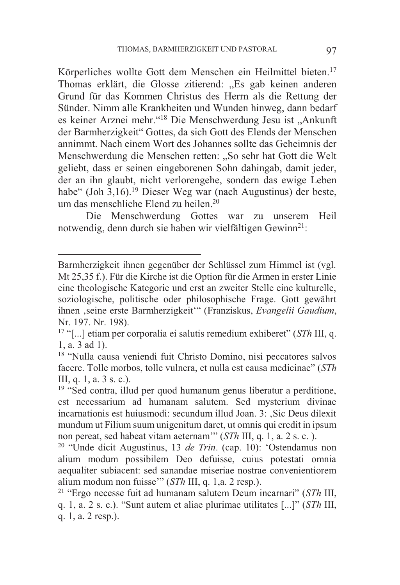Körperliches wollte Gott dem Menschen ein Heilmittel bieten.<sup>17</sup> Thomas erklärt, die Glosse zitierend: "Es gab keinen anderen Grund für das Kommen Christus des Herrn als die Rettung der Sünder. Nimm alle Krankheiten und Wunden hinweg, dann bedarf es keiner Arznei mehr."<sup>18</sup> Die Menschwerdung Jesu ist "Ankunft der Barmherzigkeit" Gottes, da sich Gott des Elends der Menschen annimmt. Nach einem Wort des Johannes sollte das Geheimnis der Menschwerdung die Menschen retten: "So sehr hat Gott die Welt geliebt, dass er seinen eingeborenen Sohn dahingab, damit jeder, der an ihn glaubt, nicht verlorengehe, sondern das ewige Leben habe" (Joh 3,16).<sup>19</sup> Dieser Weg war (nach Augustinus) der beste, um das menschliche Elend zu heilen.20

 Die Menschwerdung Gottes war zu unserem Heil notwendig, denn durch sie haben wir vielfältigen Gewinn<sup>21</sup>:

Barmherzigkeit ihnen gegenüber der Schlüssel zum Himmel ist (vgl. Mt 25,35 f.). Für die Kirche ist die Option für die Armen in erster Linie eine theologische Kategorie und erst an zweiter Stelle eine kulturelle, soziologische, politische oder philosophische Frage. Gott gewährt ihnen 'seine erste Barmherzigkeit'" (Franziskus, *Evangelii Gaudium*, Nr. 197. Nr. 198).

<sup>17</sup> "[...] etiam per corporalia ei salutis remedium exhiberet" (*STh* III, q. 1, a. 3 ad 1).

<sup>18</sup> "Nulla causa veniendi fuit Christo Domino, nisi peccatores salvos facere. Tolle morbos, tolle vulnera, et nulla est causa medicinae" (*STh* III, q. 1, a. 3 s. c.).

<sup>19</sup> "Sed contra, illud per quod humanum genus liberatur a perditione, est necessarium ad humanam salutem. Sed mysterium divinae incarnationis est huiusmodi: secundum illud Joan. 3: , Sic Deus dilexit mundum ut Filium suum unigenitum daret, ut omnis qui credit in ipsum non pereat, sed habeat vitam aeternam'''  $(STh \text{ III}, q. 1, a. 2 s. c.)$ 

<sup>&</sup>lt;sup>20</sup> "Unde dicit Augustinus, 13 *de Trin*. (cap. 10): 'Ostendamus non alium modum possibilem Deo defuisse, cuius potestati omnia aequaliter subiacent: sed sanandae miseriae nostrae convenientiorem alium modum non fuisse'" (*STh* III, q. 1,a. 2 resp.). 21 "Ergo necesse fuit ad humanam salutem Deum incarnari" (*STh* III,

q. 1, a. 2 s. c.). "Sunt autem et aliae plurimae utilitates [...]" (*STh* III, q. 1, a. 2 resp.).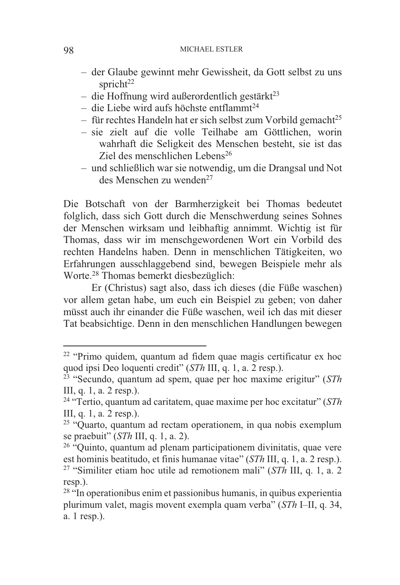- der Glaube gewinnt mehr Gewissheit, da Gott selbst zu uns spricht<sup>22</sup>
- $-$  die Hoffnung wird außerordentlich gestärkt<sup>23</sup>
- $-$  die Liebe wird aufs höchste entflammt<sup>24</sup>
- $-$  für rechtes Handeln hat er sich selbst zum Vorbild gemacht<sup>25</sup>
- sie zielt auf die volle Teilhabe am Göttlichen, worin wahrhaft die Seligkeit des Menschen besteht, sie ist das Ziel des menschlichen Lebens26
- und schließlich war sie notwendig, um die Drangsal und Not des Menschen zu wenden<sup>27</sup>

Die Botschaft von der Barmherzigkeit bei Thomas bedeutet folglich, dass sich Gott durch die Menschwerdung seines Sohnes der Menschen wirksam und leibhaftig annimmt. Wichtig ist für Thomas, dass wir im menschgewordenen Wort ein Vorbild des rechten Handelns haben. Denn in menschlichen Tätigkeiten, wo Erfahrungen ausschlaggebend sind, bewegen Beispiele mehr als Worte.28 Thomas bemerkt diesbezüglich:

 Er (Christus) sagt also, dass ich dieses (die Füße waschen) vor allem getan habe, um euch ein Beispiel zu geben; von daher müsst auch ihr einander die Füße waschen, weil ich das mit dieser Tat beabsichtige. Denn in den menschlichen Handlungen bewegen

<sup>&</sup>lt;sup>22</sup> "Primo quidem, quantum ad fidem quae magis certificatur ex hoc quod ipsi Deo loquenti credit" (*STh* III, q. 1, a. 2 resp.).

<sup>&</sup>lt;sup>23</sup> "Secundo, quantum ad spem, quae per hoc maxime erigitur" (*STh* III, q. 1, a. 2 resp.).

<sup>24</sup> "Tertio, quantum ad caritatem, quae maxime per hoc excitatur" (*STh* III, q. 1, a. 2 resp.).

<sup>25</sup> "Quarto, quantum ad rectam operationem, in qua nobis exemplum

se praebuit" (*STh* III, q. 1, a. 2).<br><sup>26</sup> "Quinto, quantum ad plenam participationem divinitatis, quae vere est hominis beatitudo, et finis humanae vitae" (*STh* III, q. 1, a. 2 resp.). <sup>27</sup> "Similiter etiam hoc utile ad remotionem mali" (*STh* III, q. 1, a. 2 resp.).

<sup>28</sup> "In operationibus enim et passionibus humanis, in quibus experientia plurimum valet, magis movent exempla quam verba" (*STh* I–II, q. 34, a. 1 resp.).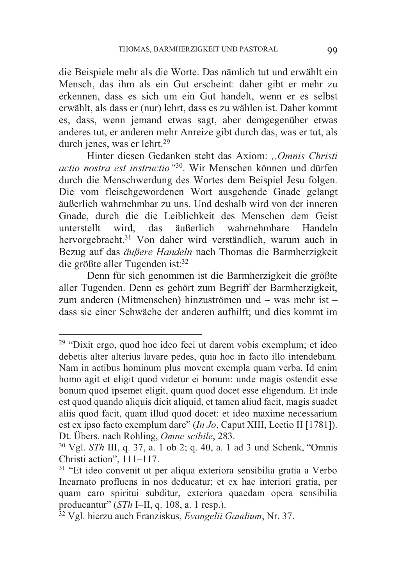die Beispiele mehr als die Worte. Das nämlich tut und erwählt ein Mensch, das ihm als ein Gut erscheint: daher gibt er mehr zu erkennen, dass es sich um ein Gut handelt, wenn er es selbst erwählt, als dass er (nur) lehrt, dass es zu wählen ist. Daher kommt es, dass, wenn jemand etwas sagt, aber demgegenüber etwas anderes tut, er anderen mehr Anreize gibt durch das, was er tut, als durch jenes, was er lehrt.29

 Hinter diesen Gedanken steht das Axiom: *"Omnis Christi actio nostra est instructio"*30. Wir Menschen können und dürfen durch die Menschwerdung des Wortes dem Beispiel Jesu folgen. Die vom fleischgewordenen Wort ausgehende Gnade gelangt äußerlich wahrnehmbar zu uns. Und deshalb wird von der inneren Gnade, durch die die Leiblichkeit des Menschen dem Geist unterstellt wird, das äußerlich wahrnehmbare Handeln hervorgebracht.31 Von daher wird verständlich, warum auch in Bezug auf das *äußere Handeln* nach Thomas die Barmherzigkeit die größte aller Tugenden ist:<sup>32</sup>

 Denn für sich genommen ist die Barmherzigkeit die größte aller Tugenden. Denn es gehört zum Begriff der Barmherzigkeit, zum anderen (Mitmenschen) hinzuströmen und – was mehr ist – dass sie einer Schwäche der anderen aufhilft; und dies kommt im

<sup>&</sup>lt;sup>29</sup> "Dixit ergo, quod hoc ideo feci ut darem vobis exemplum; et ideo debetis alter alterius lavare pedes, quia hoc in facto illo intendebam. Nam in actibus hominum plus movent exempla quam verba. Id enim homo agit et eligit quod videtur ei bonum: unde magis ostendit esse bonum quod ipsemet eligit, quam quod docet esse eligendum. Et inde est quod quando aliquis dicit aliquid, et tamen aliud facit, magis suadet aliis quod facit, quam illud quod docet: et ideo maxime necessarium est ex ipso facto exemplum dare" (*In Jo*, Caput XIII, Lectio II [1781]). Dt. Übers. nach Rohling, *Omne scibile*, 283. 30 Vgl. *STh* III, q. 37, a. 1 ob 2; q. 40, a. 1 ad 3 und Schenk, "Omnis

Christi action", 111–117.<br> $31$  "Et ideo convenit ut per aliqua exteriora sensibilia gratia a Verbo

Incarnato profluens in nos deducatur; et ex hac interiori gratia, per quam caro spiritui subditur, exteriora quaedam opera sensibilia producantur" (*STh* I–II, q. 108, a. 1 resp.).

<sup>&</sup>lt;sup>32</sup> Vgl. hierzu auch Franziskus, *Evangelii Gaudium*, Nr. 37.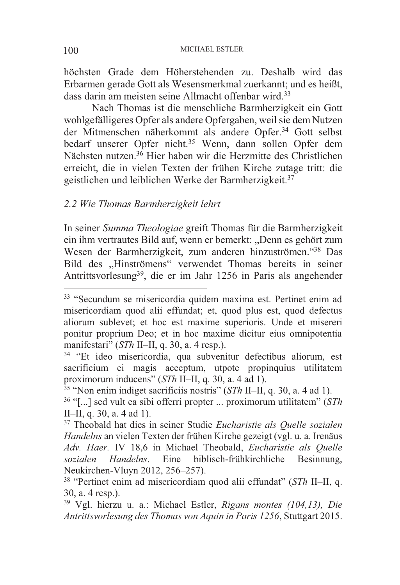höchsten Grade dem Höherstehenden zu. Deshalb wird das Erbarmen gerade Gott als Wesensmerkmal zuerkannt; und es heißt, dass darin am meisten seine Allmacht offenbar wird.<sup>33</sup>

 Nach Thomas ist die menschliche Barmherzigkeit ein Gott wohlgefälligeres Opfer als andere Opfergaben, weil sie dem Nutzen der Mitmenschen näherkommt als andere Opfer.34 Gott selbst bedarf unserer Opfer nicht.35 Wenn, dann sollen Opfer dem Nächsten nutzen.<sup>36</sup> Hier haben wir die Herzmitte des Christlichen erreicht, die in vielen Texten der frühen Kirche zutage tritt: die geistlichen und leiblichen Werke der Barmherzigkeit.37

#### *2.2 Wie Thomas Barmherzigkeit lehrt*

In seiner *Summa Theologiae* greift Thomas für die Barmherzigkeit ein ihm vertrautes Bild auf, wenn er bemerkt: "Denn es gehört zum Wesen der Barmherzigkeit, zum anderen hinzuströmen."38 Das Bild des "Hinströmens" verwendet Thomas bereits in seiner Antrittsvorlesung39, die er im Jahr 1256 in Paris als angehender

<sup>33</sup> "Secundum se misericordia quidem maxima est. Pertinet enim ad misericordiam quod alii effundat; et, quod plus est, quod defectus aliorum sublevet; et hoc est maxime superioris. Unde et misereri ponitur proprium Deo; et in hoc maxime dicitur eius omnipotentia

<sup>&</sup>lt;sup>34</sup> "Et ideo misericordia, qua subvenitur defectibus aliorum, est sacrificium ei magis acceptum, utpote propinquius utilitatem

proximorum inducens" (*STh* II–II, q. 30, a. 4 ad 1).<br><sup>35</sup> "Non enim indiget sacrificiis nostris" (*STh* II–II, q. 30, a. 4 ad 1).<br><sup>36</sup> "[...] sed vult ea sibi offerri propter ... proximorum utilitatem" (*STh* II–II, a. 30

<sup>&</sup>lt;sup>37</sup> Theobald hat dies in seiner Studie *Eucharistie als Quelle sozialen Handelns* an vielen Texten der frühen Kirche gezeigt (vgl. u. a. Irenäus *Adv. Haer.* IV 18,6 in Michael Theobald, *Eucharistie als Quelle sozialen Handelns*. Eine biblisch-frühkirchliche Besinnung,

<sup>&</sup>lt;sup>38</sup> "Pertinet enim ad misericordiam quod alii effundat" (*STh* II–II, q. 30, a. 4 resp.).

<sup>39</sup> Vgl. hierzu u. a.: Michael Estler, *Rigans montes (104,13), Die Antrittsvorlesung des Thomas von Aquin in Paris 1256*, Stuttgart 2015.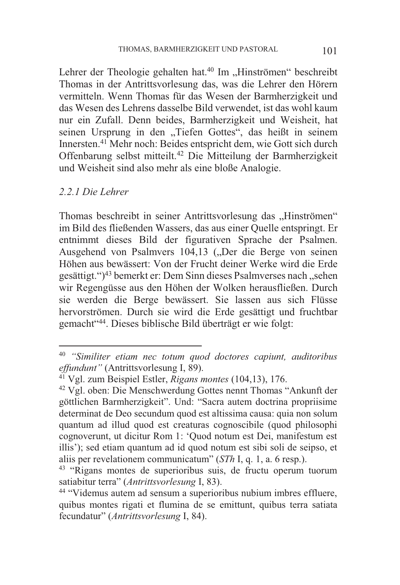Lehrer der Theologie gehalten hat.<sup>40</sup> Im "Hinströmen" beschreibt Thomas in der Antrittsvorlesung das, was die Lehrer den Hörern vermitteln. Wenn Thomas für das Wesen der Barmherzigkeit und das Wesen des Lehrens dasselbe Bild verwendet, ist das wohl kaum nur ein Zufall. Denn beides, Barmherzigkeit und Weisheit, hat seinen Ursprung in den "Tiefen Gottes", das heißt in seinem Innersten.41 Mehr noch: Beides entspricht dem, wie Gott sich durch Offenbarung selbst mitteilt.42 Die Mitteilung der Barmherzigkeit und Weisheit sind also mehr als eine bloße Analogie.

#### *2.2.1 Die Lehrer*

 $\overline{a}$ 

Thomas beschreibt in seiner Antrittsvorlesung das "Hinströmen" im Bild des fließenden Wassers, das aus einer Quelle entspringt. Er entnimmt dieses Bild der figurativen Sprache der Psalmen. Ausgehend von Psalmvers 104,13 ("Der die Berge von seinen Höhen aus bewässert: Von der Frucht deiner Werke wird die Erde gesättigt. ")<sup>43</sup> bemerkt er: Dem Sinn dieses Psalmverses nach ..sehen wir Regengüsse aus den Höhen der Wolken herausfließen. Durch sie werden die Berge bewässert. Sie lassen aus sich Flüsse hervorströmen. Durch sie wird die Erde gesättigt und fruchtbar gemacht"44. Dieses biblische Bild überträgt er wie folgt:

<sup>40</sup> *"Similiter etiam nec totum quod doctores capiunt, auditoribus effundunt*<sup>*"*</sup> (Antrittsvorlesung I, 89).<br><sup>41</sup> Vgl. zum Beispiel Estler, *Rigans montes* (104,13), 176.<br><sup>42</sup> Vgl. oben: Die Menschwerdung Gottes nennt Thomas "Ankunft der

göttlichen Barmherzigkeit". Und: "Sacra autem doctrina propriisime determinat de Deo secundum quod est altissima causa: quia non solum quantum ad illud quod est creaturas cognoscibile (quod philosophi cognoverunt, ut dicitur Rom 1: 'Quod notum est Dei, manifestum est illis'); sed etiam quantum ad id quod notum est sibi soli de seipso, et aliis per revelationem communicatum" (*STh* I, q. 1, a. 6 resp.). 43 "Rigans montes de superioribus suis, de fructu operum tuorum

satiabitur terra" (*Antrittsvorlesung* I, 83). 44 "Videmus autem ad sensum a superioribus nubium imbres effluere,

quibus montes rigati et flumina de se emittunt, quibus terra satiata fecundatur" (*Antrittsvorlesung* I, 84).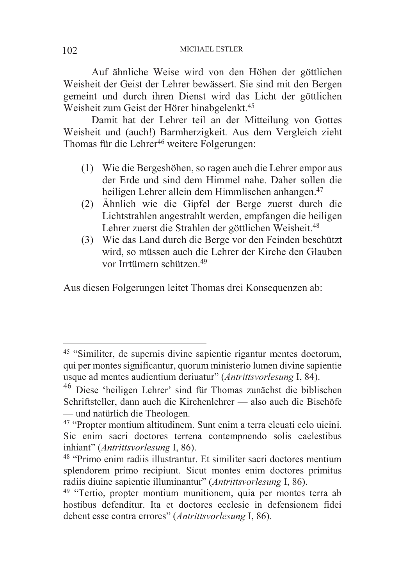Auf ähnliche Weise wird von den Höhen der göttlichen Weisheit der Geist der Lehrer bewässert. Sie sind mit den Bergen gemeint und durch ihren Dienst wird das Licht der göttlichen Weisheit zum Geist der Hörer hinabgelenkt.<sup>45</sup>

 Damit hat der Lehrer teil an der Mitteilung von Gottes Weisheit und (auch!) Barmherzigkeit. Aus dem Vergleich zieht Thomas für die Lehrer<sup>46</sup> weitere Folgerungen:

- (1) Wie die Bergeshöhen, so ragen auch die Lehrer empor aus der Erde und sind dem Himmel nahe. Daher sollen die heiligen Lehrer allein dem Himmlischen anhangen.<sup>47</sup>
- (2) Ähnlich wie die Gipfel der Berge zuerst durch die Lichtstrahlen angestrahlt werden, empfangen die heiligen Lehrer zuerst die Strahlen der göttlichen Weisheit.<sup>48</sup>
- (3) Wie das Land durch die Berge vor den Feinden beschützt wird, so müssen auch die Lehrer der Kirche den Glauben vor Irrtümern schützen.49

Aus diesen Folgerungen leitet Thomas drei Konsequenzen ab:

<sup>45</sup> "Similiter, de supernis divine sapientie rigantur mentes doctorum, qui per montes significantur, quorum ministerio lumen divine sapientie usque ad mentes audientium deriuatur" (*Antrittsvorlesung* I, 84).

<sup>46</sup> Diese 'heiligen Lehrer' sind für Thomas zunächst die biblischen Schriftsteller, dann auch die Kirchenlehrer — also auch die Bischöfe — und natürlich die Theologen. 47 "Propter montium altitudinem. Sunt enim a terra eleuati celo uicini.

Sic enim sacri doctores terrena contempnendo solis caelestibus inhiant" (*Antrittsvorlesung* I, 86). 48 "Primo enim radiis illustrantur. Et similiter sacri doctores mentium

splendorem primo recipiunt. Sicut montes enim doctores primitus radiis diuine sapientie illuminantur" (Antrittsvorlesung I, 86).

<sup>&</sup>lt;sup>49</sup> "Tertio, propter montium munitionem, quia per montes terra ab hostibus defenditur. Ita et doctores ecclesie in defensionem fidei debent esse contra errores" (*Antrittsvorlesung* I, 86).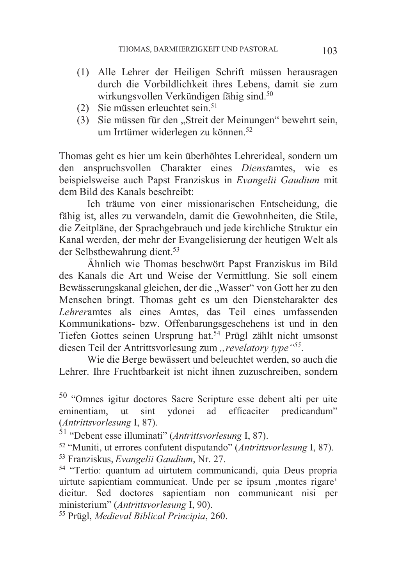- (1) Alle Lehrer der Heiligen Schrift müssen herausragen durch die Vorbildlichkeit ihres Lebens, damit sie zum wirkungsvollen Verkündigen fähig sind.<sup>50</sup>
- (2) Sie müssen erleuchtet sein.51
- (3) Sie müssen für den "Streit der Meinungen" bewehrt sein, um Irrtümer widerlegen zu können.<sup>52</sup>

Thomas geht es hier um kein überhöhtes Lehrerideal, sondern um den anspruchsvollen Charakter eines *Dienst*amtes, wie es beispielsweise auch Papst Franziskus in *Evangelii Gaudium* mit dem Bild des Kanals beschreibt:

 Ich träume von einer missionarischen Entscheidung, die fähig ist, alles zu verwandeln, damit die Gewohnheiten, die Stile, die Zeitpläne, der Sprachgebrauch und jede kirchliche Struktur ein Kanal werden, der mehr der Evangelisierung der heutigen Welt als der Selbstbewahrung dient.<sup>53</sup>

 Ähnlich wie Thomas beschwört Papst Franziskus im Bild des Kanals die Art und Weise der Vermittlung. Sie soll einem Bewässerungskanal gleichen, der die "Wasser" von Gott her zu den Menschen bringt. Thomas geht es um den Dienstcharakter des *Lehrer*amtes als eines Amtes, das Teil eines umfassenden Kommunikations- bzw. Offenbarungsgeschehens ist und in den Tiefen Gottes seinen Ursprung hat.54 Prügl zählt nicht umsonst diesen Teil der Antrittsvorlesung zum "revelatory type"<sup>55</sup>.

 Wie die Berge bewässert und beleuchtet werden, so auch die Lehrer. Ihre Fruchtbarkeit ist nicht ihnen zuzuschreiben, sondern

1

<sup>50</sup> "Omnes igitur doctores Sacre Scripture esse debent alti per uite eminentiam, ut sint ydonei ad efficaciter predicandum"

<sup>(</sup>Antrittsvorlesung I, 87).<br>
<sup>51</sup> "Debent esse illuminati" (Antrittsvorlesung I, 87).<br>
<sup>52</sup> "Muniti, ut errores confutent disputando" (Antrittsvorlesung I, 87).<br>
<sup>53</sup> Franziskus, *Evangelii Gaudium*, Nr. 27.<br>
<sup>54</sup> "Tertio:

uirtute sapientiam communicat. Unde per se ipsum , montes rigare' dicitur. Sed doctores sapientiam non communicant nisi per ministerium" (*Antrittsvorlesung* I, 90). 55 Prügl, *Medieval Biblical Principia*, 260.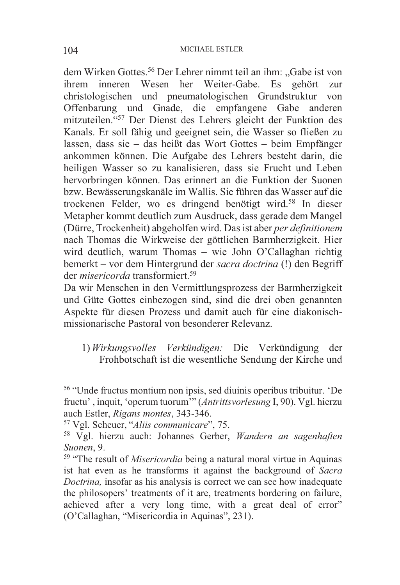dem Wirken Gottes.<sup>56</sup> Der Lehrer nimmt teil an ihm: "Gabe ist von ihrem inneren Wesen her Weiter-Gabe. Es gehört zur christologischen und pneumatologischen Grundstruktur von Offenbarung und Gnade, die empfangene Gabe anderen mitzuteilen."57 Der Dienst des Lehrers gleicht der Funktion des Kanals. Er soll fähig und geeignet sein, die Wasser so fließen zu lassen, dass sie – das heißt das Wort Gottes – beim Empfänger ankommen können. Die Aufgabe des Lehrers besteht darin, die heiligen Wasser so zu kanalisieren, dass sie Frucht und Leben hervorbringen können. Das erinnert an die Funktion der Suonen bzw. Bewässerungskanäle im Wallis. Sie führen das Wasser auf die trockenen Felder, wo es dringend benötigt wird.58 In dieser Metapher kommt deutlich zum Ausdruck, dass gerade dem Mangel (Dürre, Trockenheit) abgeholfen wird. Das ist aber *per definitionem* nach Thomas die Wirkweise der göttlichen Barmherzigkeit. Hier wird deutlich, warum Thomas – wie John O'Callaghan richtig bemerkt – vor dem Hintergrund der *sacra doctrina* (!) den Begriff der *misericorda* transformiert.59

Da wir Menschen in den Vermittlungsprozess der Barmherzigkeit und Güte Gottes einbezogen sind, sind die drei oben genannten Aspekte für diesen Prozess und damit auch für eine diakonischmissionarische Pastoral von besonderer Relevanz.

1) *Wirkungsvolles Verkündigen:* Die Verkündigung der Frohbotschaft ist die wesentliche Sendung der Kirche und

-

<sup>56</sup> "Unde fructus montium non ipsis, sed diuinis operibus tribuitur. 'De fructu' , inquit, 'operum tuorum'" (*Antrittsvorlesung* I, 90). Vgl. hierzu auch Estler, *Rigans montes*, 343-346. 57 Vgl. Scheuer, "*Aliis communicare*", 75.

<sup>58</sup> Vgl. hierzu auch: Johannes Gerber, *Wandern an sagenhaften* 

<sup>&</sup>lt;sup>59</sup> "The result of *Misericordia* being a natural moral virtue in Aquinas ist hat even as he transforms it against the background of *Sacra Doctrina,* insofar as his analysis is correct we can see how inadequate the philosopers' treatments of it are, treatments bordering on failure, achieved after a very long time, with a great deal of error" (O'Callaghan, "Misericordia in Aquinas", 231).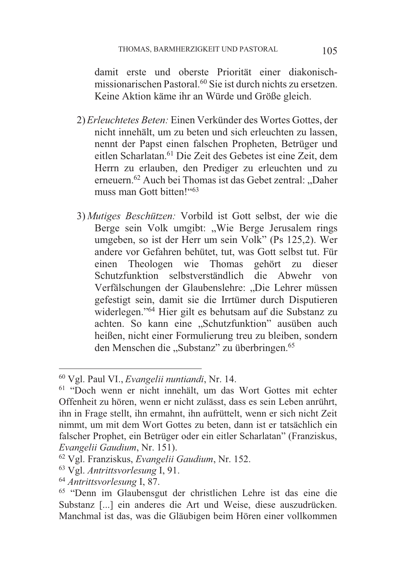damit erste und oberste Priorität einer diakonischmissionarischen Pastoral.<sup>60</sup> Sie ist durch nichts zu ersetzen. Keine Aktion käme ihr an Würde und Größe gleich.

- 2)*Erleuchtetes Beten:* Einen Verkünder des Wortes Gottes, der nicht innehält, um zu beten und sich erleuchten zu lassen, nennt der Papst einen falschen Propheten, Betrüger und eitlen Scharlatan.<sup>61</sup> Die Zeit des Gebetes ist eine Zeit, dem Herrn zu erlauben, den Prediger zu erleuchten und zu erneuern.<sup>62</sup> Auch bei Thomas ist das Gebet zentral: "Daher muss man Gott bitten<sup>1663</sup>
- 3) *Mutiges Beschützen:* Vorbild ist Gott selbst, der wie die Berge sein Volk umgibt: "Wie Berge Jerusalem rings umgeben, so ist der Herr um sein Volk" (Ps 125,2). Wer andere vor Gefahren behütet, tut, was Gott selbst tut. Für einen Theologen wie Thomas gehört zu dieser Schutzfunktion selbstverständlich die Abwehr von Verfälschungen der Glaubenslehre: "Die Lehrer müssen gefestigt sein, damit sie die Irrtümer durch Disputieren widerlegen."64 Hier gilt es behutsam auf die Substanz zu achten. So kann eine "Schutzfunktion" ausüben auch heißen, nicht einer Formulierung treu zu bleiben, sondern den Menschen die "Substanz" zu überbringen.<sup>65</sup>

<sup>60</sup> Vgl. Paul VI., *Evangelii nuntiandi*, Nr. 14. 61 "Doch wenn er nicht innehält, um das Wort Gottes mit echter Offenheit zu hören, wenn er nicht zulässt, dass es sein Leben anrührt, ihn in Frage stellt, ihn ermahnt, ihn aufrüttelt, wenn er sich nicht Zeit nimmt, um mit dem Wort Gottes zu beten, dann ist er tatsächlich ein falscher Prophet, ein Betrüger oder ein eitler Scharlatan" (Franziskus, Evangelii Gaudium, Nr. 151).<br><sup>62</sup> Vgl. Franziskus, *Evangelii Gaudium*, Nr. 152.<br><sup>63</sup> Vgl. *Antrittsvorlesung* I, 91.<br><sup>64</sup> *Antrittsvorlesung* I, 87.<br><sup>65</sup> "Denn im Glaubensgut der christlichen Lehre ist das eine die

Substanz [...] ein anderes die Art und Weise, diese auszudrücken. Manchmal ist das, was die Gläubigen beim Hören einer vollkommen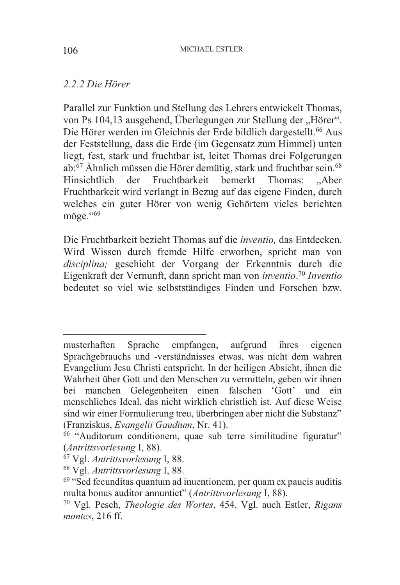#### *2.2.2 Die Hörer*

Parallel zur Funktion und Stellung des Lehrers entwickelt Thomas, von Ps 104,13 ausgehend, Überlegungen zur Stellung der "Hörer". Die Hörer werden im Gleichnis der Erde bildlich dargestellt.<sup>66</sup> Aus der Feststellung, dass die Erde (im Gegensatz zum Himmel) unten liegt, fest, stark und fruchtbar ist, leitet Thomas drei Folgerungen ab:67 Ähnlich müssen die Hörer demütig, stark und fruchtbar sein.68 Hinsichtlich der Fruchtbarkeit bemerkt Thomas: "Aber Fruchtbarkeit wird verlangt in Bezug auf das eigene Finden, durch welches ein guter Hörer von wenig Gehörtem vieles berichten möge."<sup>69</sup>

Die Fruchtbarkeit bezieht Thomas auf die *inventio,* das Entdecken. Wird Wissen durch fremde Hilfe erworben, spricht man von *disciplina;* geschieht der Vorgang der Erkenntnis durch die Eigenkraft der Vernunft, dann spricht man von *inventio*. <sup>70</sup> *Inventio* bedeutet so viel wie selbstständiges Finden und Forschen bzw.

musterhaften Sprache empfangen, aufgrund ihres eigenen Sprachgebrauchs und -verständnisses etwas, was nicht dem wahren Evangelium Jesu Christi entspricht. In der heiligen Absicht, ihnen die Wahrheit über Gott und den Menschen zu vermitteln, geben wir ihnen bei manchen Gelegenheiten einen falschen 'Gott' und ein menschliches Ideal, das nicht wirklich christlich ist. Auf diese Weise sind wir einer Formulierung treu, überbringen aber nicht die Substanz" (Franziskus, *Evangelii Gaudium*, Nr. 41). 66 "Auditorum conditionem, quae sub terre similitudine figuratur"

<sup>(</sup>*Antrittsvorlesung* I, 88). 67 Vgl. *Antrittsvorlesung* I, 88. 68 Vgl. *Antrittsvorlesung* I, 88. 69 "Sed fecunditas quantum ad inuentionem, per quam ex paucis auditis

multa bonus auditor annuntiet" (*Antrittsvorlesung* I, 88). 70 Vgl. Pesch, *Theologie des Wortes*, 454. Vgl. auch Estler, *Rigans* 

*montes*, 216 ff.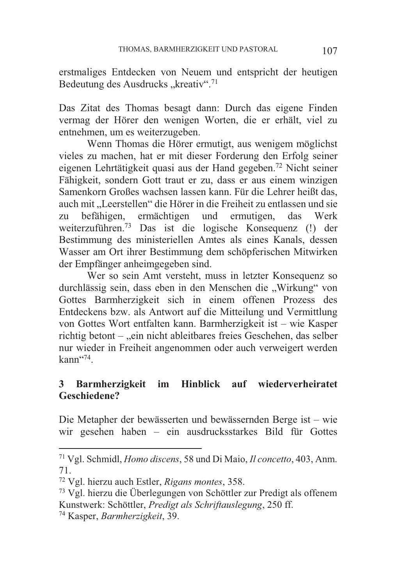erstmaliges Entdecken von Neuem und entspricht der heutigen Bedeutung des Ausdrucks "kreativ".<sup>71</sup>

Das Zitat des Thomas besagt dann: Durch das eigene Finden vermag der Hörer den wenigen Worten, die er erhält, viel zu entnehmen, um es weiterzugeben.

 Wenn Thomas die Hörer ermutigt, aus wenigem möglichst vieles zu machen, hat er mit dieser Forderung den Erfolg seiner eigenen Lehrtätigkeit quasi aus der Hand gegeben.72 Nicht seiner Fähigkeit, sondern Gott traut er zu, dass er aus einem winzigen Samenkorn Großes wachsen lassen kann. Für die Lehrer heißt das, auch mit "Leerstellen" die Hörer in die Freiheit zu entlassen und sie zu befähigen, ermächtigen und ermutigen, das Werk weiterzuführen.73 Das ist die logische Konsequenz (!) der Bestimmung des ministeriellen Amtes als eines Kanals, dessen Wasser am Ort ihrer Bestimmung dem schöpferischen Mitwirken der Empfänger anheimgegeben sind.

 Wer so sein Amt versteht, muss in letzter Konsequenz so durchlässig sein, dass eben in den Menschen die "Wirkung" von Gottes Barmherzigkeit sich in einem offenen Prozess des Entdeckens bzw. als Antwort auf die Mitteilung und Vermittlung von Gottes Wort entfalten kann. Barmherzigkeit ist – wie Kasper richtig betont – "ein nicht ableitbares freies Geschehen, das selber nur wieder in Freiheit angenommen oder auch verweigert werden  $k$ ann $^{474}$ .

# **3 Barmherzigkeit im Hinblick auf wiederverheiratet Geschiedene?**

Die Metapher der bewässerten und bewässernden Berge ist – wie wir gesehen haben – ein ausdrucksstarkes Bild für Gottes

<sup>71</sup> Vgl. Schmidl, *Homo discens*, 58 und Di Maio, *Il concetto*, 403, Anm. 71.

<sup>72</sup> Vgl. hierzu auch Estler, *Rigans montes*, 358. 73 Vgl. hierzu die Überlegungen von Schöttler zur Predigt als offenem Kunstwerk: Schöttler, *Predigt als Schriftauslegung*, 250 ff. 74 Kasper, *Barmherzigkeit*, 39.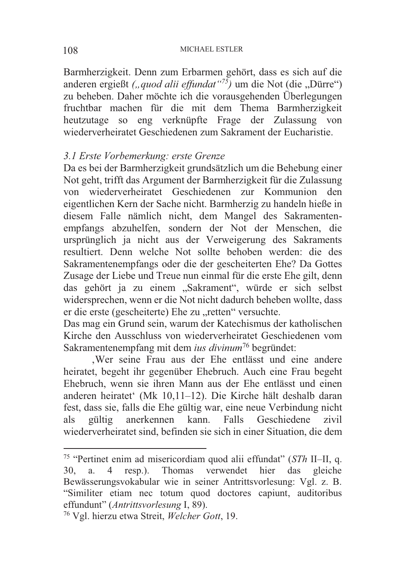Barmherzigkeit. Denn zum Erbarmen gehört, dass es sich auf die anderen ergießt *("quod alii effundat"<sup>75</sup>)* um die Not (die "Dürre") zu beheben. Daher möchte ich die vorausgehenden Überlegungen fruchtbar machen für die mit dem Thema Barmherzigkeit heutzutage so eng verknüpfte Frage der Zulassung von wiederverheiratet Geschiedenen zum Sakrament der Eucharistie.

### *3.1 Erste Vorbemerkung: erste Grenze*

Da es bei der Barmherzigkeit grundsätzlich um die Behebung einer Not geht, trifft das Argument der Barmherzigkeit für die Zulassung von wiederverheiratet Geschiedenen zur Kommunion den eigentlichen Kern der Sache nicht. Barmherzig zu handeln hieße in diesem Falle nämlich nicht, dem Mangel des Sakramentenempfangs abzuhelfen, sondern der Not der Menschen, die ursprünglich ja nicht aus der Verweigerung des Sakraments resultiert. Denn welche Not sollte behoben werden: die des Sakramentenempfangs oder die der gescheiterten Ehe? Da Gottes Zusage der Liebe und Treue nun einmal für die erste Ehe gilt, denn das gehört ja zu einem "Sakrament", würde er sich selbst widersprechen, wenn er die Not nicht dadurch beheben wollte, dass er die erste (gescheiterte) Ehe zu "retten" versuchte.

Das mag ein Grund sein, warum der Katechismus der katholischen Kirche den Ausschluss von wiederverheiratet Geschiedenen vom Sakramentenempfang mit dem *ius divinum*76 begründet:

'Wer seine Frau aus der Ehe entlässt und eine andere heiratet, begeht ihr gegenüber Ehebruch. Auch eine Frau begeht Ehebruch, wenn sie ihren Mann aus der Ehe entlässt und einen anderen heiratet' (Mk 10,11–12). Die Kirche hält deshalb daran fest, dass sie, falls die Ehe gültig war, eine neue Verbindung nicht als gültig anerkennen kann. Falls Geschiedene zivil wiederverheiratet sind, befinden sie sich in einer Situation, die dem

<sup>75</sup> "Pertinet enim ad misericordiam quod alii effundat" (*STh* II–II, q. 30, a. 4 resp.). Thomas verwendet hier das gleiche Bewässerungsvokabular wie in seiner Antrittsvorlesung: Vgl. z. B. "Similiter etiam nec totum quod doctores capiunt, auditoribus effundunt" (Antrittsvorlesung I, 89).

<sup>&</sup>lt;sup>76</sup> Vgl. hierzu etwa Streit, *Welcher Gott*, 19.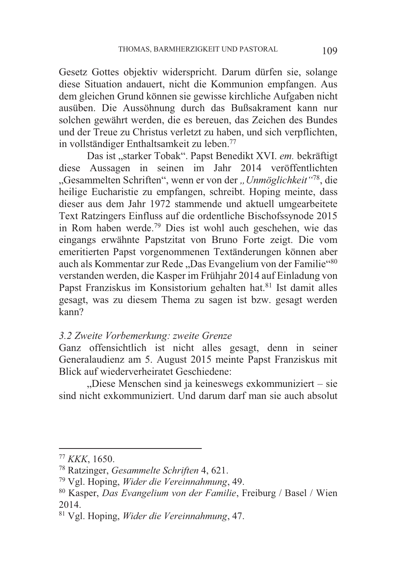Gesetz Gottes objektiv widerspricht. Darum dürfen sie, solange diese Situation andauert, nicht die Kommunion empfangen. Aus dem gleichen Grund können sie gewisse kirchliche Aufgaben nicht ausüben. Die Aussöhnung durch das Bußsakrament kann nur solchen gewährt werden, die es bereuen, das Zeichen des Bundes und der Treue zu Christus verletzt zu haben, und sich verpflichten, in vollständiger Enthaltsamkeit zu leben.77

Das ist "starker Tobak". Papst Benedikt XVI. em. bekräftigt diese Aussagen in seinen im Jahr 2014 veröffentlichten "Gesammelten Schriften", wenn er von der *"Unmöglichkeit"*78, die heilige Eucharistie zu empfangen, schreibt. Hoping meinte, dass dieser aus dem Jahr 1972 stammende und aktuell umgearbeitete Text Ratzingers Einfluss auf die ordentliche Bischofssynode 2015 in Rom haben werde.79 Dies ist wohl auch geschehen, wie das eingangs erwähnte Papstzitat von Bruno Forte zeigt. Die vom emeritierten Papst vorgenommenen Textänderungen können aber auch als Kommentar zur Rede "Das Evangelium von der Familie"<sup>80</sup> verstanden werden, die Kasper im Frühjahr 2014 auf Einladung von Papst Franziskus im Konsistorium gehalten hat.<sup>81</sup> Ist damit alles gesagt, was zu diesem Thema zu sagen ist bzw. gesagt werden kann?

#### *3.2 Zweite Vorbemerkung: zweite Grenze*

Ganz offensichtlich ist nicht alles gesagt, denn in seiner Generalaudienz am 5. August 2015 meinte Papst Franziskus mit Blick auf wiederverheiratet Geschiedene:

"Diese Menschen sind ja keineswegs exkommuniziert – sie sind nicht exkommuniziert. Und darum darf man sie auch absolut

 $77 KKK$ , 1650.

<sup>&</sup>lt;sup>78</sup> Ratzinger, *Gesammelte Schriften* 4, 621.<br><sup>79</sup> Vgl. Hoping, *Wider die Vereinnahmung*, 49.<br><sup>80</sup> Kasper, *Das Evangelium von der Familie*, Freiburg / Basel / Wien 2014.

<sup>81</sup> Vgl. Hoping, *Wider die Vereinnahmung*, 47.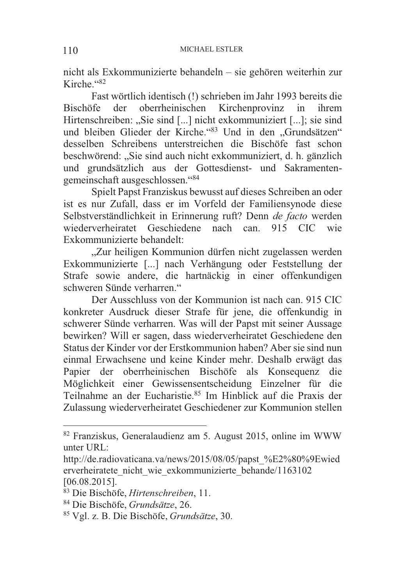nicht als Exkommunizierte behandeln – sie gehören weiterhin zur Kirche."82

 Fast wörtlich identisch (!) schrieben im Jahr 1993 bereits die Bischöfe der oberrheinischen Kirchenprovinz in ihrem Hirtenschreiben: "Sie sind [...] nicht exkommuniziert [...]; sie sind und bleiben Glieder der Kirche."83 Und in den "Grundsätzen" desselben Schreibens unterstreichen die Bischöfe fast schon beschwörend: "Sie sind auch nicht exkommuniziert, d. h. gänzlich und grundsätzlich aus der Gottesdienst- und Sakramentengemeinschaft ausgeschlossen."84

 Spielt Papst Franziskus bewusst auf dieses Schreiben an oder ist es nur Zufall, dass er im Vorfeld der Familiensynode diese Selbstverständlichkeit in Erinnerung ruft? Denn *de facto* werden wiederverheiratet Geschiedene nach can. 915 CIC wie Exkommunizierte behandelt:

"Zur heiligen Kommunion dürfen nicht zugelassen werden Exkommunizierte [...] nach Verhängung oder Feststellung der Strafe sowie andere, die hartnäckig in einer offenkundigen schweren Sünde verharren."

 Der Ausschluss von der Kommunion ist nach can. 915 CIC konkreter Ausdruck dieser Strafe für jene, die offenkundig in schwerer Sünde verharren. Was will der Papst mit seiner Aussage bewirken? Will er sagen, dass wiederverheiratet Geschiedene den Status der Kinder vor der Erstkommunion haben? Aber sie sind nun einmal Erwachsene und keine Kinder mehr. Deshalb erwägt das Papier der oberrheinischen Bischöfe als Konsequenz die Möglichkeit einer Gewissensentscheidung Einzelner für die Teilnahme an der Eucharistie.85 Im Hinblick auf die Praxis der Zulassung wiederverheiratet Geschiedener zur Kommunion stellen

<sup>82</sup> Franziskus, Generalaudienz am 5. August 2015, online im WWW unter URL:

http://de.radiovaticana.va/news/2015/08/05/papst\_%E2%80%9Ewied erverheiratete\_nicht\_wie\_exkommunizierte\_behande/1163102 [06.08.2015].

<sup>83</sup> Die Bischöfe, *Hirtenschreiben*, 11. 84 Die Bischöfe, *Grundsätze*, 26. 85 Vgl. z. B. Die Bischöfe, *Grundsätze*, 30.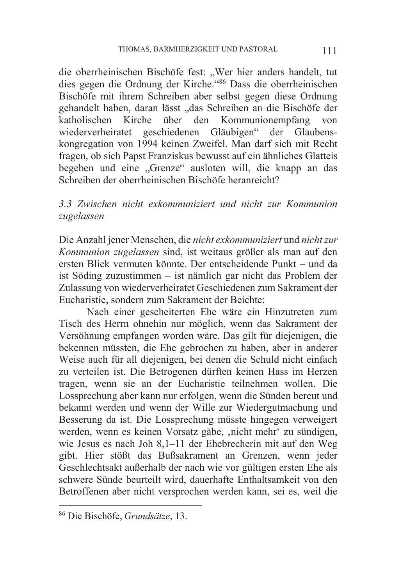die oberrheinischen Bischöfe fest: "Wer hier anders handelt, tut dies gegen die Ordnung der Kirche."86 Dass die oberrheinischen Bischöfe mit ihrem Schreiben aber selbst gegen diese Ordnung gehandelt haben, daran lässt "das Schreiben an die Bischöfe der katholischen Kirche über den Kommunionempfang von wiederverheiratet geschiedenen Gläubigen" der Glaubenskongregation von 1994 keinen Zweifel. Man darf sich mit Recht fragen, ob sich Papst Franziskus bewusst auf ein ähnliches Glatteis begeben und eine "Grenze" ausloten will, die knapp an das Schreiben der oberrheinischen Bischöfe heranreicht?

*3.3 Zwischen nicht exkommuniziert und nicht zur Kommunion zugelassen* 

Die Anzahl jener Menschen, die *nicht exkommuniziert* und *nicht zur Kommunion zugelassen* sind, ist weitaus größer als man auf den ersten Blick vermuten könnte. Der entscheidende Punkt – und da ist Söding zuzustimmen – ist nämlich gar nicht das Problem der Zulassung von wiederverheiratet Geschiedenen zum Sakrament der Eucharistie, sondern zum Sakrament der Beichte:

 Nach einer gescheiterten Ehe wäre ein Hinzutreten zum Tisch des Herrn ohnehin nur möglich, wenn das Sakrament der Versöhnung empfangen worden wäre. Das gilt für diejenigen, die bekennen müssten, die Ehe gebrochen zu haben, aber in anderer Weise auch für all diejenigen, bei denen die Schuld nicht einfach zu verteilen ist. Die Betrogenen dürften keinen Hass im Herzen tragen, wenn sie an der Eucharistie teilnehmen wollen. Die Lossprechung aber kann nur erfolgen, wenn die Sünden bereut und bekannt werden und wenn der Wille zur Wiedergutmachung und Besserung da ist. Die Lossprechung müsste hingegen verweigert werden, wenn es keinen Vorsatz gäbe, ,nicht mehr' zu sündigen, wie Jesus es nach Joh 8,1–11 der Ehebrecherin mit auf den Weg gibt. Hier stößt das Bußsakrament an Grenzen, wenn jeder Geschlechtsakt außerhalb der nach wie vor gültigen ersten Ehe als schwere Sünde beurteilt wird, dauerhafte Enthaltsamkeit von den Betroffenen aber nicht versprochen werden kann, sei es, weil die

-

<sup>86</sup> Die Bischöfe, *Grundsätze*, 13.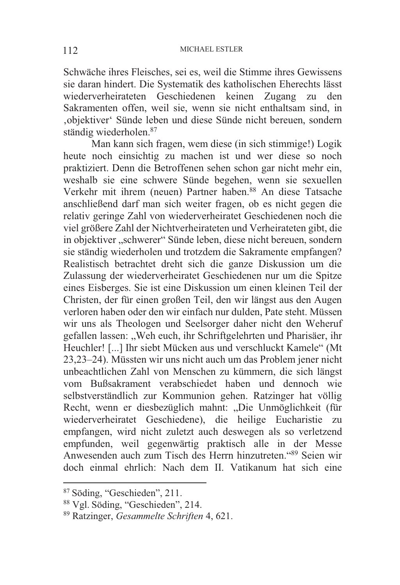Schwäche ihres Fleisches, sei es, weil die Stimme ihres Gewissens sie daran hindert. Die Systematik des katholischen Eherechts lässt wiederverheirateten Geschiedenen keinen Zugang zu den Sakramenten offen, weil sie, wenn sie nicht enthaltsam sind, in 'objektiver' Sünde leben und diese Sünde nicht bereuen, sondern ständig wiederholen.87

 Man kann sich fragen, wem diese (in sich stimmige!) Logik heute noch einsichtig zu machen ist und wer diese so noch praktiziert. Denn die Betroffenen sehen schon gar nicht mehr ein, weshalb sie eine schwere Sünde begehen, wenn sie sexuellen Verkehr mit ihrem (neuen) Partner haben.<sup>88</sup> An diese Tatsache anschließend darf man sich weiter fragen, ob es nicht gegen die relativ geringe Zahl von wiederverheiratet Geschiedenen noch die viel größere Zahl der Nichtverheirateten und Verheirateten gibt, die in objektiver "schwerer" Sünde leben, diese nicht bereuen, sondern sie ständig wiederholen und trotzdem die Sakramente empfangen? Realistisch betrachtet dreht sich die ganze Diskussion um die Zulassung der wiederverheiratet Geschiedenen nur um die Spitze eines Eisberges. Sie ist eine Diskussion um einen kleinen Teil der Christen, der für einen großen Teil, den wir längst aus den Augen verloren haben oder den wir einfach nur dulden, Pate steht. Müssen wir uns als Theologen und Seelsorger daher nicht den Weheruf gefallen lassen: "Weh euch, ihr Schriftgelehrten und Pharisäer, ihr Heuchler! [...] Ihr siebt Mücken aus und verschluckt Kamele" (Mt 23,23–24). Müssten wir uns nicht auch um das Problem jener nicht unbeachtlichen Zahl von Menschen zu kümmern, die sich längst vom Bußsakrament verabschiedet haben und dennoch wie selbstverständlich zur Kommunion gehen. Ratzinger hat völlig Recht, wenn er diesbezüglich mahnt: "Die Unmöglichkeit (für wiederverheiratet Geschiedene), die heilige Eucharistie zu empfangen, wird nicht zuletzt auch deswegen als so verletzend empfunden, weil gegenwärtig praktisch alle in der Messe Anwesenden auch zum Tisch des Herrn hinzutreten."89 Seien wir doch einmal ehrlich: Nach dem II. Vatikanum hat sich eine

<sup>87</sup> Söding, "Geschieden", 211.

<sup>88</sup> Vgl. Söding, "Geschieden", 214.

<sup>89</sup> Ratzinger, *Gesammelte Schriften* 4, 621.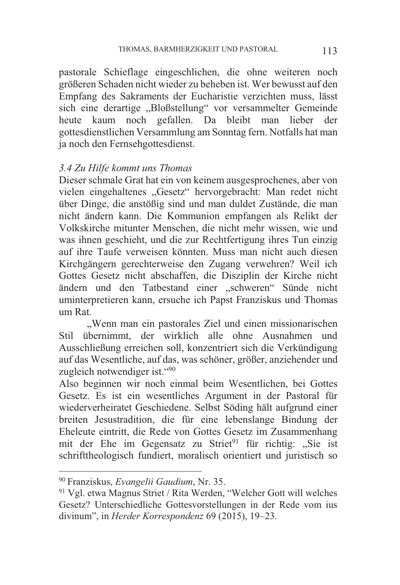pastorale Schieflage eingeschlichen, die ohne weiteren noch größeren Schaden nicht wieder zu beheben ist. Wer bewusst auf den Empfang des Sakraments der Eucharistie verzichten muss, lässt sich eine derartige "Bloßstellung" vor versammelter Gemeinde heute kaum noch gefallen. Da bleibt man lieber der gottesdienstlichen Versammlung am Sonntag fern. Notfalls hat man ja noch den Fernsehgottesdienst.

### *3.4 Zu Hilfe kommt uns Thomas*

Dieser schmale Grat hat ein von keinem ausgesprochenes, aber von vielen eingehaltenes "Gesetz" hervorgebracht: Man redet nicht über Dinge, die anstößig sind und man duldet Zustände, die man nicht ändern kann. Die Kommunion empfangen als Relikt der Volkskirche mitunter Menschen, die nicht mehr wissen, wie und was ihnen geschieht, und die zur Rechtfertigung ihres Tun einzig auf ihre Taufe verweisen könnten. Muss man nicht auch diesen Kirchgängern gerechterweise den Zugang verwehren? Weil ich Gottes Gesetz nicht abschaffen, die Disziplin der Kirche nicht ändern und den Tatbestand einer "schweren" Sünde nicht uminterpretieren kann, ersuche ich Papst Franziskus und Thomas um Rat.

"Wenn man ein pastorales Ziel und einen missionarischen Stil übernimmt, der wirklich alle ohne Ausnahmen und Ausschließung erreichen soll, konzentriert sich die Verkündigung auf das Wesentliche, auf das, was schöner, größer, anziehender und zugleich notwendiger ist."90

Also beginnen wir noch einmal beim Wesentlichen, bei Gottes Gesetz. Es ist ein wesentliches Argument in der Pastoral für wiederverheiratet Geschiedene. Selbst Söding hält aufgrund einer breiten Jesustradition, die für eine lebenslange Bindung der Eheleute eintritt, die Rede von Gottes Gesetz im Zusammenhang mit der Ehe im Gegensatz zu Striet<sup>91</sup> für richtig: "Sie ist schrifttheologisch fundiert, moralisch orientiert und juristisch so

<sup>&</sup>lt;sup>90</sup> Franziskus, *Evangelii Gaudium*, Nr. 35.<br><sup>91</sup> Vgl. etwa Magnus Striet / Rita Werden, "Welcher Gott will welches Gesetz? Unterschiedliche Gottesvorstellungen in der Rede vom ius divinum", in *Herder Korrespondenz* 69 (2015), 19–23.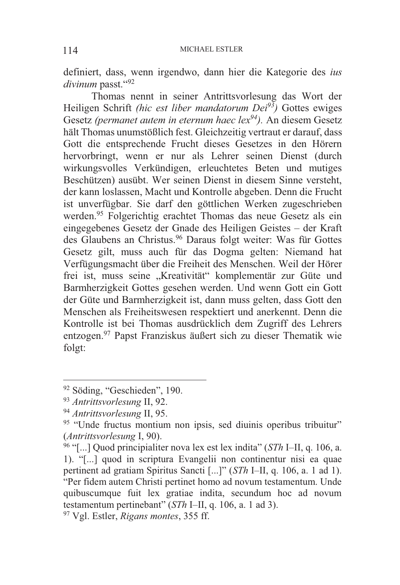definiert, dass, wenn irgendwo, dann hier die Kategorie des *ius divinum* passt."92

 Thomas nennt in seiner Antrittsvorlesung das Wort der Heiligen Schrift *(hic est liber mandatorum Dei93)* Gottes ewiges Gesetz *(permanet autem in eternum haec lex94).* An diesem Gesetz hält Thomas unumstößlich fest. Gleichzeitig vertraut er darauf, dass Gott die entsprechende Frucht dieses Gesetzes in den Hörern hervorbringt, wenn er nur als Lehrer seinen Dienst (durch wirkungsvolles Verkündigen, erleuchtetes Beten und mutiges Beschützen) ausübt. Wer seinen Dienst in diesem Sinne versteht, der kann loslassen, Macht und Kontrolle abgeben. Denn die Frucht ist unverfügbar. Sie darf den göttlichen Werken zugeschrieben werden.<sup>95</sup> Folgerichtig erachtet Thomas das neue Gesetz als ein eingegebenes Gesetz der Gnade des Heiligen Geistes – der Kraft des Glaubens an Christus.96 Daraus folgt weiter: Was für Gottes Gesetz gilt, muss auch für das Dogma gelten: Niemand hat Verfügungsmacht über die Freiheit des Menschen. Weil der Hörer frei ist, muss seine "Kreativität" komplementär zur Güte und Barmherzigkeit Gottes gesehen werden. Und wenn Gott ein Gott der Güte und Barmherzigkeit ist, dann muss gelten, dass Gott den Menschen als Freiheitswesen respektiert und anerkennt. Denn die Kontrolle ist bei Thomas ausdrücklich dem Zugriff des Lehrers entzogen.97 Papst Franziskus äußert sich zu dieser Thematik wie folgt:

 $92$  Söding, "Geschieden", 190.<br> $93$  Antrittsvorlesung II, 92.

<sup>&</sup>lt;sup>94</sup> *Antrittsvorlesung* II, 95.<br><sup>95</sup> "Unde fructus montium non ipsis, sed diuinis operibus tribuitur" (*Antrittsvorlesung* I, 90). 96 "[...] Quod principialiter nova lex est lex indita" (*STh* I–II, q. 106, a.

<sup>1).</sup> "[...] quod in scriptura Evangelii non continentur nisi ea quae pertinent ad gratiam Spiritus Sancti [...]" (*STh* I–II, q. 106, a. 1 ad 1). "Per fidem autem Christi pertinet homo ad novum testamentum. Unde quibuscumque fuit lex gratiae indita, secundum hoc ad novum testamentum pertinebant" (*STh* I–II, q. 106, a. 1 ad 3). 97 Vgl. Estler, *Rigans montes*, 355 ff.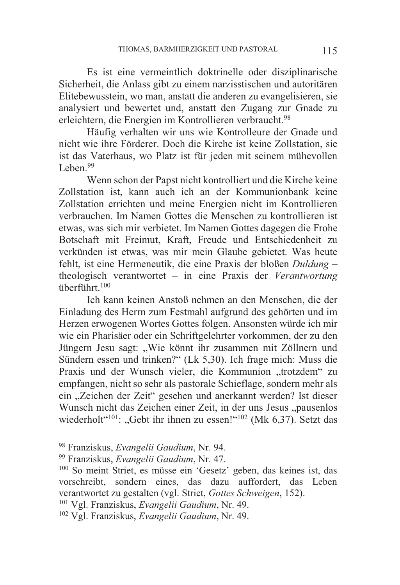Es ist eine vermeintlich doktrinelle oder disziplinarische Sicherheit, die Anlass gibt zu einem narzisstischen und autoritären Elitebewusstein, wo man, anstatt die anderen zu evangelisieren, sie analysiert und bewertet und, anstatt den Zugang zur Gnade zu erleichtern, die Energien im Kontrollieren verbraucht.<sup>98</sup>

 Häufig verhalten wir uns wie Kontrolleure der Gnade und nicht wie ihre Förderer. Doch die Kirche ist keine Zollstation, sie ist das Vaterhaus, wo Platz ist für jeden mit seinem mühevollen Leben.<sup>99</sup>

 Wenn schon der Papst nicht kontrolliert und die Kirche keine Zollstation ist, kann auch ich an der Kommunionbank keine Zollstation errichten und meine Energien nicht im Kontrollieren verbrauchen. Im Namen Gottes die Menschen zu kontrollieren ist etwas, was sich mir verbietet. Im Namen Gottes dagegen die Frohe Botschaft mit Freimut, Kraft, Freude und Entschiedenheit zu verkünden ist etwas, was mir mein Glaube gebietet. Was heute fehlt, ist eine Hermeneutik, die eine Praxis der bloßen *Duldung* – theologisch verantwortet – in eine Praxis der *Verantwortung* überführt.100

 Ich kann keinen Anstoß nehmen an den Menschen, die der Einladung des Herrn zum Festmahl aufgrund des gehörten und im Herzen erwogenen Wortes Gottes folgen. Ansonsten würde ich mir wie ein Pharisäer oder ein Schriftgelehrter vorkommen, der zu den Jüngern Jesu sagt: "Wie könnt ihr zusammen mit Zöllnern und Sündern essen und trinken?" (Lk 5,30). Ich frage mich: Muss die Praxis und der Wunsch vieler, die Kommunion "trotzdem" zu empfangen, nicht so sehr als pastorale Schieflage, sondern mehr als ein "Zeichen der Zeit" gesehen und anerkannt werden? Ist dieser Wunsch nicht das Zeichen einer Zeit, in der uns Jesus "pausenlos wiederholt"<sup>101</sup>: "Gebt ihr ihnen zu essen!"<sup>102</sup> (Mk 6,37). Setzt das

<sup>98</sup> Franziskus, Evangelii Gaudium, Nr. 94.

<sup>&</sup>lt;sup>99</sup> Franziskus, *Evangelii Gaudium*, Nr. 47.<br><sup>100</sup> So meint Striet, es müsse ein 'Gesetz' geben, das keines ist, das vorschreibt, sondern eines, das dazu auffordert, das Leben verantwortet zu gestalten (vgl. Striet, *Gottes Schweigen*, 152). 101 Vgl. Franziskus, *Evangelii Gaudium*, Nr. 49. 102 Vgl. Franziskus, *Evangelii Gaudium*, Nr. 49.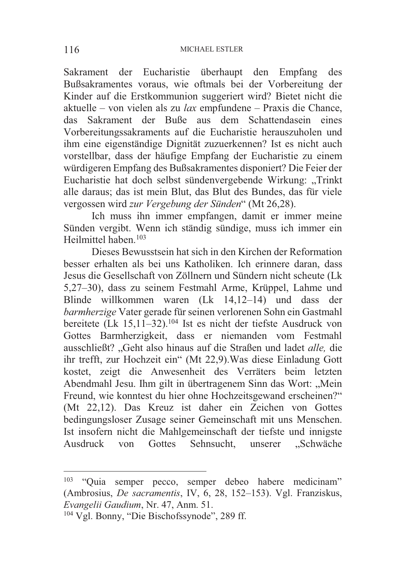Sakrament der Eucharistie überhaupt den Empfang des Bußsakramentes voraus, wie oftmals bei der Vorbereitung der Kinder auf die Erstkommunion suggeriert wird? Bietet nicht die aktuelle – von vielen als zu *lax* empfundene – Praxis die Chance, das Sakrament der Buße aus dem Schattendasein eines Vorbereitungssakraments auf die Eucharistie herauszuholen und ihm eine eigenständige Dignität zuzuerkennen? Ist es nicht auch vorstellbar, dass der häufige Empfang der Eucharistie zu einem würdigeren Empfang des Bußsakramentes disponiert? Die Feier der Eucharistie hat doch selbst sündenvergebende Wirkung: "Trinkt alle daraus; das ist mein Blut, das Blut des Bundes, das für viele vergossen wird *zur Vergebung der Sünden*" (Mt 26,28).

 Ich muss ihn immer empfangen, damit er immer meine Sünden vergibt. Wenn ich ständig sündige, muss ich immer ein Heilmittel haben<sup>103</sup>

 Dieses Bewusstsein hat sich in den Kirchen der Reformation besser erhalten als bei uns Katholiken. Ich erinnere daran, dass Jesus die Gesellschaft von Zöllnern und Sündern nicht scheute (Lk 5,27–30), dass zu seinem Festmahl Arme, Krüppel, Lahme und Blinde willkommen waren (Lk 14,12–14) und dass der *barmherzige* Vater gerade für seinen verlorenen Sohn ein Gastmahl bereitete (Lk 15,11–32).104 Ist es nicht der tiefste Ausdruck von Gottes Barmherzigkeit, dass er niemanden vom Festmahl ausschließt? "Geht also hinaus auf die Straßen und ladet *alle,* die ihr trefft, zur Hochzeit ein" (Mt 22,9).Was diese Einladung Gott kostet, zeigt die Anwesenheit des Verräters beim letzten Abendmahl Jesu. Ihm gilt in übertragenem Sinn das Wort: "Mein Freund, wie konntest du hier ohne Hochzeitsgewand erscheinen?" (Mt 22,12). Das Kreuz ist daher ein Zeichen von Gottes bedingungsloser Zusage seiner Gemeinschaft mit uns Menschen. Ist insofern nicht die Mahlgemeinschaft der tiefste und innigste Ausdruck von Gottes Sehnsucht, unserer "Schwäche

<sup>103</sup> "Quia semper pecco, semper debeo habere medicinam" (Ambrosius, *De sacramentis*, IV, 6, 28, 152–153). Vgl. Franziskus,

<sup>&</sup>lt;sup>104</sup> Vgl. Bonny, "Die Bischofssynode", 289 ff.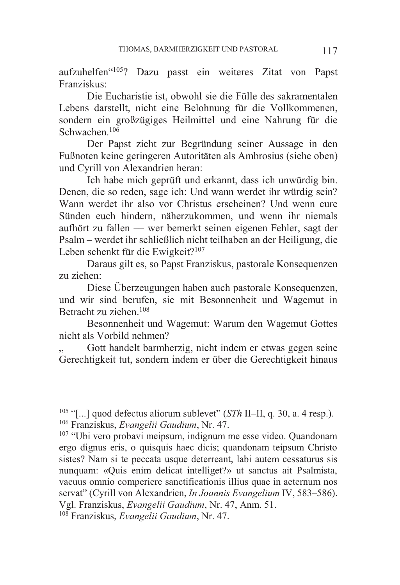aufzuhelfen"105? Dazu passt ein weiteres Zitat von Papst Franziskus:

 Die Eucharistie ist, obwohl sie die Fülle des sakramentalen Lebens darstellt, nicht eine Belohnung für die Vollkommenen, sondern ein großzügiges Heilmittel und eine Nahrung für die Schwachen<sup>106</sup>

 Der Papst zieht zur Begründung seiner Aussage in den Fußnoten keine geringeren Autoritäten als Ambrosius (siehe oben) und Cyrill von Alexandrien heran:

 Ich habe mich geprüft und erkannt, dass ich unwürdig bin. Denen, die so reden, sage ich: Und wann werdet ihr würdig sein? Wann werdet ihr also vor Christus erscheinen? Und wenn eure Sünden euch hindern, näherzukommen, und wenn ihr niemals aufhört zu fallen –– wer bemerkt seinen eigenen Fehler, sagt der Psalm – werdet ihr schließlich nicht teilhaben an der Heiligung, die Leben schenkt für die Ewigkeit?<sup>107</sup>

 Daraus gilt es, so Papst Franziskus, pastorale Konsequenzen zu ziehen:

 Diese Überzeugungen haben auch pastorale Konsequenzen, und wir sind berufen, sie mit Besonnenheit und Wagemut in Betracht zu ziehen.108

 Besonnenheit und Wagemut: Warum den Wagemut Gottes nicht als Vorbild nehmen?

Gott handelt barmherzig, nicht indem er etwas gegen seine Gerechtigkeit tut, sondern indem er über die Gerechtigkeit hinaus

<sup>&</sup>lt;sup>105</sup> "[...] quod defectus aliorum sublevet" (*STh* II-II, q. 30, a. 4 resp.). <sup>106</sup> Franziskus, *Evangelii Gaudium*, Nr. 47.<br><sup>107</sup> "Ubi vero probavi meipsum, indignum me esse video. Quandonam

ergo dignus eris, o quisquis haec dicis; quandonam teipsum Christo sistes? Nam si te peccata usque deterreant, labi autem cessaturus sis nunquam: «Quis enim delicat intelliget?» ut sanctus ait Psalmista, vacuus omnio comperiere sanctificationis illius quae in aeternum nos servat" (Cyrill von Alexandrien, *In Joannis Evangelium* IV, 583–586). Vgl. Franziskus, *Evangelii Gaudium*, Nr. 47, Anm. 51. 108 Franziskus, *Evangelii Gaudium*, Nr. 47.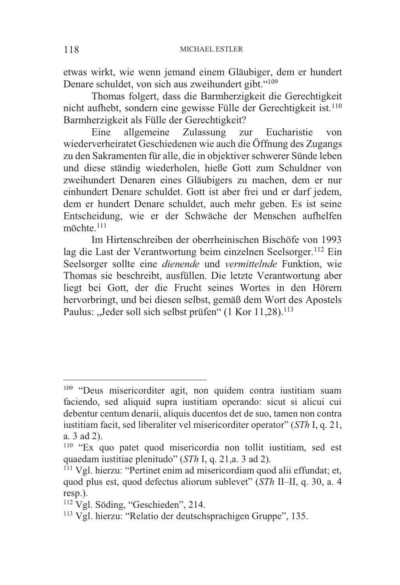etwas wirkt, wie wenn jemand einem Gläubiger, dem er hundert Denare schuldet, von sich aus zweihundert gibt."109

 Thomas folgert, dass die Barmherzigkeit die Gerechtigkeit nicht aufhebt, sondern eine gewisse Fülle der Gerechtigkeit ist.110 Barmherzigkeit als Fülle der Gerechtigkeit?

 Eine allgemeine Zulassung zur Eucharistie von wiederverheiratet Geschiedenen wie auch die Öffnung des Zugangs zu den Sakramenten für alle, die in objektiver schwerer Sünde leben und diese ständig wiederholen, hieße Gott zum Schuldner von zweihundert Denaren eines Gläubigers zu machen, dem er nur einhundert Denare schuldet. Gott ist aber frei und er darf jedem, dem er hundert Denare schuldet, auch mehr geben. Es ist seine Entscheidung, wie er der Schwäche der Menschen aufhelfen möchte.<sup>111</sup>

 Im Hirtenschreiben der oberrheinischen Bischöfe von 1993 lag die Last der Verantwortung beim einzelnen Seelsorger.<sup>112</sup> Ein Seelsorger sollte eine *dienende* und *vermittelnde* Funktion, wie Thomas sie beschreibt, ausfüllen. Die letzte Verantwortung aber liegt bei Gott, der die Frucht seines Wortes in den Hörern hervorbringt, und bei diesen selbst, gemäß dem Wort des Apostels Paulus: "Jeder soll sich selbst prüfen" (1 Kor 11,28).<sup>113</sup>

-

<sup>&</sup>lt;sup>109</sup> "Deus misericorditer agit, non quidem contra iustitiam suam faciendo, sed aliquid supra iustitiam operando: sicut si alicui cui debentur centum denarii, aliquis ducentos det de suo, tamen non contra iustitiam facit, sed liberaliter vel misericorditer operator" (*STh* I, q. 21, a. 3 ad 2).

<sup>&</sup>lt;sup>110</sup> "Ex quo patet quod misericordia non tollit iustitiam, sed est quaedam iustitiae plenitudo" (*STh* I, q. 21, a. 3 ad 2).

<sup>&</sup>lt;sup>111</sup> Vgl. hierzu: "Pertinet enim ad misericordiam quod alii effundat; et, quod plus est, quod defectus aliorum sublevet" (*STh* II–II, q. 30, a. 4 resp.).

<sup>112</sup> Vgl. Söding, "Geschieden", 214.

<sup>113</sup> Vgl. hierzu: "Relatio der deutschsprachigen Gruppe", 135.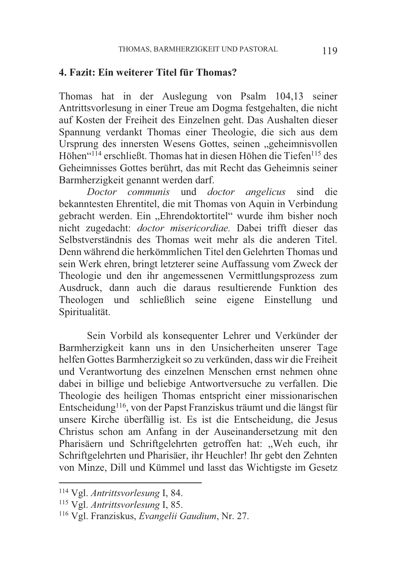### **4. Fazit: Ein weiterer Titel für Thomas?**

Thomas hat in der Auslegung von Psalm 104,13 seiner Antrittsvorlesung in einer Treue am Dogma festgehalten, die nicht auf Kosten der Freiheit des Einzelnen geht. Das Aushalten dieser Spannung verdankt Thomas einer Theologie, die sich aus dem Ursprung des innersten Wesens Gottes, seinen "geheimnisvollen Höhen"114 erschließt. Thomas hat in diesen Höhen die Tiefen115 des Geheimnisses Gottes berührt, das mit Recht das Geheimnis seiner Barmherzigkeit genannt werden darf.

 *Doctor communis* und *doctor angelicus* sind die bekanntesten Ehrentitel, die mit Thomas von Aquin in Verbindung gebracht werden. Ein "Ehrendoktortitel" wurde ihm bisher noch nicht zugedacht: *doctor misericordiae.* Dabei trifft dieser das Selbstverständnis des Thomas weit mehr als die anderen Titel. Denn während die herkömmlichen Titel den Gelehrten Thomas und sein Werk ehren, bringt letzterer seine Auffassung vom Zweck der Theologie und den ihr angemessenen Vermittlungsprozess zum Ausdruck, dann auch die daraus resultierende Funktion des Theologen und schließlich seine eigene Einstellung und Spiritualität.

 Sein Vorbild als konsequenter Lehrer und Verkünder der Barmherzigkeit kann uns in den Unsicherheiten unserer Tage helfen Gottes Barmherzigkeit so zu verkünden, dass wir die Freiheit und Verantwortung des einzelnen Menschen ernst nehmen ohne dabei in billige und beliebige Antwortversuche zu verfallen. Die Theologie des heiligen Thomas entspricht einer missionarischen Entscheidung116, von der Papst Franziskus träumt und die längst für unsere Kirche überfällig ist. Es ist die Entscheidung, die Jesus Christus schon am Anfang in der Auseinandersetzung mit den Pharisäern und Schriftgelehrten getroffen hat: "Weh euch, ihr Schriftgelehrten und Pharisäer, ihr Heuchler! Ihr gebt den Zehnten von Minze, Dill und Kümmel und lasst das Wichtigste im Gesetz

<sup>&</sup>lt;sup>114</sup> Vgl. Antrittsvorlesung I, 84.

<sup>114</sup> Vgl. *Antrittsvorlesung* I, 84. 115 Vgl. *Antrittsvorlesung* I, 85. 116 Vgl. Franziskus, *Evangelii Gaudium*, Nr. 27.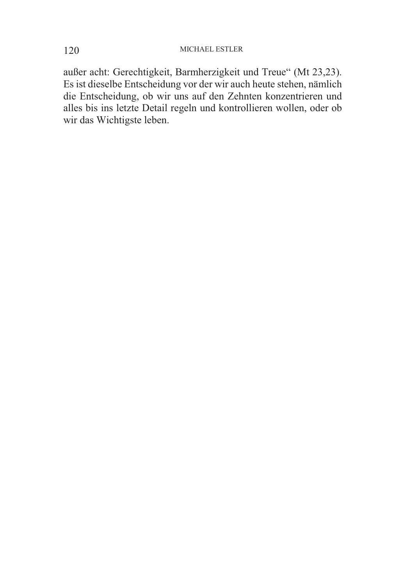### 120 MICHAEL ESTLER

außer acht: Gerechtigkeit, Barmherzigkeit und Treue" (Mt 23,23). Es ist dieselbe Entscheidung vor der wir auch heute stehen, nämlich die Entscheidung, ob wir uns auf den Zehnten konzentrieren und alles bis ins letzte Detail regeln und kontrollieren wollen, oder ob wir das Wichtigste leben.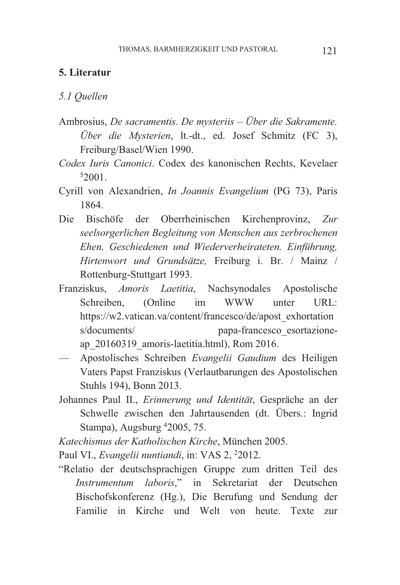## **5. Literatur**

*5.1 Quellen* 

- Ambrosius, *De sacramentis. De mysteriis – Über die Sakramente. Über die Mysterien*, lt.-dt., ed. Josef Schmitz (FC 3), Freiburg/Basel/Wien 1990.
- *Codex Iuris Canonici*. Codex des kanonischen Rechts, Kevelaer 5 2001.
- Cyrill von Alexandrien, *In Joannis Evangelium* (PG 73), Paris 1864.
- Die Bischöfe der Oberrheinischen Kirchenprovinz, *Zur seelsorgerlichen Begleitung von Menschen aus zerbrochenen Ehen, Geschiedenen und Wiederverheirateten. Einführung, Hirtenwort und Grundsätze,* Freiburg i. Br. / Mainz / Rottenburg-Stuttgart 1993.
- Franziskus, *Amoris Laetitia*, Nachsynodales Apostolische Schreiben, (Online im WWW unter URL: https://w2.vatican.va/content/francesco/de/apost\_exhortation s/documents/ papa-francesco\_esortazioneap\_20160319\_amoris-laetitia.html), Rom 2016.
- Apostolisches Schreiben *Evangelii Gaudium* des Heiligen Vaters Papst Franziskus (Verlautbarungen des Apostolischen Stuhls 194), Bonn 2013.
- Johannes Paul II., *Erinnerung und Identität*, Gespräche an der Schwelle zwischen den Jahrtausenden (dt. Übers.: Ingrid Stampa), Augsburg 42005, 75.
- *Katechismus der Katholischen Kirche*, München 2005.

Paul VI., *Evangelii nuntiandi*, in: VAS 2, <sup>2</sup>2012.

"Relatio der deutschsprachigen Gruppe zum dritten Teil des *Instrumentum laboris*," in Sekretariat der Deutschen Bischofskonferenz (Hg.), Die Berufung und Sendung der Familie in Kirche und Welt von heute. Texte zur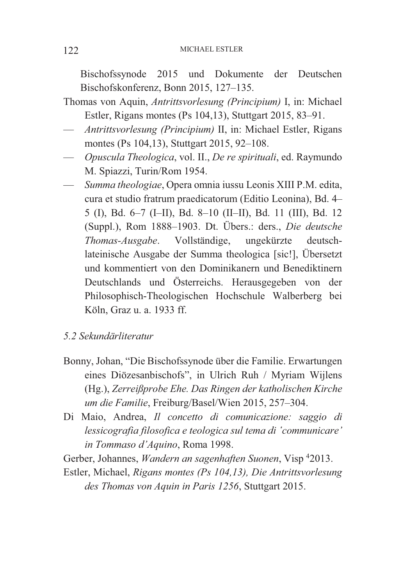Bischofssynode 2015 und Dokumente der Deutschen Bischofskonferenz, Bonn 2015, 127–135.

- Thomas von Aquin, *Antrittsvorlesung (Principium)* I, in: Michael Estler, Rigans montes (Ps 104,13), Stuttgart 2015, 83–91.
- *Antrittsvorlesung (Principium)* II, in: Michael Estler, Rigans montes (Ps 104,13), Stuttgart 2015, 92–108.
- *Opuscula Theologica*, vol. II., *De re spirituali*, ed. Raymundo M. Spiazzi, Turin/Rom 1954.
- *Summa theologiae*, Opera omnia iussu Leonis XIII P.M. edita, cura et studio fratrum praedicatorum (Editio Leonina), Bd. 4– 5 (I), Bd. 6–7 (I–II), Bd. 8–10 (II–II), Bd. 11 (III), Bd. 12 (Suppl.), Rom 1888–1903. Dt. Übers.: ders., *Die deutsche Thomas-Ausgabe*. Vollständige, ungekürzte deutschlateinische Ausgabe der Summa theologica [sic!], Übersetzt und kommentiert von den Dominikanern und Benediktinern Deutschlands und Österreichs. Herausgegeben von der Philosophisch-Theologischen Hochschule Walberberg bei Köln, Graz u. a. 1933 ff.

# *5.2 Sekundärliteratur*

- Bonny, Johan, "Die Bischofssynode über die Familie. Erwartungen eines Diözesanbischofs", in Ulrich Ruh / Myriam Wijlens (Hg.), *Zerreißprobe Ehe. Das Ringen der katholischen Kirche um die Familie*, Freiburg/Basel/Wien 2015, 257–304.
- Di Maio, Andrea, *Il concetto di comunicazione: saggio di lessicografia filosofica e teologica sul tema di 'communicare' in Tommaso d'Aquino*, Roma 1998.

Gerber, Johannes, *Wandern an sagenhaften Suonen*, Visp 4 2013.

Estler, Michael, *Rigans montes (Ps 104,13), Die Antrittsvorlesung des Thomas von Aquin in Paris 1256*, Stuttgart 2015.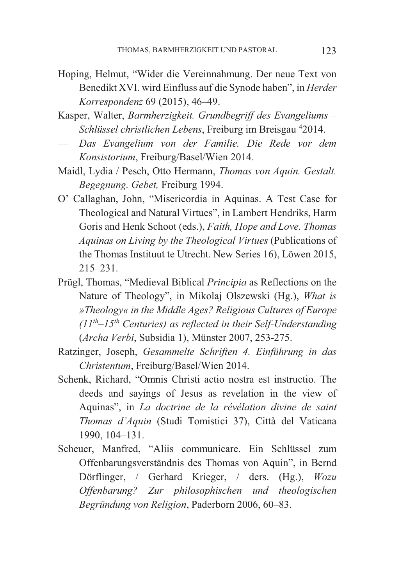- Hoping, Helmut, "Wider die Vereinnahmung. Der neue Text von Benedikt XVI. wird Einfluss auf die Synode haben", in *Herder Korrespondenz* 69 (2015), 46–49.
- Kasper, Walter, *Barmherzigkeit. Grundbegriff des Evangeliums – Schlüssel christlichen Lebens*, Freiburg im Breisgau 42014.
- *Das Evangelium von der Familie. Die Rede vor dem Konsistorium*, Freiburg/Basel/Wien 2014.
- Maidl, Lydia / Pesch, Otto Hermann, *Thomas von Aquin. Gestalt. Begegnung. Gebet,* Freiburg 1994.
- O' Callaghan, John, "Misericordia in Aquinas. A Test Case for Theological and Natural Virtues", in Lambert Hendriks, Harm Goris and Henk Schoot (eds.), *Faith, Hope and Love. Thomas Aquinas on Living by the Theological Virtues* (Publications of the Thomas Instituut te Utrecht. New Series 16), Löwen 2015, 215–231.
- Prügl, Thomas, "Medieval Biblical *Principia* as Reflections on the Nature of Theology", in Mikolaj Olszewski (Hg.), *What is »Theology« in the Middle Ages? Religious Cultures of Europe (11th–15th Centuries) as reflected in their Self-Understanding* (*Archa Verbi*, Subsidia 1), Münster 2007, 253-275.
- Ratzinger, Joseph, *Gesammelte Schriften 4. Einführung in das Christentum*, Freiburg/Basel/Wien 2014.
- Schenk, Richard, "Omnis Christi actio nostra est instructio. The deeds and sayings of Jesus as revelation in the view of Aquinas", in *La doctrine de la révélation divine de saint Thomas d'Aquin* (Studi Tomistici 37), Città del Vaticana 1990, 104–131.
- Scheuer, Manfred, "Aliis communicare. Ein Schlüssel zum Offenbarungsverständnis des Thomas von Aquin", in Bernd Dörflinger, / Gerhard Krieger, / ders. (Hg.), *Wozu Offenbarung? Zur philosophischen und theologischen Begründung von Religion*, Paderborn 2006, 60–83.